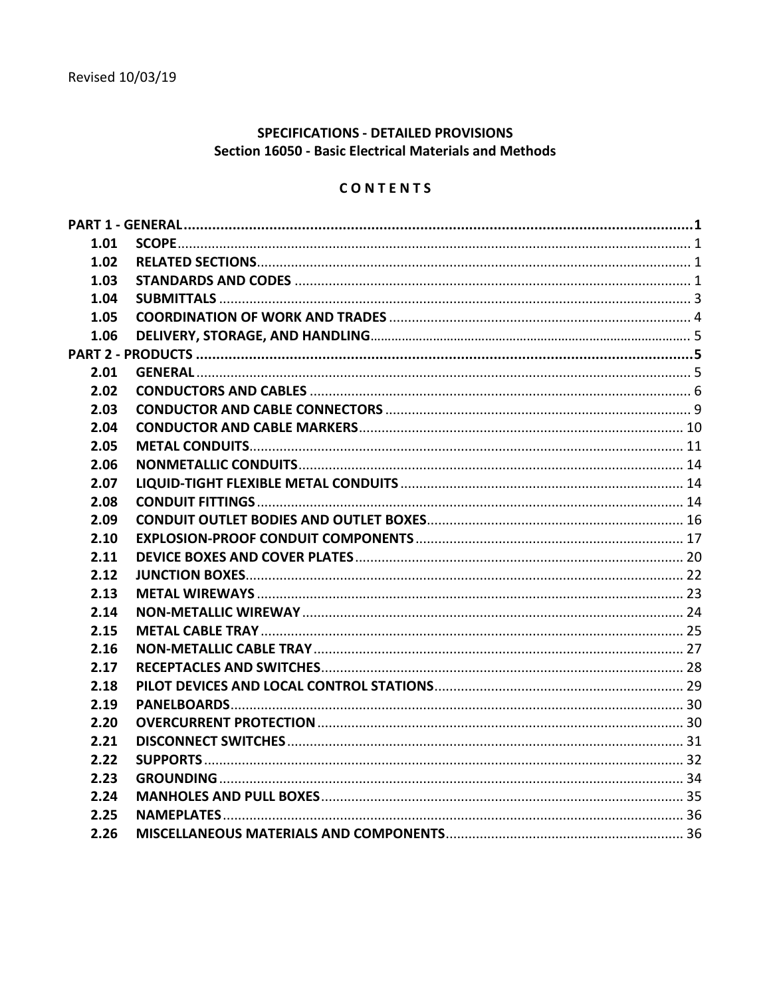## SPECIFICATIONS - DETAILED PROVISIONS **Section 16050 - Basic Electrical Materials and Methods**

# CONTENTS

| 1.01 |  |
|------|--|
| 1.02 |  |
| 1.03 |  |
| 1.04 |  |
| 1.05 |  |
| 1.06 |  |
|      |  |
| 2.01 |  |
| 2.02 |  |
| 2.03 |  |
| 2.04 |  |
| 2.05 |  |
| 2.06 |  |
| 2.07 |  |
| 2.08 |  |
| 2.09 |  |
| 2.10 |  |
| 2.11 |  |
| 2.12 |  |
| 2.13 |  |
| 2.14 |  |
| 2.15 |  |
| 2.16 |  |
| 2.17 |  |
| 2.18 |  |
| 2.19 |  |
| 2.20 |  |
| 2.21 |  |
| 2.22 |  |
| 2.23 |  |
| 2.24 |  |
| 2.25 |  |
| 2.26 |  |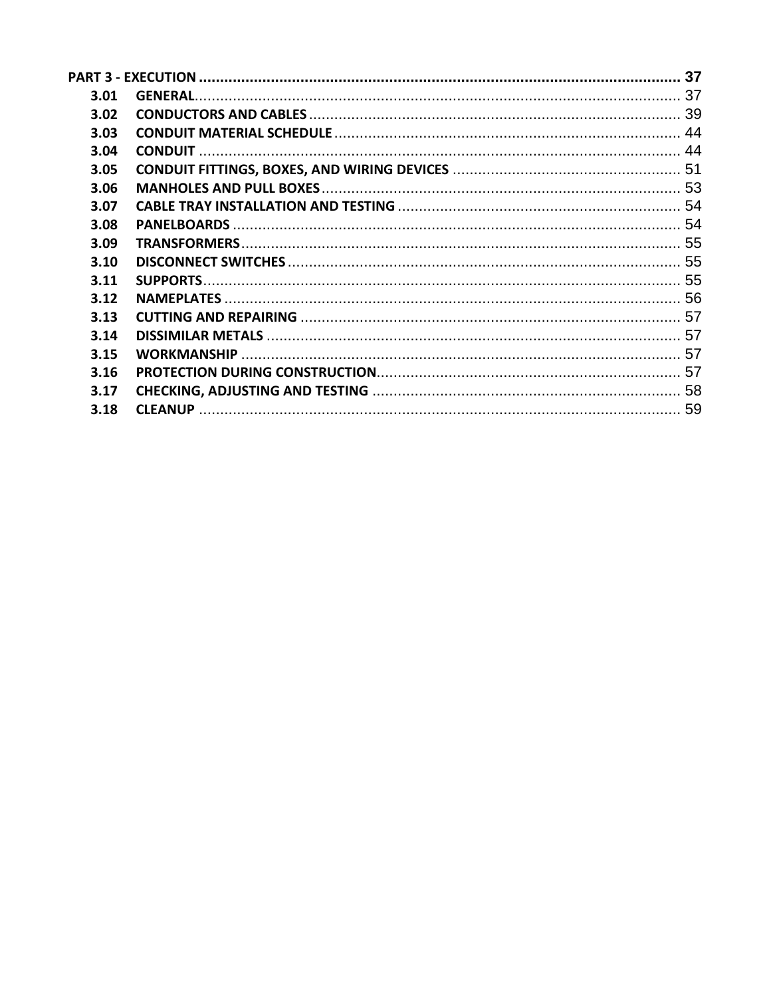| 3.01 |  |
|------|--|
| 3.02 |  |
| 3.03 |  |
| 3.04 |  |
| 3.05 |  |
| 3.06 |  |
| 3.07 |  |
| 3.08 |  |
| 3.09 |  |
| 3.10 |  |
| 3.11 |  |
| 3.12 |  |
| 3.13 |  |
| 3.14 |  |
| 3.15 |  |
| 3.16 |  |
| 3.17 |  |
| 3.18 |  |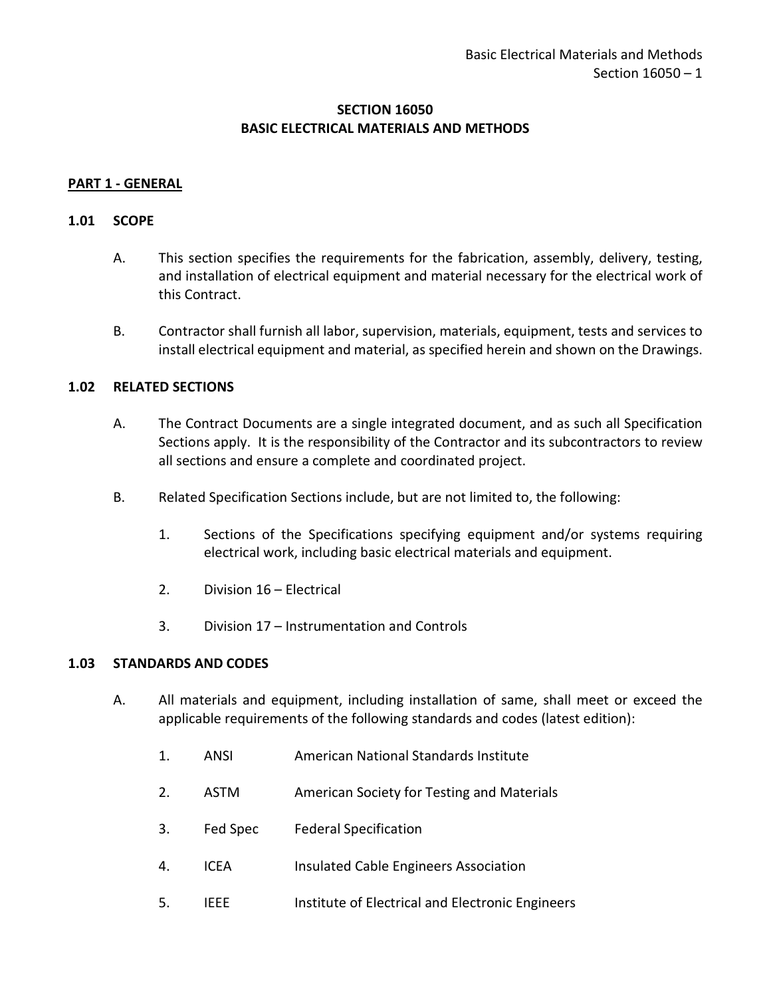## **SECTION 16050 BASIC ELECTRICAL MATERIALS AND METHODS**

### <span id="page-2-0"></span>**PART 1 - GENERAL**

#### <span id="page-2-1"></span>**1.01 SCOPE**

- A. This section specifies the requirements for the fabrication, assembly, delivery, testing, and installation of electrical equipment and material necessary for the electrical work of this Contract.
- B. Contractor shall furnish all labor, supervision, materials, equipment, tests and services to install electrical equipment and material, as specified herein and shown on the Drawings.

#### <span id="page-2-2"></span>**1.02 RELATED SECTIONS**

- A. The Contract Documents are a single integrated document, and as such all Specification Sections apply. It is the responsibility of the Contractor and its subcontractors to review all sections and ensure a complete and coordinated project.
- B. Related Specification Sections include, but are not limited to, the following:
	- 1. Sections of the Specifications specifying equipment and/or systems requiring electrical work, including basic electrical materials and equipment.
	- 2. Division 16 Electrical
	- 3. Division 17 Instrumentation and Controls

#### <span id="page-2-3"></span>**1.03 STANDARDS AND CODES**

- A. All materials and equipment, including installation of same, shall meet or exceed the applicable requirements of the following standards and codes (latest edition):
	- 1. ANSI American National Standards Institute
	- 2. ASTM American Society for Testing and Materials
	- 3. Fed Spec Federal Specification
	- 4. ICEA Insulated Cable Engineers Association
	- 5. IEEE Institute of Electrical and Electronic Engineers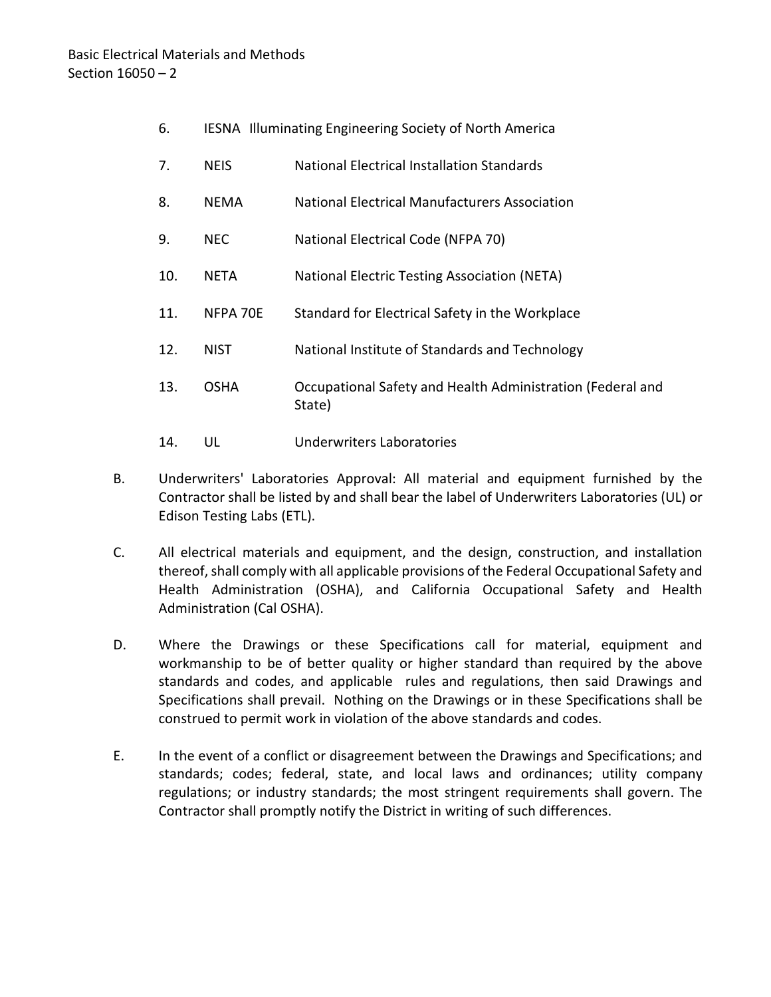- 6. IESNA Illuminating Engineering Society of North America
- 7. NEIS National Electrical Installation Standards
- 8. NEMA National Electrical Manufacturers Association
- 9. NEC National Electrical Code (NFPA 70)
- 10. NETA National Electric Testing Association (NETA)
- 11. NFPA 70E Standard for Electrical Safety in the Workplace
- 12. NIST National Institute of Standards and Technology
- 13. OSHA Occupational Safety and Health Administration (Federal and State)
- 14. UL Underwriters Laboratories
- B. Underwriters' Laboratories Approval: All material and equipment furnished by the Contractor shall be listed by and shall bear the label of Underwriters Laboratories (UL) or Edison Testing Labs (ETL).
- C. All electrical materials and equipment, and the design, construction, and installation thereof, shall comply with all applicable provisions of the Federal Occupational Safety and Health Administration (OSHA), and California Occupational Safety and Health Administration (Cal OSHA).
- D. Where the Drawings or these Specifications call for material, equipment and workmanship to be of better quality or higher standard than required by the above standards and codes, and applicable rules and regulations, then said Drawings and Specifications shall prevail. Nothing on the Drawings or in these Specifications shall be construed to permit work in violation of the above standards and codes.
- E. In the event of a conflict or disagreement between the Drawings and Specifications; and standards; codes; federal, state, and local laws and ordinances; utility company regulations; or industry standards; the most stringent requirements shall govern. The Contractor shall promptly notify the District in writing of such differences.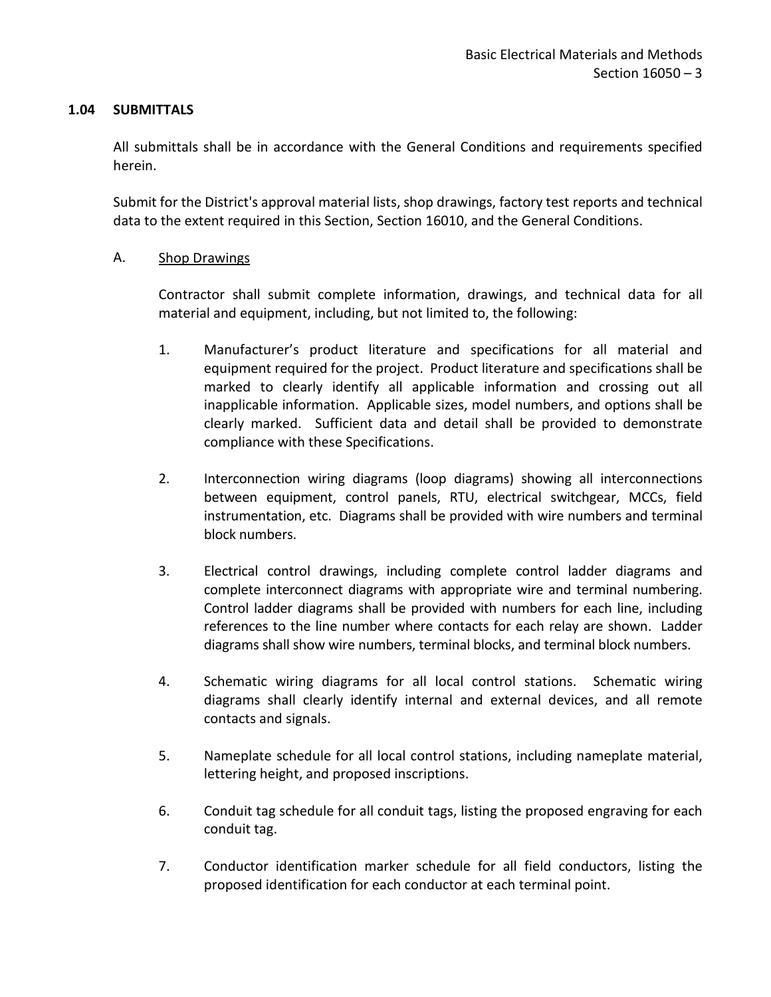### <span id="page-4-0"></span>**1.04 SUBMITTALS**

All submittals shall be in accordance with the General Conditions and requirements specified herein.

Submit for the District's approval material lists, shop drawings, factory test reports and technical data to the extent required in this Section, Section 16010, and the General Conditions.

## A. Shop Drawings

Contractor shall submit complete information, drawings, and technical data for all material and equipment, including, but not limited to, the following:

- 1. Manufacturer's product literature and specifications for all material and equipment required for the project. Product literature and specifications shall be marked to clearly identify all applicable information and crossing out all inapplicable information. Applicable sizes, model numbers, and options shall be clearly marked. Sufficient data and detail shall be provided to demonstrate compliance with these Specifications.
- 2. Interconnection wiring diagrams (loop diagrams) showing all interconnections between equipment, control panels, RTU, electrical switchgear, MCCs, field instrumentation, etc. Diagrams shall be provided with wire numbers and terminal block numbers.
- 3. Electrical control drawings, including complete control ladder diagrams and complete interconnect diagrams with appropriate wire and terminal numbering. Control ladder diagrams shall be provided with numbers for each line, including references to the line number where contacts for each relay are shown. Ladder diagrams shall show wire numbers, terminal blocks, and terminal block numbers.
- 4. Schematic wiring diagrams for all local control stations. Schematic wiring diagrams shall clearly identify internal and external devices, and all remote contacts and signals.
- 5. Nameplate schedule for all local control stations, including nameplate material, lettering height, and proposed inscriptions.
- 6. Conduit tag schedule for all conduit tags, listing the proposed engraving for each conduit tag.
- 7. Conductor identification marker schedule for all field conductors, listing the proposed identification for each conductor at each terminal point.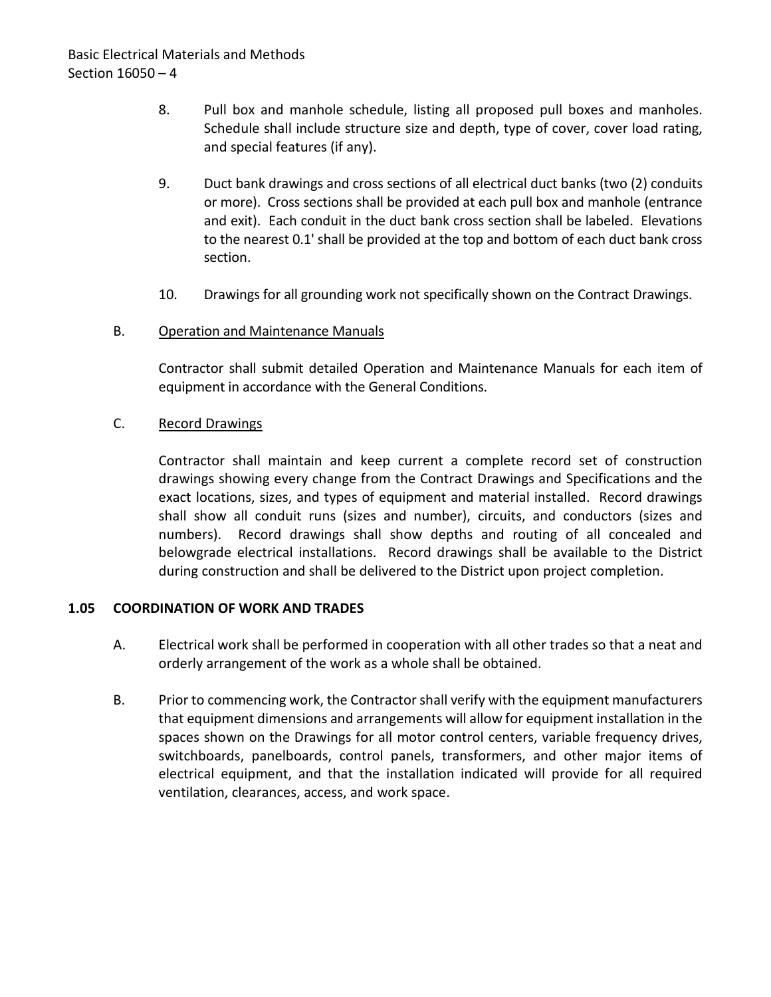- 8. Pull box and manhole schedule, listing all proposed pull boxes and manholes. Schedule shall include structure size and depth, type of cover, cover load rating, and special features (if any).
- 9. Duct bank drawings and cross sections of all electrical duct banks (two (2) conduits or more). Cross sections shall be provided at each pull box and manhole (entrance and exit). Each conduit in the duct bank cross section shall be labeled. Elevations to the nearest 0.1' shall be provided at the top and bottom of each duct bank cross section.
- 10. Drawings for all grounding work not specifically shown on the Contract Drawings.
- B. Operation and Maintenance Manuals

Contractor shall submit detailed Operation and Maintenance Manuals for each item of equipment in accordance with the General Conditions.

C. Record Drawings

Contractor shall maintain and keep current a complete record set of construction drawings showing every change from the Contract Drawings and Specifications and the exact locations, sizes, and types of equipment and material installed. Record drawings shall show all conduit runs (sizes and number), circuits, and conductors (sizes and numbers). Record drawings shall show depths and routing of all concealed and belowgrade electrical installations. Record drawings shall be available to the District during construction and shall be delivered to the District upon project completion.

### <span id="page-5-0"></span>**1.05 COORDINATION OF WORK AND TRADES**

- A. Electrical work shall be performed in cooperation with all other trades so that a neat and orderly arrangement of the work as a whole shall be obtained.
- B. Prior to commencing work, the Contractor shall verify with the equipment manufacturers that equipment dimensions and arrangements will allow for equipment installation in the spaces shown on the Drawings for all motor control centers, variable frequency drives, switchboards, panelboards, control panels, transformers, and other major items of electrical equipment, and that the installation indicated will provide for all required ventilation, clearances, access, and work space.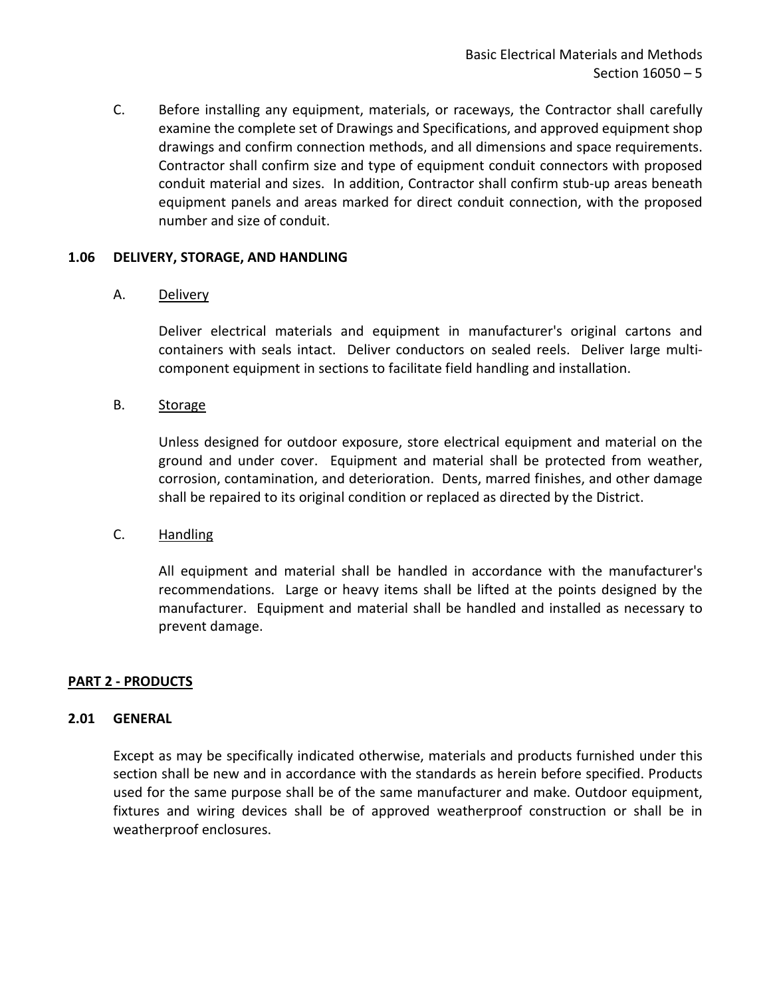C. Before installing any equipment, materials, or raceways, the Contractor shall carefully examine the complete set of Drawings and Specifications, and approved equipment shop drawings and confirm connection methods, and all dimensions and space requirements. Contractor shall confirm size and type of equipment conduit connectors with proposed conduit material and sizes. In addition, Contractor shall confirm stub-up areas beneath equipment panels and areas marked for direct conduit connection, with the proposed number and size of conduit.

### **1.06 DELIVERY, STORAGE, AND HANDLING**

## A. Delivery

Deliver electrical materials and equipment in manufacturer's original cartons and containers with seals intact. Deliver conductors on sealed reels. Deliver large multicomponent equipment in sections to facilitate field handling and installation.

## B. Storage

Unless designed for outdoor exposure, store electrical equipment and material on the ground and under cover. Equipment and material shall be protected from weather, corrosion, contamination, and deterioration. Dents, marred finishes, and other damage shall be repaired to its original condition or replaced as directed by the District.

### C. Handling

All equipment and material shall be handled in accordance with the manufacturer's recommendations. Large or heavy items shall be lifted at the points designed by the manufacturer. Equipment and material shall be handled and installed as necessary to prevent damage.

### <span id="page-6-0"></span>**PART 2 - PRODUCTS**

### <span id="page-6-1"></span>**2.01 GENERAL**

Except as may be specifically indicated otherwise, materials and products furnished under this section shall be new and in accordance with the standards as herein before specified. Products used for the same purpose shall be of the same manufacturer and make. Outdoor equipment, fixtures and wiring devices shall be of approved weatherproof construction or shall be in weatherproof enclosures.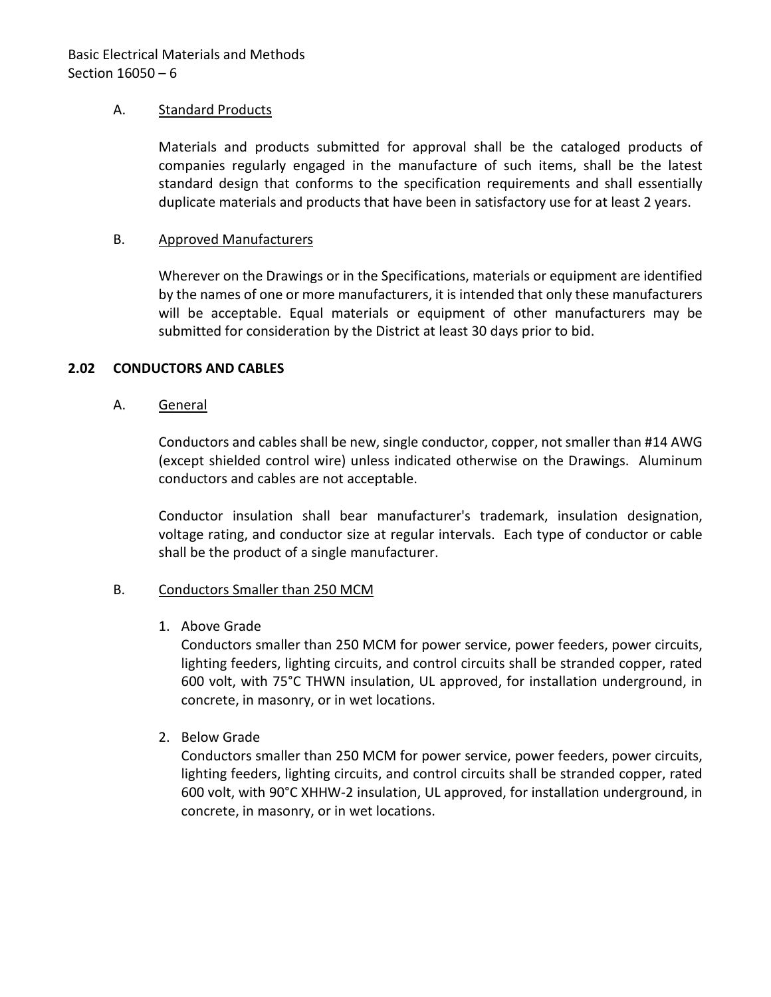### A. Standard Products

Materials and products submitted for approval shall be the cataloged products of companies regularly engaged in the manufacture of such items, shall be the latest standard design that conforms to the specification requirements and shall essentially duplicate materials and products that have been in satisfactory use for at least 2 years.

## B. Approved Manufacturers

Wherever on the Drawings or in the Specifications, materials or equipment are identified by the names of one or more manufacturers, it is intended that only these manufacturers will be acceptable. Equal materials or equipment of other manufacturers may be submitted for consideration by the District at least 30 days prior to bid.

## <span id="page-7-0"></span>**2.02 CONDUCTORS AND CABLES**

## A. General

Conductors and cables shall be new, single conductor, copper, not smaller than #14 AWG (except shielded control wire) unless indicated otherwise on the Drawings. Aluminum conductors and cables are not acceptable.

Conductor insulation shall bear manufacturer's trademark, insulation designation, voltage rating, and conductor size at regular intervals. Each type of conductor or cable shall be the product of a single manufacturer.

## B. Conductors Smaller than 250 MCM

1. Above Grade

Conductors smaller than 250 MCM for power service, power feeders, power circuits, lighting feeders, lighting circuits, and control circuits shall be stranded copper, rated 600 volt, with 75°C THWN insulation, UL approved, for installation underground, in concrete, in masonry, or in wet locations.

2. Below Grade

Conductors smaller than 250 MCM for power service, power feeders, power circuits, lighting feeders, lighting circuits, and control circuits shall be stranded copper, rated 600 volt, with 90°C XHHW-2 insulation, UL approved, for installation underground, in concrete, in masonry, or in wet locations.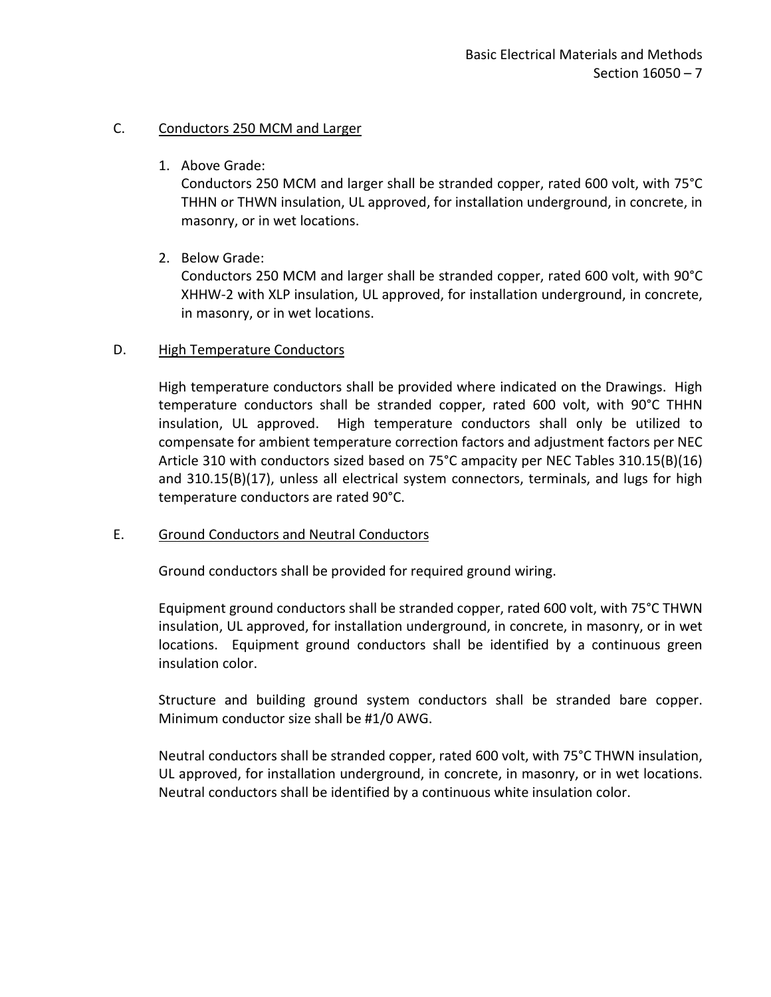## C. Conductors 250 MCM and Larger

1. Above Grade:

Conductors 250 MCM and larger shall be stranded copper, rated 600 volt, with 75°C THHN or THWN insulation, UL approved, for installation underground, in concrete, in masonry, or in wet locations.

2. Below Grade:

Conductors 250 MCM and larger shall be stranded copper, rated 600 volt, with 90°C XHHW-2 with XLP insulation, UL approved, for installation underground, in concrete, in masonry, or in wet locations.

## D. High Temperature Conductors

High temperature conductors shall be provided where indicated on the Drawings. High temperature conductors shall be stranded copper, rated 600 volt, with 90°C THHN insulation, UL approved. High temperature conductors shall only be utilized to compensate for ambient temperature correction factors and adjustment factors per NEC Article 310 with conductors sized based on 75°C ampacity per NEC Tables 310.15(B)(16) and 310.15(B)(17), unless all electrical system connectors, terminals, and lugs for high temperature conductors are rated 90°C.

### E. Ground Conductors and Neutral Conductors

Ground conductors shall be provided for required ground wiring.

Equipment ground conductors shall be stranded copper, rated 600 volt, with 75°C THWN insulation, UL approved, for installation underground, in concrete, in masonry, or in wet locations. Equipment ground conductors shall be identified by a continuous green insulation color.

Structure and building ground system conductors shall be stranded bare copper. Minimum conductor size shall be #1/0 AWG.

Neutral conductors shall be stranded copper, rated 600 volt, with 75°C THWN insulation, UL approved, for installation underground, in concrete, in masonry, or in wet locations. Neutral conductors shall be identified by a continuous white insulation color.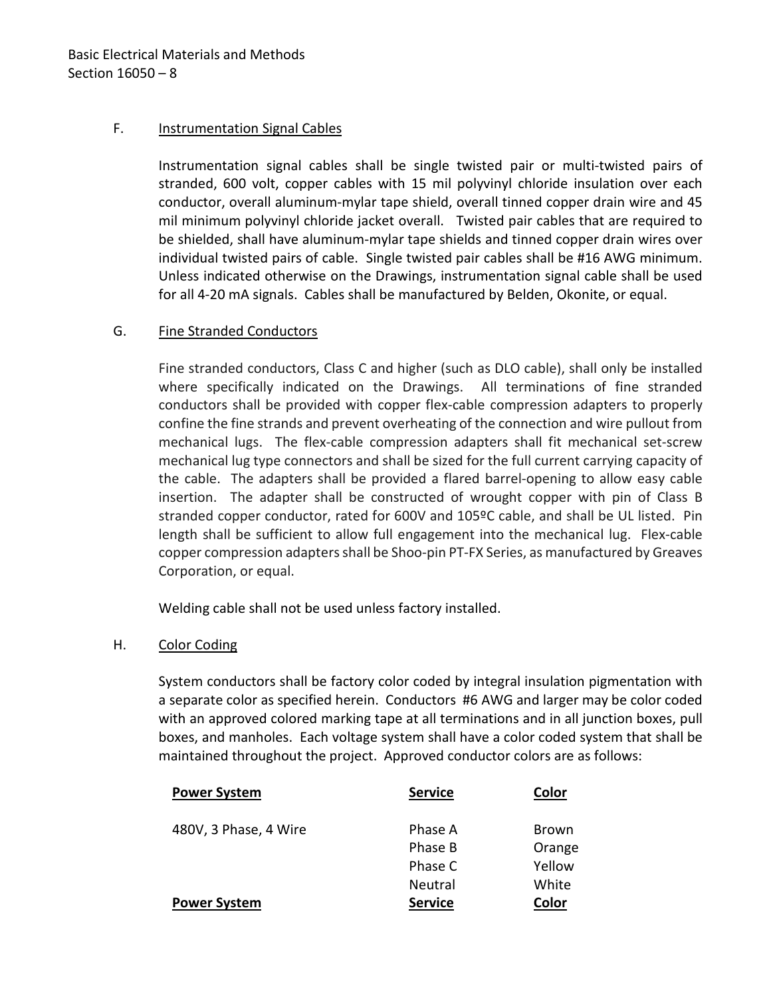## F. Instrumentation Signal Cables

Instrumentation signal cables shall be single twisted pair or multi-twisted pairs of stranded, 600 volt, copper cables with 15 mil polyvinyl chloride insulation over each conductor, overall aluminum-mylar tape shield, overall tinned copper drain wire and 45 mil minimum polyvinyl chloride jacket overall. Twisted pair cables that are required to be shielded, shall have aluminum-mylar tape shields and tinned copper drain wires over individual twisted pairs of cable. Single twisted pair cables shall be #16 AWG minimum. Unless indicated otherwise on the Drawings, instrumentation signal cable shall be used for all 4-20 mA signals. Cables shall be manufactured by Belden, Okonite, or equal.

## G. Fine Stranded Conductors

Fine stranded conductors, Class C and higher (such as DLO cable), shall only be installed where specifically indicated on the Drawings. All terminations of fine stranded conductors shall be provided with copper flex-cable compression adapters to properly confine the fine strands and prevent overheating of the connection and wire pullout from mechanical lugs. The flex-cable compression adapters shall fit mechanical set-screw mechanical lug type connectors and shall be sized for the full current carrying capacity of the cable. The adapters shall be provided a flared barrel-opening to allow easy cable insertion. The adapter shall be constructed of wrought copper with pin of Class B stranded copper conductor, rated for 600V and 105ºC cable, and shall be UL listed. Pin length shall be sufficient to allow full engagement into the mechanical lug. Flex-cable copper compression adapters shall be Shoo-pin PT-FX Series, as manufactured by Greaves Corporation, or equal.

Welding cable shall not be used unless factory installed.

### H. Color Coding

System conductors shall be factory color coded by integral insulation pigmentation with a separate color as specified herein. Conductors #6 AWG and larger may be color coded with an approved colored marking tape at all terminations and in all junction boxes, pull boxes, and manholes. Each voltage system shall have a color coded system that shall be maintained throughout the project. Approved conductor colors are as follows:

| <b>Power System</b>   | <b>Service</b> | Color        |
|-----------------------|----------------|--------------|
| 480V, 3 Phase, 4 Wire | Phase A        | <b>Brown</b> |
|                       | Phase B        | Orange       |
|                       | Phase C        | Yellow       |
|                       | Neutral        | White        |
| <b>Power System</b>   | <b>Service</b> | Color        |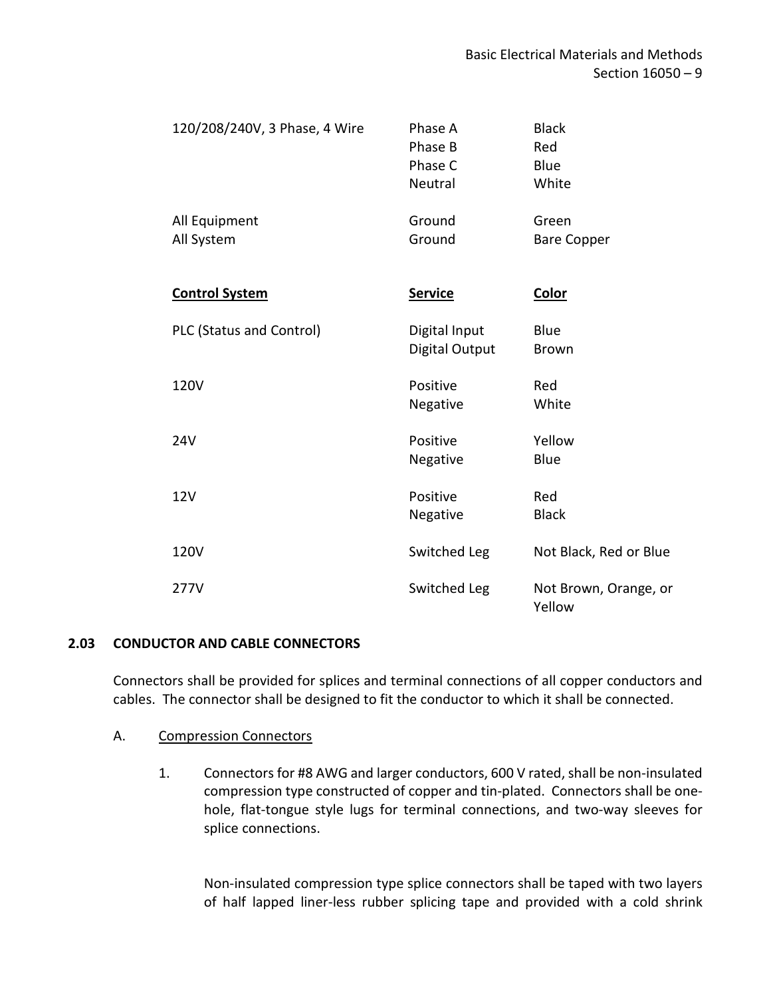| 120/208/240V, 3 Phase, 4 Wire | Phase A<br>Phase B<br>Phase C<br>Neutral | <b>Black</b><br>Red<br>Blue<br>White |
|-------------------------------|------------------------------------------|--------------------------------------|
| All Equipment<br>All System   | Ground<br>Ground                         | Green<br><b>Bare Copper</b>          |
| <b>Control System</b>         | <b>Service</b>                           | <b>Color</b>                         |
| PLC (Status and Control)      | Digital Input<br>Digital Output          | Blue<br><b>Brown</b>                 |
| 120V                          | Positive<br>Negative                     | Red<br>White                         |
| 24V                           | Positive<br>Negative                     | Yellow<br>Blue                       |
| 12V                           | Positive<br>Negative                     | Red<br><b>Black</b>                  |
| 120V                          | Switched Leg                             | Not Black, Red or Blue               |
| 277V                          | Switched Leg                             | Not Brown, Orange, or<br>Yellow      |

## <span id="page-10-0"></span>**2.03 CONDUCTOR AND CABLE CONNECTORS**

Connectors shall be provided for splices and terminal connections of all copper conductors and cables. The connector shall be designed to fit the conductor to which it shall be connected.

### A. Compression Connectors

1. Connectors for #8 AWG and larger conductors, 600 V rated, shall be non-insulated compression type constructed of copper and tin-plated. Connectors shall be onehole, flat-tongue style lugs for terminal connections, and two-way sleeves for splice connections.

Non-insulated compression type splice connectors shall be taped with two layers of half lapped liner-less rubber splicing tape and provided with a cold shrink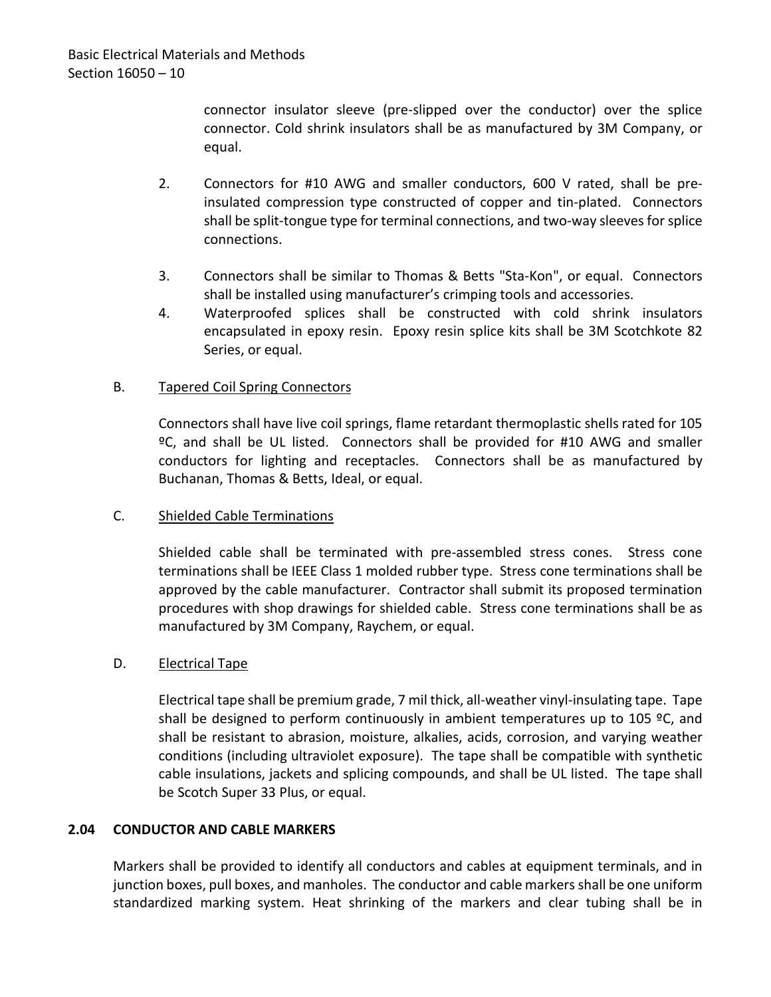connector insulator sleeve (pre-slipped over the conductor) over the splice connector. Cold shrink insulators shall be as manufactured by 3M Company, or equal.

- 2. Connectors for #10 AWG and smaller conductors, 600 V rated, shall be preinsulated compression type constructed of copper and tin-plated. Connectors shall be split-tongue type for terminal connections, and two-way sleeves for splice connections.
- 3. Connectors shall be similar to Thomas & Betts "Sta-Kon", or equal. Connectors shall be installed using manufacturer's crimping tools and accessories.
- 4. Waterproofed splices shall be constructed with cold shrink insulators encapsulated in epoxy resin. Epoxy resin splice kits shall be 3M Scotchkote 82 Series, or equal.

## B. Tapered Coil Spring Connectors

Connectors shall have live coil springs, flame retardant thermoplastic shells rated for 105 ºC, and shall be UL listed. Connectors shall be provided for #10 AWG and smaller conductors for lighting and receptacles. Connectors shall be as manufactured by Buchanan, Thomas & Betts, Ideal, or equal.

### C. Shielded Cable Terminations

Shielded cable shall be terminated with pre-assembled stress cones. Stress cone terminations shall be IEEE Class 1 molded rubber type. Stress cone terminations shall be approved by the cable manufacturer. Contractor shall submit its proposed termination procedures with shop drawings for shielded cable. Stress cone terminations shall be as manufactured by 3M Company, Raychem, or equal.

### D. **Electrical Tape**

Electrical tape shall be premium grade, 7 mil thick, all-weather vinyl-insulating tape. Tape shall be designed to perform continuously in ambient temperatures up to 105  $°C$ , and shall be resistant to abrasion, moisture, alkalies, acids, corrosion, and varying weather conditions (including ultraviolet exposure). The tape shall be compatible with synthetic cable insulations, jackets and splicing compounds, and shall be UL listed. The tape shall be Scotch Super 33 Plus, or equal.

## <span id="page-11-0"></span>**2.04 CONDUCTOR AND CABLE MARKERS**

Markers shall be provided to identify all conductors and cables at equipment terminals, and in junction boxes, pull boxes, and manholes. The conductor and cable markers shall be one uniform standardized marking system. Heat shrinking of the markers and clear tubing shall be in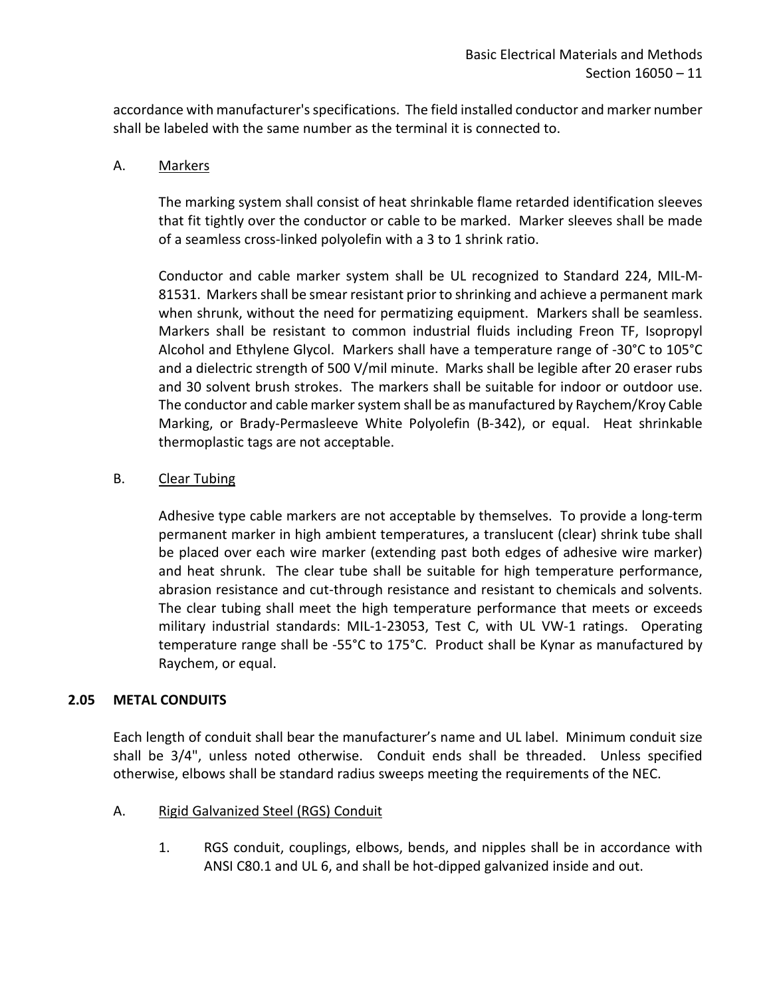accordance with manufacturer's specifications. The field installed conductor and marker number shall be labeled with the same number as the terminal it is connected to.

## A. Markers

The marking system shall consist of heat shrinkable flame retarded identification sleeves that fit tightly over the conductor or cable to be marked. Marker sleeves shall be made of a seamless cross-linked polyolefin with a 3 to 1 shrink ratio.

Conductor and cable marker system shall be UL recognized to Standard 224, MIL-M-81531. Markers shall be smear resistant prior to shrinking and achieve a permanent mark when shrunk, without the need for permatizing equipment. Markers shall be seamless. Markers shall be resistant to common industrial fluids including Freon TF, Isopropyl Alcohol and Ethylene Glycol. Markers shall have a temperature range of -30°C to 105°C and a dielectric strength of 500 V/mil minute. Marks shall be legible after 20 eraser rubs and 30 solvent brush strokes. The markers shall be suitable for indoor or outdoor use. The conductor and cable marker system shall be as manufactured by Raychem/Kroy Cable Marking, or Brady-Permasleeve White Polyolefin (B-342), or equal. Heat shrinkable thermoplastic tags are not acceptable.

## B. Clear Tubing

Adhesive type cable markers are not acceptable by themselves. To provide a long-term permanent marker in high ambient temperatures, a translucent (clear) shrink tube shall be placed over each wire marker (extending past both edges of adhesive wire marker) and heat shrunk. The clear tube shall be suitable for high temperature performance, abrasion resistance and cut-through resistance and resistant to chemicals and solvents. The clear tubing shall meet the high temperature performance that meets or exceeds military industrial standards: MIL-1-23053, Test C, with UL VW-1 ratings. Operating temperature range shall be -55°C to 175°C. Product shall be Kynar as manufactured by Raychem, or equal.

### <span id="page-12-0"></span>**2.05 METAL CONDUITS**

Each length of conduit shall bear the manufacturer's name and UL label. Minimum conduit size shall be 3/4", unless noted otherwise. Conduit ends shall be threaded. Unless specified otherwise, elbows shall be standard radius sweeps meeting the requirements of the NEC.

- A. Rigid Galvanized Steel (RGS) Conduit
	- 1. RGS conduit, couplings, elbows, bends, and nipples shall be in accordance with ANSI C80.1 and UL 6, and shall be hot-dipped galvanized inside and out.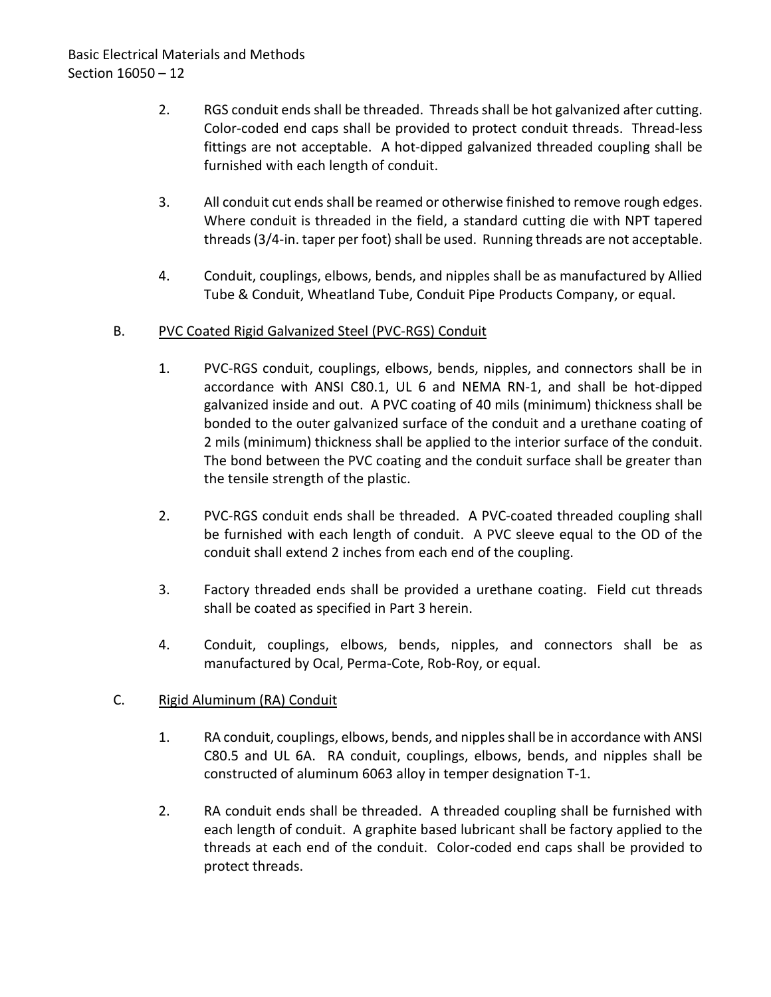- 2. RGS conduit ends shall be threaded. Threads shall be hot galvanized after cutting. Color-coded end caps shall be provided to protect conduit threads. Thread-less fittings are not acceptable. A hot-dipped galvanized threaded coupling shall be furnished with each length of conduit.
- 3. All conduit cut ends shall be reamed or otherwise finished to remove rough edges. Where conduit is threaded in the field, a standard cutting die with NPT tapered threads (3/4-in. taper per foot) shall be used. Running threads are not acceptable.
- 4. Conduit, couplings, elbows, bends, and nipples shall be as manufactured by Allied Tube & Conduit, Wheatland Tube, Conduit Pipe Products Company, or equal.

# B. PVC Coated Rigid Galvanized Steel (PVC-RGS) Conduit

- 1. PVC-RGS conduit, couplings, elbows, bends, nipples, and connectors shall be in accordance with ANSI C80.1, UL 6 and NEMA RN-1, and shall be hot-dipped galvanized inside and out. A PVC coating of 40 mils (minimum) thickness shall be bonded to the outer galvanized surface of the conduit and a urethane coating of 2 mils (minimum) thickness shall be applied to the interior surface of the conduit. The bond between the PVC coating and the conduit surface shall be greater than the tensile strength of the plastic.
- 2. PVC-RGS conduit ends shall be threaded. A PVC-coated threaded coupling shall be furnished with each length of conduit. A PVC sleeve equal to the OD of the conduit shall extend 2 inches from each end of the coupling.
- 3. Factory threaded ends shall be provided a urethane coating. Field cut threads shall be coated as specified in Part 3 herein.
- 4. Conduit, couplings, elbows, bends, nipples, and connectors shall be as manufactured by Ocal, Perma-Cote, Rob-Roy, or equal.

# C. Rigid Aluminum (RA) Conduit

- 1. RA conduit, couplings, elbows, bends, and nipples shall be in accordance with ANSI C80.5 and UL 6A. RA conduit, couplings, elbows, bends, and nipples shall be constructed of aluminum 6063 alloy in temper designation T-1.
- 2. RA conduit ends shall be threaded. A threaded coupling shall be furnished with each length of conduit. A graphite based lubricant shall be factory applied to the threads at each end of the conduit. Color-coded end caps shall be provided to protect threads.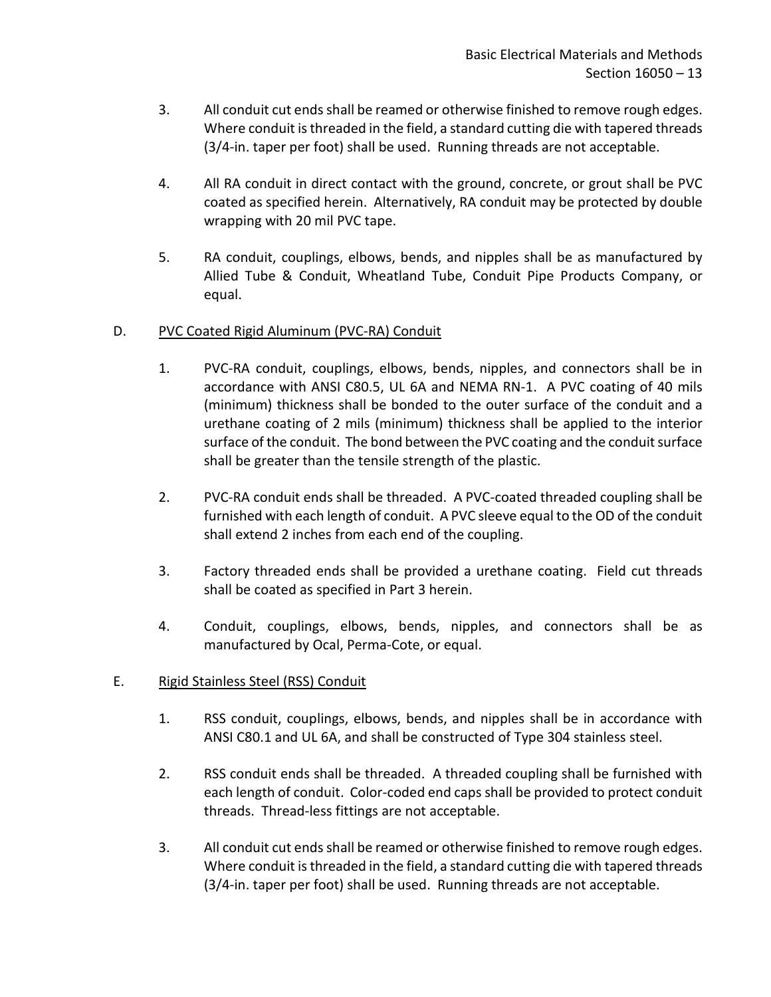- 3. All conduit cut ends shall be reamed or otherwise finished to remove rough edges. Where conduit is threaded in the field, a standard cutting die with tapered threads (3/4-in. taper per foot) shall be used. Running threads are not acceptable.
- 4. All RA conduit in direct contact with the ground, concrete, or grout shall be PVC coated as specified herein. Alternatively, RA conduit may be protected by double wrapping with 20 mil PVC tape.
- 5. RA conduit, couplings, elbows, bends, and nipples shall be as manufactured by Allied Tube & Conduit, Wheatland Tube, Conduit Pipe Products Company, or equal.

# D. PVC Coated Rigid Aluminum (PVC-RA) Conduit

- 1. PVC-RA conduit, couplings, elbows, bends, nipples, and connectors shall be in accordance with ANSI C80.5, UL 6A and NEMA RN-1. A PVC coating of 40 mils (minimum) thickness shall be bonded to the outer surface of the conduit and a urethane coating of 2 mils (minimum) thickness shall be applied to the interior surface of the conduit. The bond between the PVC coating and the conduit surface shall be greater than the tensile strength of the plastic.
- 2. PVC-RA conduit ends shall be threaded. A PVC-coated threaded coupling shall be furnished with each length of conduit. A PVC sleeve equal to the OD of the conduit shall extend 2 inches from each end of the coupling.
- 3. Factory threaded ends shall be provided a urethane coating. Field cut threads shall be coated as specified in Part 3 herein.
- 4. Conduit, couplings, elbows, bends, nipples, and connectors shall be as manufactured by Ocal, Perma-Cote, or equal.

## E. Rigid Stainless Steel (RSS) Conduit

- 1. RSS conduit, couplings, elbows, bends, and nipples shall be in accordance with ANSI C80.1 and UL 6A, and shall be constructed of Type 304 stainless steel.
- 2. RSS conduit ends shall be threaded. A threaded coupling shall be furnished with each length of conduit. Color-coded end caps shall be provided to protect conduit threads. Thread-less fittings are not acceptable.
- 3. All conduit cut ends shall be reamed or otherwise finished to remove rough edges. Where conduit is threaded in the field, a standard cutting die with tapered threads (3/4-in. taper per foot) shall be used. Running threads are not acceptable.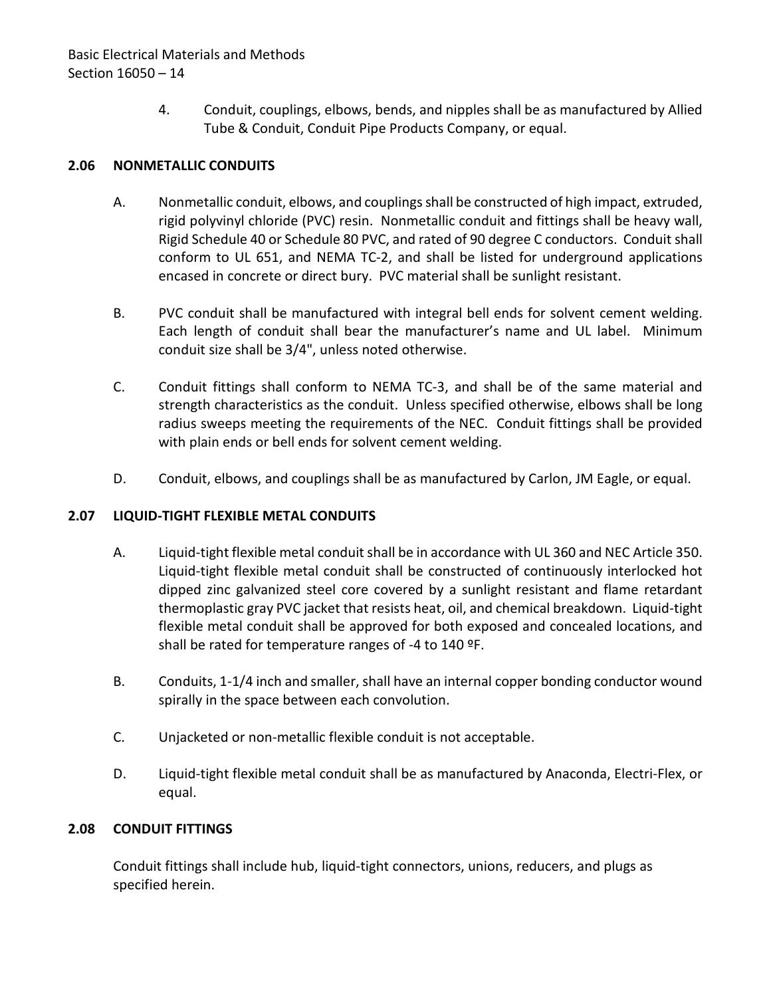4. Conduit, couplings, elbows, bends, and nipples shall be as manufactured by Allied Tube & Conduit, Conduit Pipe Products Company, or equal.

## <span id="page-15-0"></span>**2.06 NONMETALLIC CONDUITS**

- A. Nonmetallic conduit, elbows, and couplings shall be constructed of high impact, extruded, rigid polyvinyl chloride (PVC) resin. Nonmetallic conduit and fittings shall be heavy wall, Rigid Schedule 40 or Schedule 80 PVC, and rated of 90 degree C conductors. Conduit shall conform to UL 651, and NEMA TC-2, and shall be listed for underground applications encased in concrete or direct bury. PVC material shall be sunlight resistant.
- B. PVC conduit shall be manufactured with integral bell ends for solvent cement welding. Each length of conduit shall bear the manufacturer's name and UL label. Minimum conduit size shall be 3/4", unless noted otherwise.
- C. Conduit fittings shall conform to NEMA TC-3, and shall be of the same material and strength characteristics as the conduit. Unless specified otherwise, elbows shall be long radius sweeps meeting the requirements of the NEC. Conduit fittings shall be provided with plain ends or bell ends for solvent cement welding.
- D. Conduit, elbows, and couplings shall be as manufactured by Carlon, JM Eagle, or equal.

## <span id="page-15-1"></span>**2.07 LIQUID-TIGHT FLEXIBLE METAL CONDUITS**

- A. Liquid-tight flexible metal conduit shall be in accordance with UL 360 and NEC Article 350. Liquid-tight flexible metal conduit shall be constructed of continuously interlocked hot dipped zinc galvanized steel core covered by a sunlight resistant and flame retardant thermoplastic gray PVC jacket that resists heat, oil, and chemical breakdown. Liquid-tight flexible metal conduit shall be approved for both exposed and concealed locations, and shall be rated for temperature ranges of -4 to 140 ºF.
- B. Conduits, 1-1/4 inch and smaller, shall have an internal copper bonding conductor wound spirally in the space between each convolution.
- C. Unjacketed or non-metallic flexible conduit is not acceptable.
- D. Liquid-tight flexible metal conduit shall be as manufactured by Anaconda, Electri-Flex, or equal.

## <span id="page-15-2"></span>**2.08 CONDUIT FITTINGS**

Conduit fittings shall include hub, liquid-tight connectors, unions, reducers, and plugs as specified herein.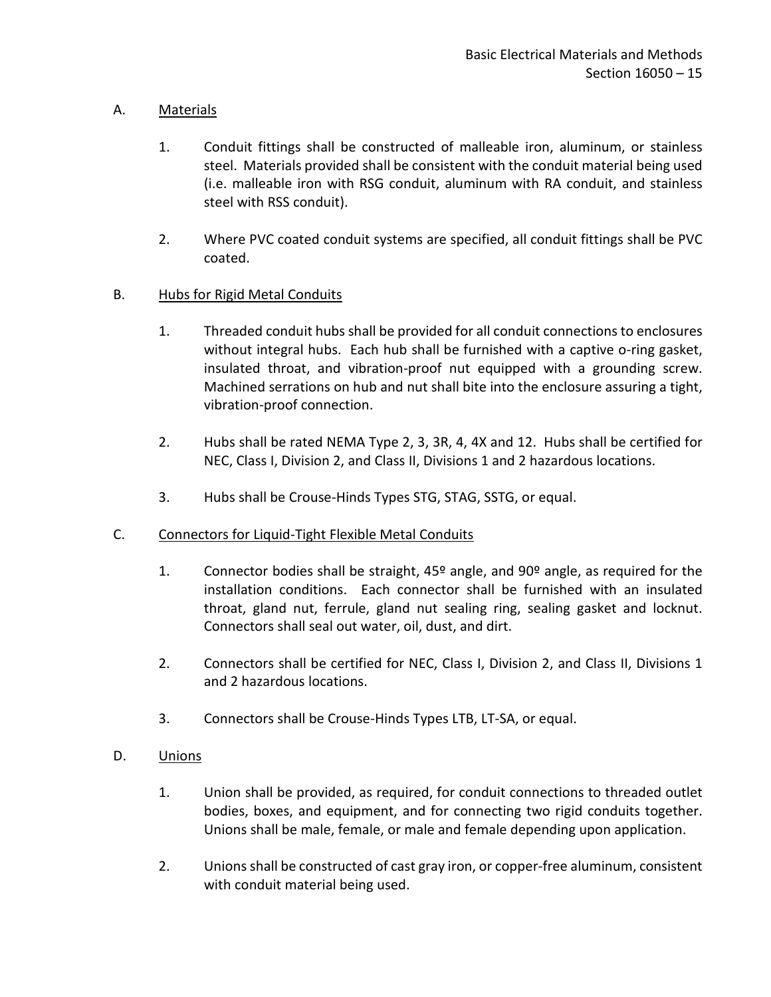## A. Materials

- 1. Conduit fittings shall be constructed of malleable iron, aluminum, or stainless steel. Materials provided shall be consistent with the conduit material being used (i.e. malleable iron with RSG conduit, aluminum with RA conduit, and stainless steel with RSS conduit).
- 2. Where PVC coated conduit systems are specified, all conduit fittings shall be PVC coated.

## B. Hubs for Rigid Metal Conduits

- 1. Threaded conduit hubs shall be provided for all conduit connections to enclosures without integral hubs. Each hub shall be furnished with a captive o-ring gasket, insulated throat, and vibration-proof nut equipped with a grounding screw. Machined serrations on hub and nut shall bite into the enclosure assuring a tight, vibration-proof connection.
- 2. Hubs shall be rated NEMA Type 2, 3, 3R, 4, 4X and 12. Hubs shall be certified for NEC, Class I, Division 2, and Class II, Divisions 1 and 2 hazardous locations.
- 3. Hubs shall be Crouse-Hinds Types STG, STAG, SSTG, or equal.
- C. Connectors for Liquid-Tight Flexible Metal Conduits
	- 1. Connector bodies shall be straight,  $45^{\circ}$  angle, and  $90^{\circ}$  angle, as required for the installation conditions. Each connector shall be furnished with an insulated throat, gland nut, ferrule, gland nut sealing ring, sealing gasket and locknut. Connectors shall seal out water, oil, dust, and dirt.
	- 2. Connectors shall be certified for NEC, Class I, Division 2, and Class II, Divisions 1 and 2 hazardous locations.
	- 3. Connectors shall be Crouse-Hinds Types LTB, LT-SA, or equal.
- D. Unions
	- 1. Union shall be provided, as required, for conduit connections to threaded outlet bodies, boxes, and equipment, and for connecting two rigid conduits together. Unions shall be male, female, or male and female depending upon application.
	- 2. Unions shall be constructed of cast gray iron, or copper-free aluminum, consistent with conduit material being used.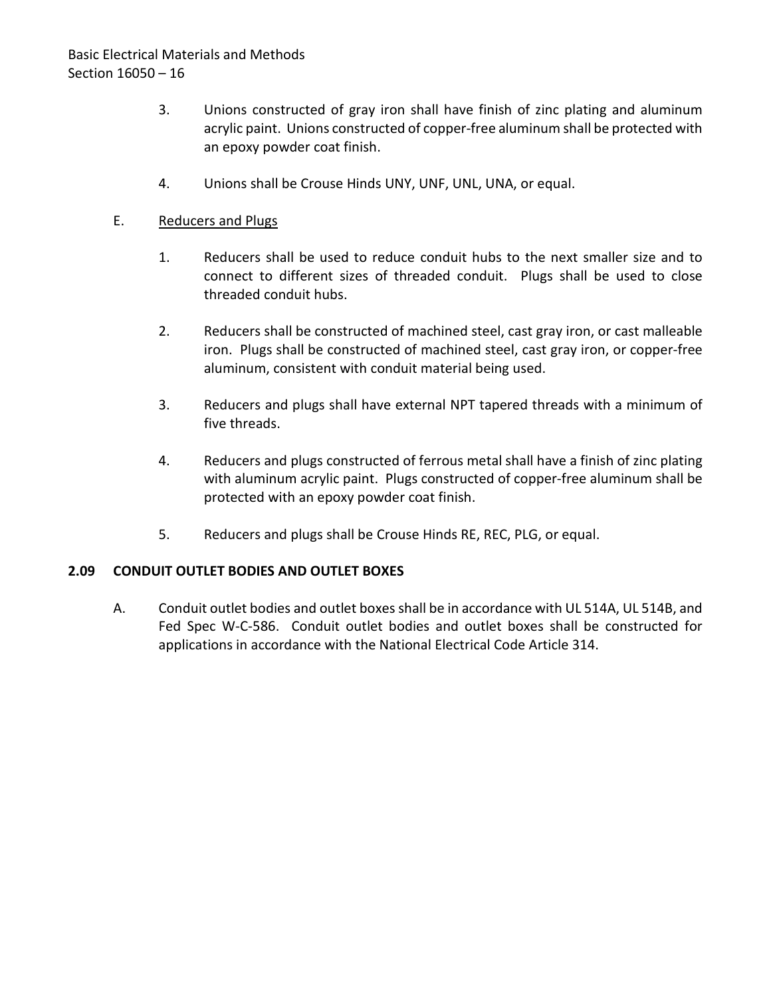# Basic Electrical Materials and Methods Section 16050 – 16

- 3. Unions constructed of gray iron shall have finish of zinc plating and aluminum acrylic paint. Unions constructed of copper-free aluminum shall be protected with an epoxy powder coat finish.
- 4. Unions shall be Crouse Hinds UNY, UNF, UNL, UNA, or equal.

### E. Reducers and Plugs

- 1. Reducers shall be used to reduce conduit hubs to the next smaller size and to connect to different sizes of threaded conduit. Plugs shall be used to close threaded conduit hubs.
- 2. Reducers shall be constructed of machined steel, cast gray iron, or cast malleable iron. Plugs shall be constructed of machined steel, cast gray iron, or copper-free aluminum, consistent with conduit material being used.
- 3. Reducers and plugs shall have external NPT tapered threads with a minimum of five threads.
- 4. Reducers and plugs constructed of ferrous metal shall have a finish of zinc plating with aluminum acrylic paint. Plugs constructed of copper-free aluminum shall be protected with an epoxy powder coat finish.
- 5. Reducers and plugs shall be Crouse Hinds RE, REC, PLG, or equal.

## <span id="page-17-0"></span>**2.09 CONDUIT OUTLET BODIES AND OUTLET BOXES**

A. Conduit outlet bodies and outlet boxes shall be in accordance with UL 514A, UL 514B, and Fed Spec W-C-586. Conduit outlet bodies and outlet boxes shall be constructed for applications in accordance with the National Electrical Code Article 314.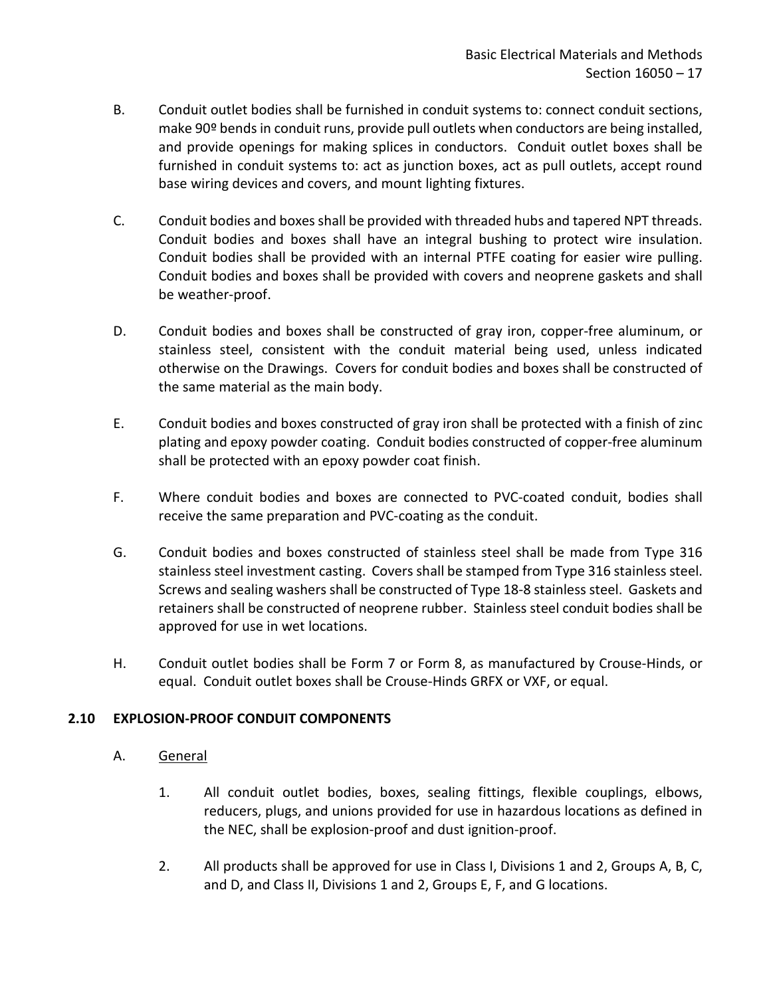- B. Conduit outlet bodies shall be furnished in conduit systems to: connect conduit sections, make 90º bends in conduit runs, provide pull outlets when conductors are being installed, and provide openings for making splices in conductors. Conduit outlet boxes shall be furnished in conduit systems to: act as junction boxes, act as pull outlets, accept round base wiring devices and covers, and mount lighting fixtures.
- C. Conduit bodies and boxes shall be provided with threaded hubs and tapered NPT threads. Conduit bodies and boxes shall have an integral bushing to protect wire insulation. Conduit bodies shall be provided with an internal PTFE coating for easier wire pulling. Conduit bodies and boxes shall be provided with covers and neoprene gaskets and shall be weather-proof.
- D. Conduit bodies and boxes shall be constructed of gray iron, copper-free aluminum, or stainless steel, consistent with the conduit material being used, unless indicated otherwise on the Drawings. Covers for conduit bodies and boxes shall be constructed of the same material as the main body.
- E. Conduit bodies and boxes constructed of gray iron shall be protected with a finish of zinc plating and epoxy powder coating. Conduit bodies constructed of copper-free aluminum shall be protected with an epoxy powder coat finish.
- F. Where conduit bodies and boxes are connected to PVC-coated conduit, bodies shall receive the same preparation and PVC-coating as the conduit.
- G. Conduit bodies and boxes constructed of stainless steel shall be made from Type 316 stainless steel investment casting. Covers shall be stamped from Type 316 stainless steel. Screws and sealing washers shall be constructed of Type 18-8 stainless steel. Gaskets and retainers shall be constructed of neoprene rubber. Stainless steel conduit bodies shall be approved for use in wet locations.
- H. Conduit outlet bodies shall be Form 7 or Form 8, as manufactured by Crouse-Hinds, or equal. Conduit outlet boxes shall be Crouse-Hinds GRFX or VXF, or equal.

## <span id="page-18-0"></span>**2.10 EXPLOSION-PROOF CONDUIT COMPONENTS**

- A. General
	- 1. All conduit outlet bodies, boxes, sealing fittings, flexible couplings, elbows, reducers, plugs, and unions provided for use in hazardous locations as defined in the NEC, shall be explosion-proof and dust ignition-proof.
	- 2. All products shall be approved for use in Class I, Divisions 1 and 2, Groups A, B, C, and D, and Class II, Divisions 1 and 2, Groups E, F, and G locations.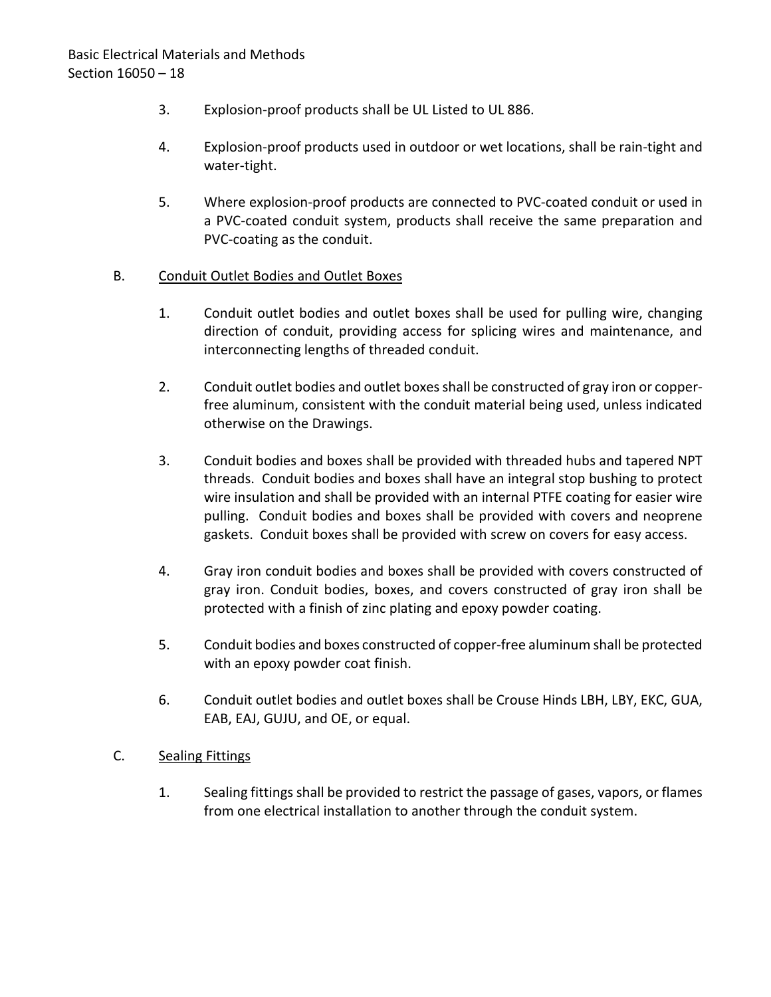- 3. Explosion-proof products shall be UL Listed to UL 886.
- 4. Explosion-proof products used in outdoor or wet locations, shall be rain-tight and water-tight.
- 5. Where explosion-proof products are connected to PVC-coated conduit or used in a PVC-coated conduit system, products shall receive the same preparation and PVC-coating as the conduit.

## B. Conduit Outlet Bodies and Outlet Boxes

- 1. Conduit outlet bodies and outlet boxes shall be used for pulling wire, changing direction of conduit, providing access for splicing wires and maintenance, and interconnecting lengths of threaded conduit.
- 2. Conduit outlet bodies and outlet boxesshall be constructed of gray iron or copperfree aluminum, consistent with the conduit material being used, unless indicated otherwise on the Drawings.
- 3. Conduit bodies and boxes shall be provided with threaded hubs and tapered NPT threads. Conduit bodies and boxes shall have an integral stop bushing to protect wire insulation and shall be provided with an internal PTFE coating for easier wire pulling. Conduit bodies and boxes shall be provided with covers and neoprene gaskets. Conduit boxes shall be provided with screw on covers for easy access.
- 4. Gray iron conduit bodies and boxes shall be provided with covers constructed of gray iron. Conduit bodies, boxes, and covers constructed of gray iron shall be protected with a finish of zinc plating and epoxy powder coating.
- 5. Conduit bodies and boxes constructed of copper-free aluminum shall be protected with an epoxy powder coat finish.
- 6. Conduit outlet bodies and outlet boxes shall be Crouse Hinds LBH, LBY, EKC, GUA, EAB, EAJ, GUJU, and OE, or equal.
- C. Sealing Fittings
	- 1. Sealing fittings shall be provided to restrict the passage of gases, vapors, or flames from one electrical installation to another through the conduit system.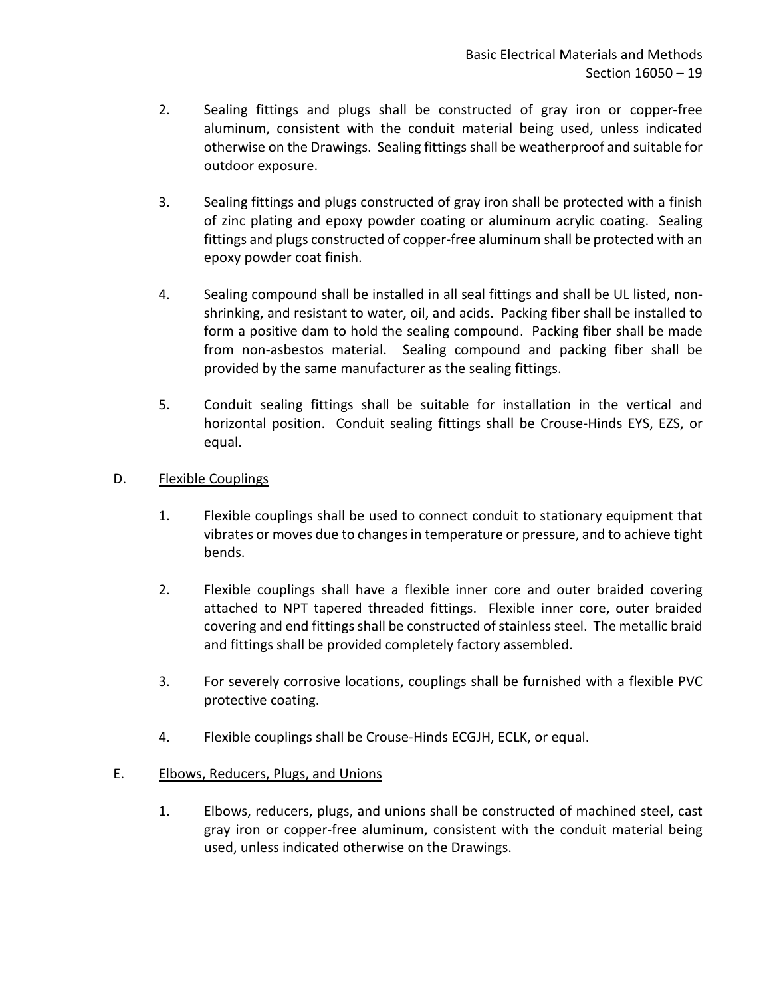- 2. Sealing fittings and plugs shall be constructed of gray iron or copper-free aluminum, consistent with the conduit material being used, unless indicated otherwise on the Drawings. Sealing fittings shall be weatherproof and suitable for outdoor exposure.
- 3. Sealing fittings and plugs constructed of gray iron shall be protected with a finish of zinc plating and epoxy powder coating or aluminum acrylic coating. Sealing fittings and plugs constructed of copper-free aluminum shall be protected with an epoxy powder coat finish.
- 4. Sealing compound shall be installed in all seal fittings and shall be UL listed, nonshrinking, and resistant to water, oil, and acids. Packing fiber shall be installed to form a positive dam to hold the sealing compound. Packing fiber shall be made from non-asbestos material. Sealing compound and packing fiber shall be provided by the same manufacturer as the sealing fittings.
- 5. Conduit sealing fittings shall be suitable for installation in the vertical and horizontal position. Conduit sealing fittings shall be Crouse-Hinds EYS, EZS, or equal.
- D. Flexible Couplings
	- 1. Flexible couplings shall be used to connect conduit to stationary equipment that vibrates or moves due to changes in temperature or pressure, and to achieve tight bends.
	- 2. Flexible couplings shall have a flexible inner core and outer braided covering attached to NPT tapered threaded fittings. Flexible inner core, outer braided covering and end fittings shall be constructed of stainless steel. The metallic braid and fittings shall be provided completely factory assembled.
	- 3. For severely corrosive locations, couplings shall be furnished with a flexible PVC protective coating.
	- 4. Flexible couplings shall be Crouse-Hinds ECGJH, ECLK, or equal.

## E. Elbows, Reducers, Plugs, and Unions

1. Elbows, reducers, plugs, and unions shall be constructed of machined steel, cast gray iron or copper-free aluminum, consistent with the conduit material being used, unless indicated otherwise on the Drawings.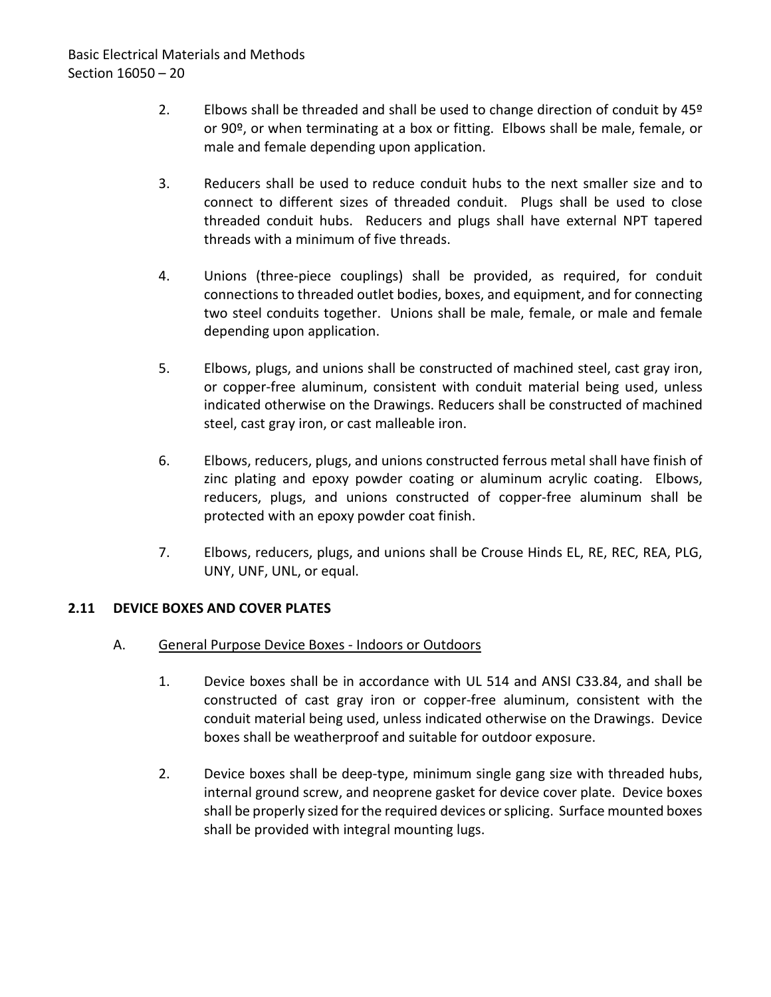- 2. Elbows shall be threaded and shall be used to change direction of conduit by 45<sup>o</sup> or 90º, or when terminating at a box or fitting. Elbows shall be male, female, or male and female depending upon application.
- 3. Reducers shall be used to reduce conduit hubs to the next smaller size and to connect to different sizes of threaded conduit. Plugs shall be used to close threaded conduit hubs. Reducers and plugs shall have external NPT tapered threads with a minimum of five threads.
- 4. Unions (three-piece couplings) shall be provided, as required, for conduit connections to threaded outlet bodies, boxes, and equipment, and for connecting two steel conduits together. Unions shall be male, female, or male and female depending upon application.
- 5. Elbows, plugs, and unions shall be constructed of machined steel, cast gray iron, or copper-free aluminum, consistent with conduit material being used, unless indicated otherwise on the Drawings. Reducers shall be constructed of machined steel, cast gray iron, or cast malleable iron.
- 6. Elbows, reducers, plugs, and unions constructed ferrous metal shall have finish of zinc plating and epoxy powder coating or aluminum acrylic coating. Elbows, reducers, plugs, and unions constructed of copper-free aluminum shall be protected with an epoxy powder coat finish.
- 7. Elbows, reducers, plugs, and unions shall be Crouse Hinds EL, RE, REC, REA, PLG, UNY, UNF, UNL, or equal.

## <span id="page-21-0"></span>**2.11 DEVICE BOXES AND COVER PLATES**

- A. General Purpose Device Boxes Indoors or Outdoors
	- 1. Device boxes shall be in accordance with UL 514 and ANSI C33.84, and shall be constructed of cast gray iron or copper-free aluminum, consistent with the conduit material being used, unless indicated otherwise on the Drawings. Device boxes shall be weatherproof and suitable for outdoor exposure.
	- 2. Device boxes shall be deep-type, minimum single gang size with threaded hubs, internal ground screw, and neoprene gasket for device cover plate. Device boxes shall be properly sized for the required devices or splicing. Surface mounted boxes shall be provided with integral mounting lugs.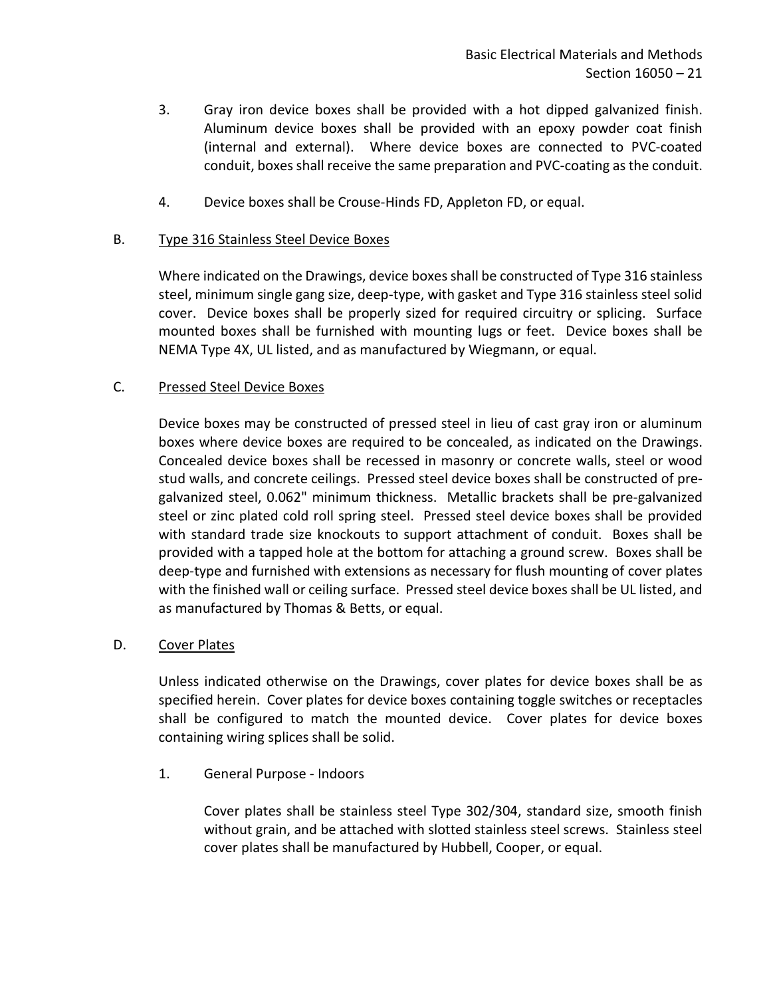- 3. Gray iron device boxes shall be provided with a hot dipped galvanized finish. Aluminum device boxes shall be provided with an epoxy powder coat finish (internal and external). Where device boxes are connected to PVC-coated conduit, boxes shall receive the same preparation and PVC-coating as the conduit.
- 4. Device boxes shall be Crouse-Hinds FD, Appleton FD, or equal.

## B. Type 316 Stainless Steel Device Boxes

Where indicated on the Drawings, device boxes shall be constructed of Type 316 stainless steel, minimum single gang size, deep-type, with gasket and Type 316 stainless steel solid cover. Device boxes shall be properly sized for required circuitry or splicing. Surface mounted boxes shall be furnished with mounting lugs or feet. Device boxes shall be NEMA Type 4X, UL listed, and as manufactured by Wiegmann, or equal.

## C. Pressed Steel Device Boxes

Device boxes may be constructed of pressed steel in lieu of cast gray iron or aluminum boxes where device boxes are required to be concealed, as indicated on the Drawings. Concealed device boxes shall be recessed in masonry or concrete walls, steel or wood stud walls, and concrete ceilings. Pressed steel device boxes shall be constructed of pregalvanized steel, 0.062" minimum thickness. Metallic brackets shall be pre-galvanized steel or zinc plated cold roll spring steel. Pressed steel device boxes shall be provided with standard trade size knockouts to support attachment of conduit. Boxes shall be provided with a tapped hole at the bottom for attaching a ground screw. Boxes shall be deep-type and furnished with extensions as necessary for flush mounting of cover plates with the finished wall or ceiling surface. Pressed steel device boxes shall be UL listed, and as manufactured by Thomas & Betts, or equal.

### D. Cover Plates

Unless indicated otherwise on the Drawings, cover plates for device boxes shall be as specified herein. Cover plates for device boxes containing toggle switches or receptacles shall be configured to match the mounted device. Cover plates for device boxes containing wiring splices shall be solid.

1. General Purpose - Indoors

Cover plates shall be stainless steel Type 302/304, standard size, smooth finish without grain, and be attached with slotted stainless steel screws. Stainless steel cover plates shall be manufactured by Hubbell, Cooper, or equal.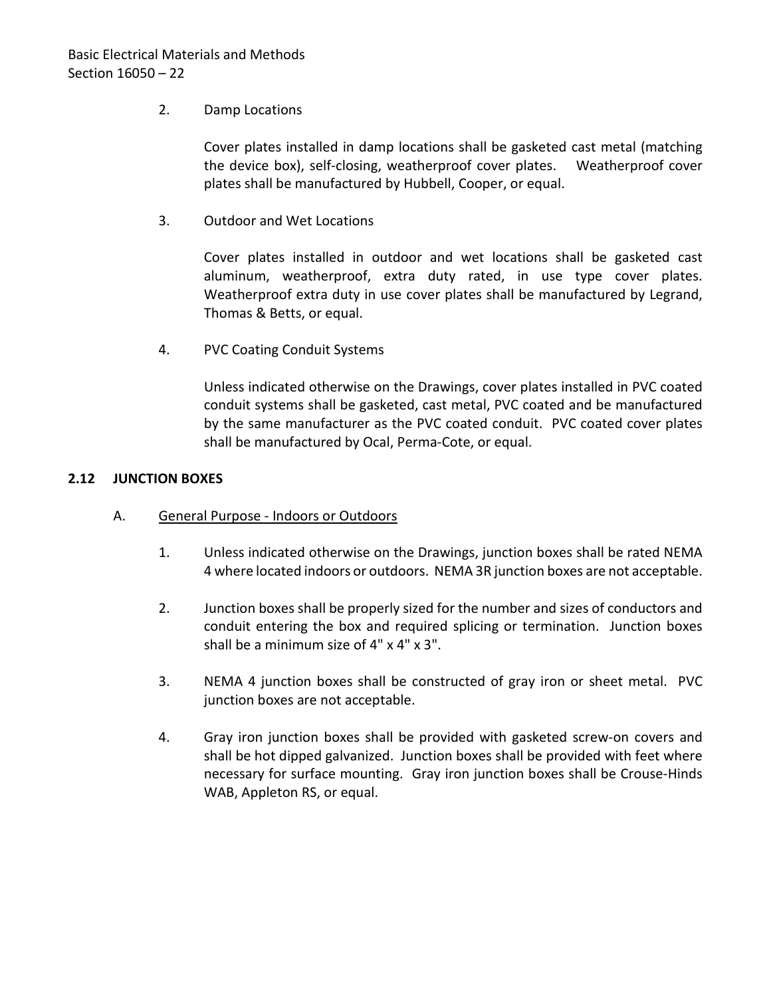## 2. Damp Locations

Cover plates installed in damp locations shall be gasketed cast metal (matching the device box), self-closing, weatherproof cover plates. Weatherproof cover plates shall be manufactured by Hubbell, Cooper, or equal.

3. Outdoor and Wet Locations

Cover plates installed in outdoor and wet locations shall be gasketed cast aluminum, weatherproof, extra duty rated, in use type cover plates. Weatherproof extra duty in use cover plates shall be manufactured by Legrand, Thomas & Betts, or equal.

4. PVC Coating Conduit Systems

Unless indicated otherwise on the Drawings, cover plates installed in PVC coated conduit systems shall be gasketed, cast metal, PVC coated and be manufactured by the same manufacturer as the PVC coated conduit. PVC coated cover plates shall be manufactured by Ocal, Perma-Cote, or equal.

### <span id="page-23-0"></span>**2.12 JUNCTION BOXES**

- A. General Purpose Indoors or Outdoors
	- 1. Unless indicated otherwise on the Drawings, junction boxes shall be rated NEMA 4 where located indoors or outdoors. NEMA 3R junction boxes are not acceptable.
	- 2. Junction boxes shall be properly sized for the number and sizes of conductors and conduit entering the box and required splicing or termination. Junction boxes shall be a minimum size of 4" x 4" x 3".
	- 3. NEMA 4 junction boxes shall be constructed of gray iron or sheet metal. PVC junction boxes are not acceptable.
	- 4. Gray iron junction boxes shall be provided with gasketed screw-on covers and shall be hot dipped galvanized. Junction boxes shall be provided with feet where necessary for surface mounting. Gray iron junction boxes shall be Crouse-Hinds WAB, Appleton RS, or equal.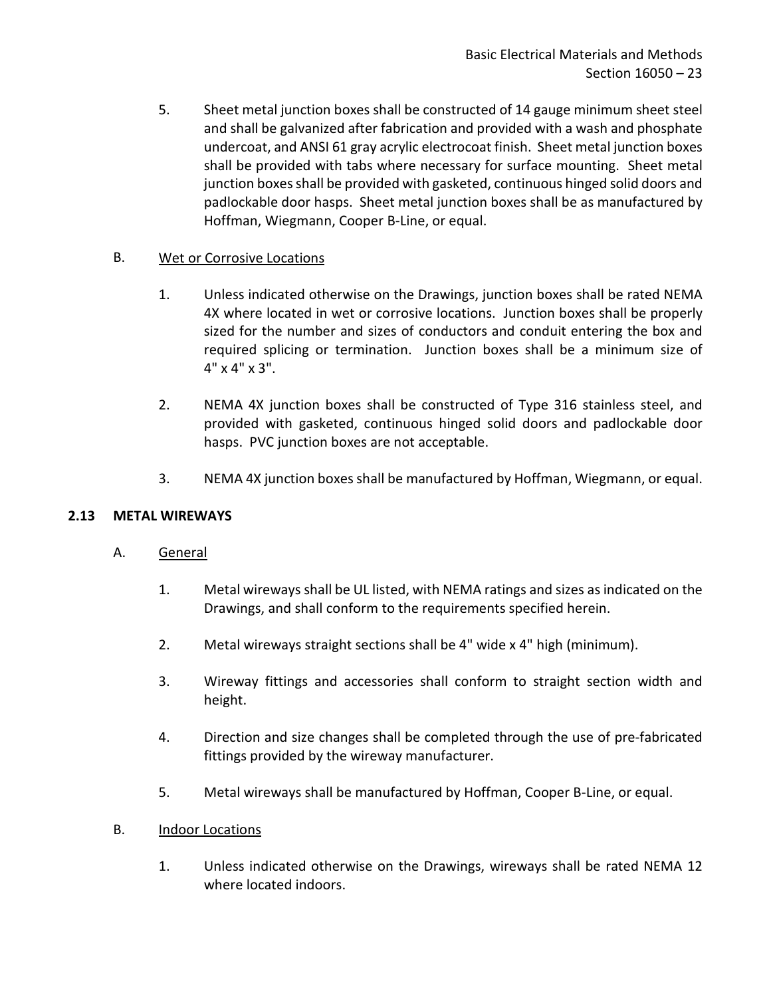5. Sheet metal junction boxes shall be constructed of 14 gauge minimum sheet steel and shall be galvanized after fabrication and provided with a wash and phosphate undercoat, and ANSI 61 gray acrylic electrocoat finish. Sheet metal junction boxes shall be provided with tabs where necessary for surface mounting. Sheet metal junction boxes shall be provided with gasketed, continuous hinged solid doors and padlockable door hasps. Sheet metal junction boxes shall be as manufactured by Hoffman, Wiegmann, Cooper B-Line, or equal.

## B. Wet or Corrosive Locations

- 1. Unless indicated otherwise on the Drawings, junction boxes shall be rated NEMA 4X where located in wet or corrosive locations. Junction boxes shall be properly sized for the number and sizes of conductors and conduit entering the box and required splicing or termination. Junction boxes shall be a minimum size of 4" x 4" x 3".
- 2. NEMA 4X junction boxes shall be constructed of Type 316 stainless steel, and provided with gasketed, continuous hinged solid doors and padlockable door hasps. PVC junction boxes are not acceptable.
- 3. NEMA 4X junction boxes shall be manufactured by Hoffman, Wiegmann, or equal.

## <span id="page-24-0"></span>**2.13 METAL WIREWAYS**

- A. General
	- 1. Metal wireways shall be UL listed, with NEMA ratings and sizes as indicated on the Drawings, and shall conform to the requirements specified herein.
	- 2. Metal wireways straight sections shall be 4" wide x 4" high (minimum).
	- 3. Wireway fittings and accessories shall conform to straight section width and height.
	- 4. Direction and size changes shall be completed through the use of pre-fabricated fittings provided by the wireway manufacturer.
	- 5. Metal wireways shall be manufactured by Hoffman, Cooper B-Line, or equal.
- B. **Indoor Locations** 
	- 1. Unless indicated otherwise on the Drawings, wireways shall be rated NEMA 12 where located indoors.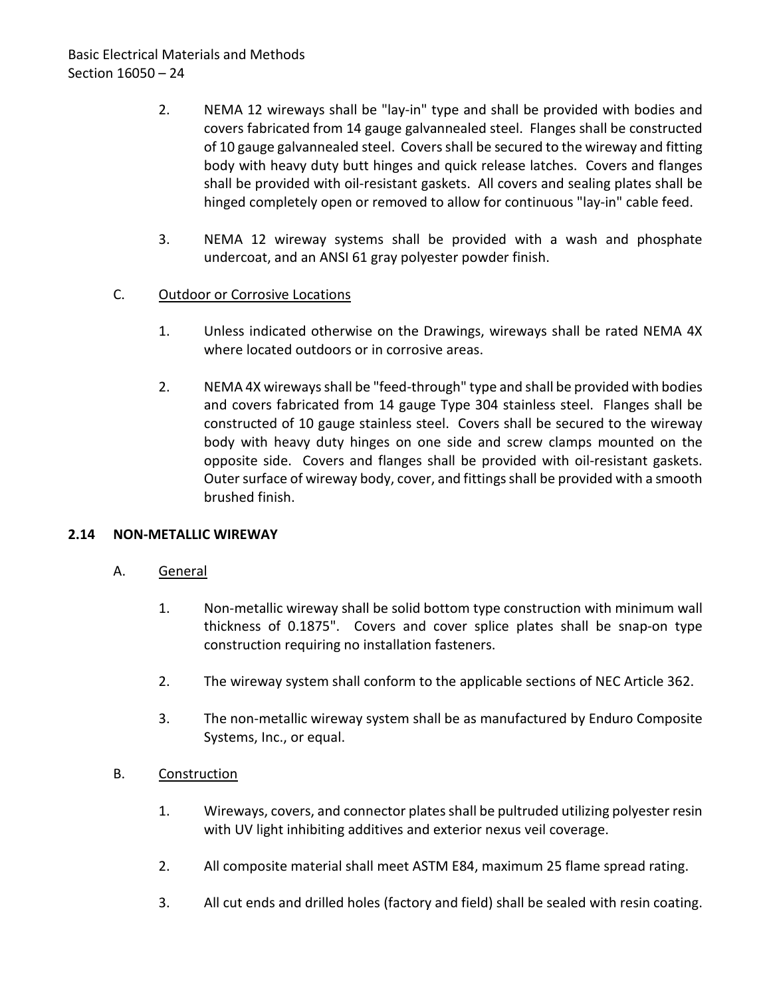- 2. NEMA 12 wireways shall be "lay-in" type and shall be provided with bodies and covers fabricated from 14 gauge galvannealed steel. Flanges shall be constructed of 10 gauge galvannealed steel. Covers shall be secured to the wireway and fitting body with heavy duty butt hinges and quick release latches. Covers and flanges shall be provided with oil-resistant gaskets. All covers and sealing plates shall be hinged completely open or removed to allow for continuous "lay-in" cable feed.
- 3. NEMA 12 wireway systems shall be provided with a wash and phosphate undercoat, and an ANSI 61 gray polyester powder finish.

## C. Outdoor or Corrosive Locations

- 1. Unless indicated otherwise on the Drawings, wireways shall be rated NEMA 4X where located outdoors or in corrosive areas.
- 2. NEMA 4X wireways shall be "feed-through" type and shall be provided with bodies and covers fabricated from 14 gauge Type 304 stainless steel. Flanges shall be constructed of 10 gauge stainless steel. Covers shall be secured to the wireway body with heavy duty hinges on one side and screw clamps mounted on the opposite side. Covers and flanges shall be provided with oil-resistant gaskets. Outer surface of wireway body, cover, and fittings shall be provided with a smooth brushed finish.

### <span id="page-25-0"></span>**2.14 NON-METALLIC WIREWAY**

### A. General

- 1. Non-metallic wireway shall be solid bottom type construction with minimum wall thickness of 0.1875". Covers and cover splice plates shall be snap-on type construction requiring no installation fasteners.
- 2. The wireway system shall conform to the applicable sections of NEC Article 362.
- 3. The non-metallic wireway system shall be as manufactured by Enduro Composite Systems, Inc., or equal.

### B. Construction

- 1. Wireways, covers, and connector plates shall be pultruded utilizing polyester resin with UV light inhibiting additives and exterior nexus veil coverage.
- 2. All composite material shall meet ASTM E84, maximum 25 flame spread rating.
- 3. All cut ends and drilled holes (factory and field) shall be sealed with resin coating.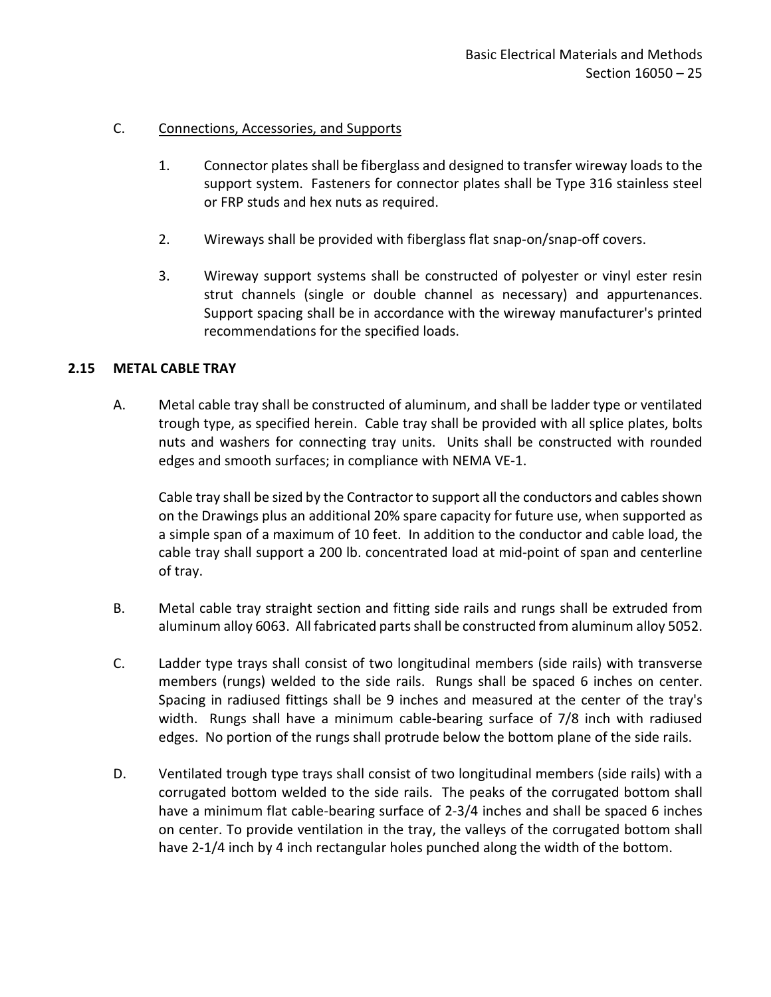## C. Connections, Accessories, and Supports

- 1. Connector plates shall be fiberglass and designed to transfer wireway loads to the support system. Fasteners for connector plates shall be Type 316 stainless steel or FRP studs and hex nuts as required.
- 2. Wireways shall be provided with fiberglass flat snap-on/snap-off covers.
- 3. Wireway support systems shall be constructed of polyester or vinyl ester resin strut channels (single or double channel as necessary) and appurtenances. Support spacing shall be in accordance with the wireway manufacturer's printed recommendations for the specified loads.

## <span id="page-26-0"></span>**2.15 METAL CABLE TRAY**

A. Metal cable tray shall be constructed of aluminum, and shall be ladder type or ventilated trough type, as specified herein. Cable tray shall be provided with all splice plates, bolts nuts and washers for connecting tray units. Units shall be constructed with rounded edges and smooth surfaces; in compliance with NEMA VE-1.

Cable tray shall be sized by the Contractor to support all the conductors and cables shown on the Drawings plus an additional 20% spare capacity for future use, when supported as a simple span of a maximum of 10 feet. In addition to the conductor and cable load, the cable tray shall support a 200 lb. concentrated load at mid-point of span and centerline of tray.

- B. Metal cable tray straight section and fitting side rails and rungs shall be extruded from aluminum alloy 6063. All fabricated parts shall be constructed from aluminum alloy 5052.
- C. Ladder type trays shall consist of two longitudinal members (side rails) with transverse members (rungs) welded to the side rails. Rungs shall be spaced 6 inches on center. Spacing in radiused fittings shall be 9 inches and measured at the center of the tray's width. Rungs shall have a minimum cable-bearing surface of 7/8 inch with radiused edges. No portion of the rungs shall protrude below the bottom plane of the side rails.
- D. Ventilated trough type trays shall consist of two longitudinal members (side rails) with a corrugated bottom welded to the side rails. The peaks of the corrugated bottom shall have a minimum flat cable-bearing surface of 2-3/4 inches and shall be spaced 6 inches on center. To provide ventilation in the tray, the valleys of the corrugated bottom shall have 2-1/4 inch by 4 inch rectangular holes punched along the width of the bottom.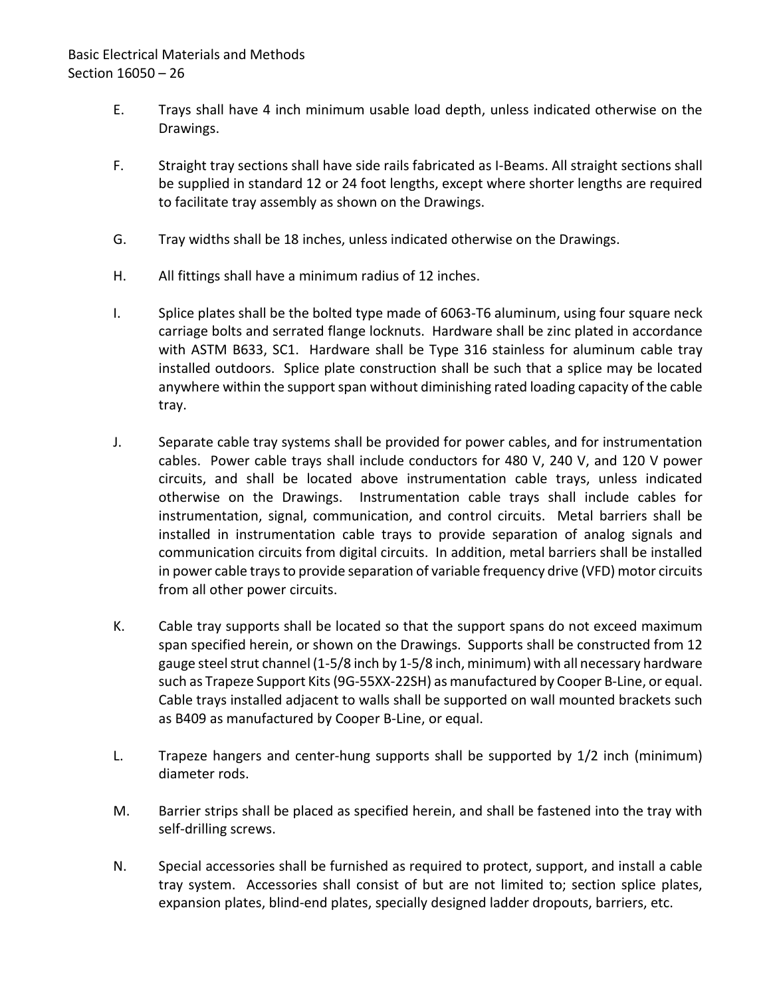# Basic Electrical Materials and Methods Section 16050 – 26

- E. Trays shall have 4 inch minimum usable load depth, unless indicated otherwise on the Drawings.
- F. Straight tray sections shall have side rails fabricated as I-Beams. All straight sections shall be supplied in standard 12 or 24 foot lengths, except where shorter lengths are required to facilitate tray assembly as shown on the Drawings.
- G. Tray widths shall be 18 inches, unless indicated otherwise on the Drawings.
- H. All fittings shall have a minimum radius of 12 inches.
- I. Splice plates shall be the bolted type made of 6063-T6 aluminum, using four square neck carriage bolts and serrated flange locknuts. Hardware shall be zinc plated in accordance with ASTM B633, SC1. Hardware shall be Type 316 stainless for aluminum cable tray installed outdoors. Splice plate construction shall be such that a splice may be located anywhere within the support span without diminishing rated loading capacity of the cable tray.
- J. Separate cable tray systems shall be provided for power cables, and for instrumentation cables. Power cable trays shall include conductors for 480 V, 240 V, and 120 V power circuits, and shall be located above instrumentation cable trays, unless indicated otherwise on the Drawings. Instrumentation cable trays shall include cables for instrumentation, signal, communication, and control circuits. Metal barriers shall be installed in instrumentation cable trays to provide separation of analog signals and communication circuits from digital circuits. In addition, metal barriers shall be installed in power cable trays to provide separation of variable frequency drive (VFD) motor circuits from all other power circuits.
- K. Cable tray supports shall be located so that the support spans do not exceed maximum span specified herein, or shown on the Drawings. Supports shall be constructed from 12 gauge steel strut channel (1-5/8 inch by 1-5/8 inch, minimum) with all necessary hardware such as Trapeze Support Kits (9G-55XX-22SH) as manufactured by Cooper B-Line, or equal. Cable trays installed adjacent to walls shall be supported on wall mounted brackets such as B409 as manufactured by Cooper B-Line, or equal.
- L. Trapeze hangers and center-hung supports shall be supported by 1/2 inch (minimum) diameter rods.
- M. Barrier strips shall be placed as specified herein, and shall be fastened into the tray with self-drilling screws.
- N. Special accessories shall be furnished as required to protect, support, and install a cable tray system. Accessories shall consist of but are not limited to; section splice plates, expansion plates, blind-end plates, specially designed ladder dropouts, barriers, etc.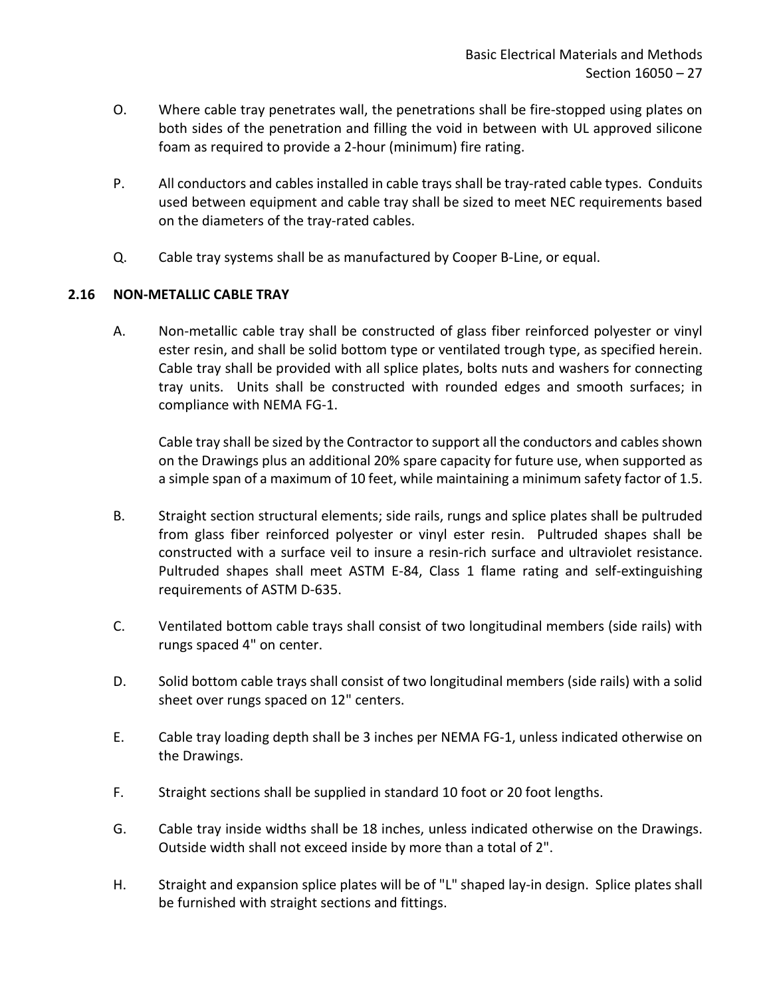- O. Where cable tray penetrates wall, the penetrations shall be fire-stopped using plates on both sides of the penetration and filling the void in between with UL approved silicone foam as required to provide a 2-hour (minimum) fire rating.
- P. All conductors and cables installed in cable trays shall be tray-rated cable types. Conduits used between equipment and cable tray shall be sized to meet NEC requirements based on the diameters of the tray-rated cables.
- Q. Cable tray systems shall be as manufactured by Cooper B-Line, or equal.

# <span id="page-28-0"></span>**2.16 NON-METALLIC CABLE TRAY**

A. Non-metallic cable tray shall be constructed of glass fiber reinforced polyester or vinyl ester resin, and shall be solid bottom type or ventilated trough type, as specified herein. Cable tray shall be provided with all splice plates, bolts nuts and washers for connecting tray units. Units shall be constructed with rounded edges and smooth surfaces; in compliance with NEMA FG-1.

Cable tray shall be sized by the Contractor to support all the conductors and cables shown on the Drawings plus an additional 20% spare capacity for future use, when supported as a simple span of a maximum of 10 feet, while maintaining a minimum safety factor of 1.5.

- B. Straight section structural elements; side rails, rungs and splice plates shall be pultruded from glass fiber reinforced polyester or vinyl ester resin. Pultruded shapes shall be constructed with a surface veil to insure a resin-rich surface and ultraviolet resistance. Pultruded shapes shall meet ASTM E-84, Class 1 flame rating and self-extinguishing requirements of ASTM D-635.
- C. Ventilated bottom cable trays shall consist of two longitudinal members (side rails) with rungs spaced 4" on center.
- D. Solid bottom cable trays shall consist of two longitudinal members (side rails) with a solid sheet over rungs spaced on 12" centers.
- E. Cable tray loading depth shall be 3 inches per NEMA FG-1, unless indicated otherwise on the Drawings.
- F. Straight sections shall be supplied in standard 10 foot or 20 foot lengths.
- G. Cable tray inside widths shall be 18 inches, unless indicated otherwise on the Drawings. Outside width shall not exceed inside by more than a total of 2".
- H. Straight and expansion splice plates will be of "L" shaped lay-in design. Splice plates shall be furnished with straight sections and fittings.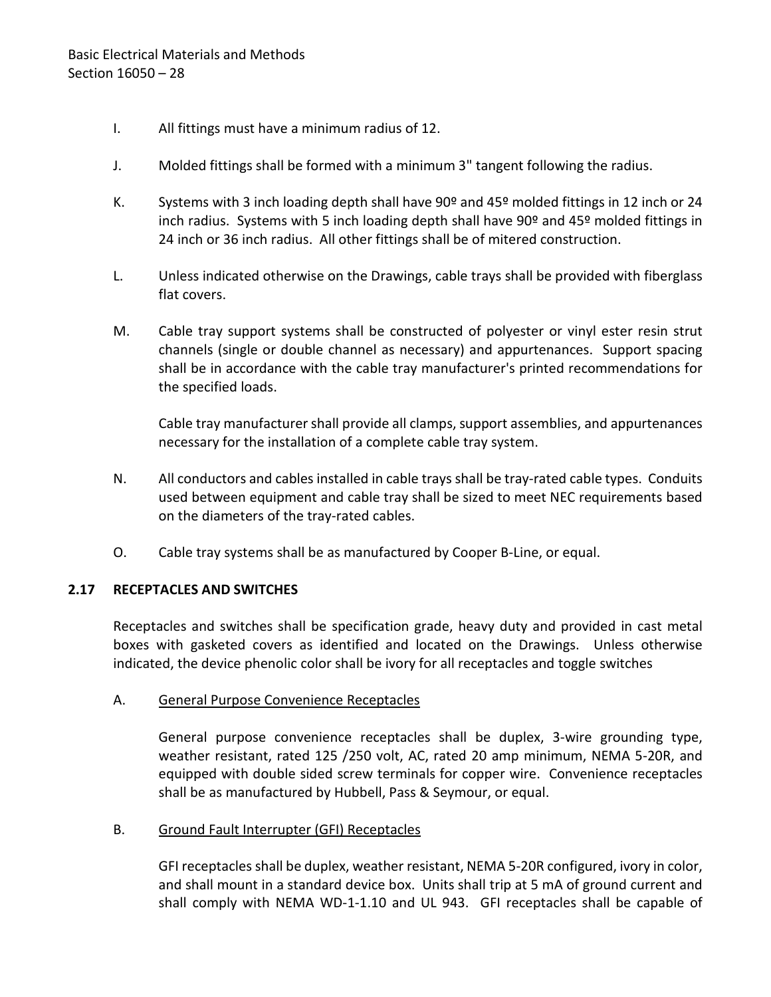- I. All fittings must have a minimum radius of 12.
- J. Molded fittings shall be formed with a minimum 3" tangent following the radius.
- K. Systems with 3 inch loading depth shall have  $90^{\circ}$  and 45° molded fittings in 12 inch or 24 inch radius. Systems with 5 inch loading depth shall have 90<sup>o</sup> and 45<sup>o</sup> molded fittings in 24 inch or 36 inch radius. All other fittings shall be of mitered construction.
- L. Unless indicated otherwise on the Drawings, cable trays shall be provided with fiberglass flat covers.
- M. Cable tray support systems shall be constructed of polyester or vinyl ester resin strut channels (single or double channel as necessary) and appurtenances. Support spacing shall be in accordance with the cable tray manufacturer's printed recommendations for the specified loads.

Cable tray manufacturer shall provide all clamps, support assemblies, and appurtenances necessary for the installation of a complete cable tray system.

- N. All conductors and cables installed in cable trays shall be tray-rated cable types. Conduits used between equipment and cable tray shall be sized to meet NEC requirements based on the diameters of the tray-rated cables.
- O. Cable tray systems shall be as manufactured by Cooper B-Line, or equal.

### <span id="page-29-0"></span>**2.17 RECEPTACLES AND SWITCHES**

Receptacles and switches shall be specification grade, heavy duty and provided in cast metal boxes with gasketed covers as identified and located on the Drawings. Unless otherwise indicated, the device phenolic color shall be ivory for all receptacles and toggle switches

### A. General Purpose Convenience Receptacles

General purpose convenience receptacles shall be duplex, 3-wire grounding type, weather resistant, rated 125 /250 volt, AC, rated 20 amp minimum, NEMA 5-20R, and equipped with double sided screw terminals for copper wire. Convenience receptacles shall be as manufactured by Hubbell, Pass & Seymour, or equal.

### B. Ground Fault Interrupter (GFI) Receptacles

GFI receptacles shall be duplex, weather resistant, NEMA 5-20R configured, ivory in color, and shall mount in a standard device box. Units shall trip at 5 mA of ground current and shall comply with NEMA WD-1-1.10 and UL 943. GFI receptacles shall be capable of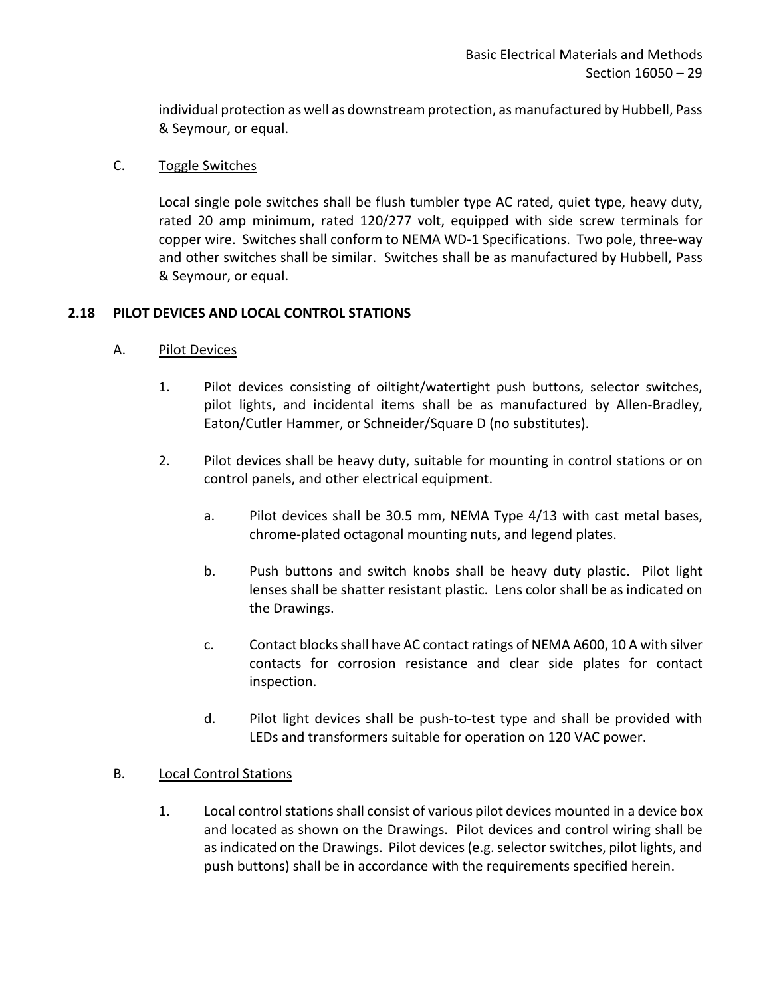individual protection as well as downstream protection, as manufactured by Hubbell, Pass & Seymour, or equal.

### C. Toggle Switches

Local single pole switches shall be flush tumbler type AC rated, quiet type, heavy duty, rated 20 amp minimum, rated 120/277 volt, equipped with side screw terminals for copper wire. Switches shall conform to NEMA WD-1 Specifications. Two pole, three-way and other switches shall be similar. Switches shall be as manufactured by Hubbell, Pass & Seymour, or equal.

## <span id="page-30-0"></span>**2.18 PILOT DEVICES AND LOCAL CONTROL STATIONS**

## A. Pilot Devices

- 1. Pilot devices consisting of oiltight/watertight push buttons, selector switches, pilot lights, and incidental items shall be as manufactured by Allen-Bradley, Eaton/Cutler Hammer, or Schneider/Square D (no substitutes).
- 2. Pilot devices shall be heavy duty, suitable for mounting in control stations or on control panels, and other electrical equipment.
	- a. Pilot devices shall be 30.5 mm, NEMA Type 4/13 with cast metal bases, chrome-plated octagonal mounting nuts, and legend plates.
	- b. Push buttons and switch knobs shall be heavy duty plastic. Pilot light lenses shall be shatter resistant plastic. Lens color shall be as indicated on the Drawings.
	- c. Contact blocks shall have AC contact ratings of NEMA A600, 10 A with silver contacts for corrosion resistance and clear side plates for contact inspection.
	- d. Pilot light devices shall be push-to-test type and shall be provided with LEDs and transformers suitable for operation on 120 VAC power.

### B. Local Control Stations

1. Local control stations shall consist of various pilot devices mounted in a device box and located as shown on the Drawings. Pilot devices and control wiring shall be as indicated on the Drawings. Pilot devices (e.g. selector switches, pilot lights, and push buttons) shall be in accordance with the requirements specified herein.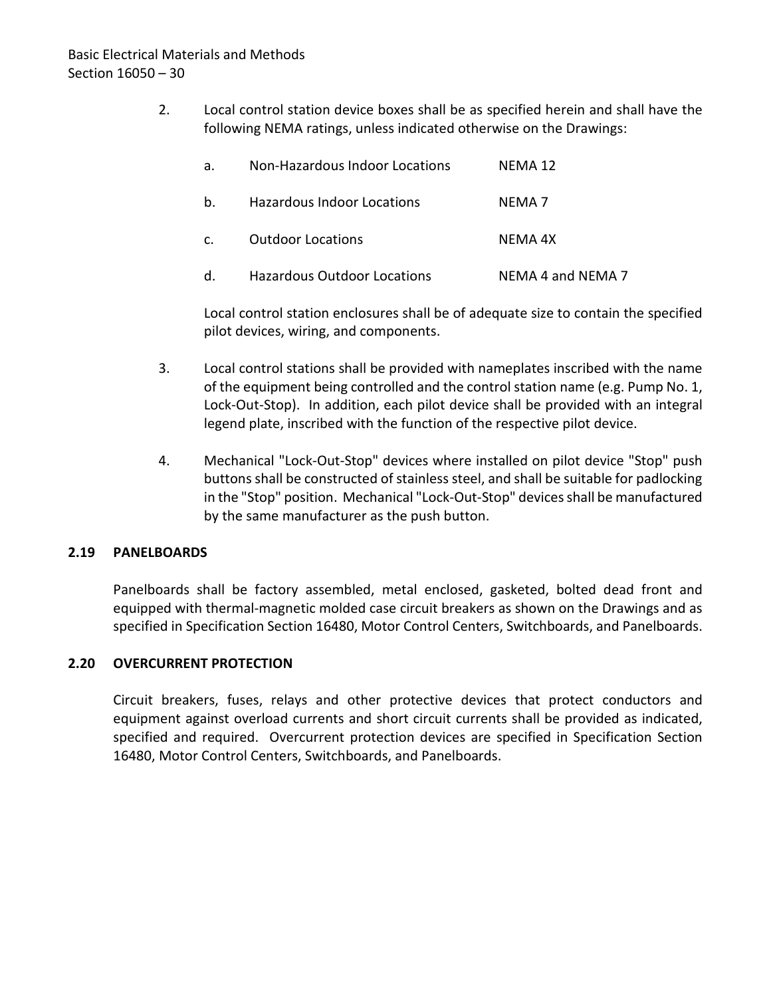2. Local control station device boxes shall be as specified herein and shall have the following NEMA ratings, unless indicated otherwise on the Drawings:

| а.             | Non-Hazardous Indoor Locations | NFMA 12           |
|----------------|--------------------------------|-------------------|
| b.             | Hazardous Indoor Locations     | NFMA 7            |
| $\mathsf{C}$ . | <b>Outdoor Locations</b>       | NFMA 4X           |
| d.             | Hazardous Outdoor Locations    | NEMA 4 and NEMA 7 |

Local control station enclosures shall be of adequate size to contain the specified pilot devices, wiring, and components.

- 3. Local control stations shall be provided with nameplates inscribed with the name of the equipment being controlled and the control station name (e.g. Pump No. 1, Lock-Out-Stop). In addition, each pilot device shall be provided with an integral legend plate, inscribed with the function of the respective pilot device.
- 4. Mechanical "Lock-Out-Stop" devices where installed on pilot device "Stop" push buttons shall be constructed of stainless steel, and shall be suitable for padlocking in the "Stop" position. Mechanical "Lock-Out-Stop" devices shall be manufactured by the same manufacturer as the push button.

## <span id="page-31-0"></span>**2.19 PANELBOARDS**

Panelboards shall be factory assembled, metal enclosed, gasketed, bolted dead front and equipped with thermal-magnetic molded case circuit breakers as shown on the Drawings and as specified in Specification Section 16480, Motor Control Centers, Switchboards, and Panelboards.

## <span id="page-31-1"></span>**2.20 OVERCURRENT PROTECTION**

Circuit breakers, fuses, relays and other protective devices that protect conductors and equipment against overload currents and short circuit currents shall be provided as indicated, specified and required. Overcurrent protection devices are specified in Specification Section 16480, Motor Control Centers, Switchboards, and Panelboards.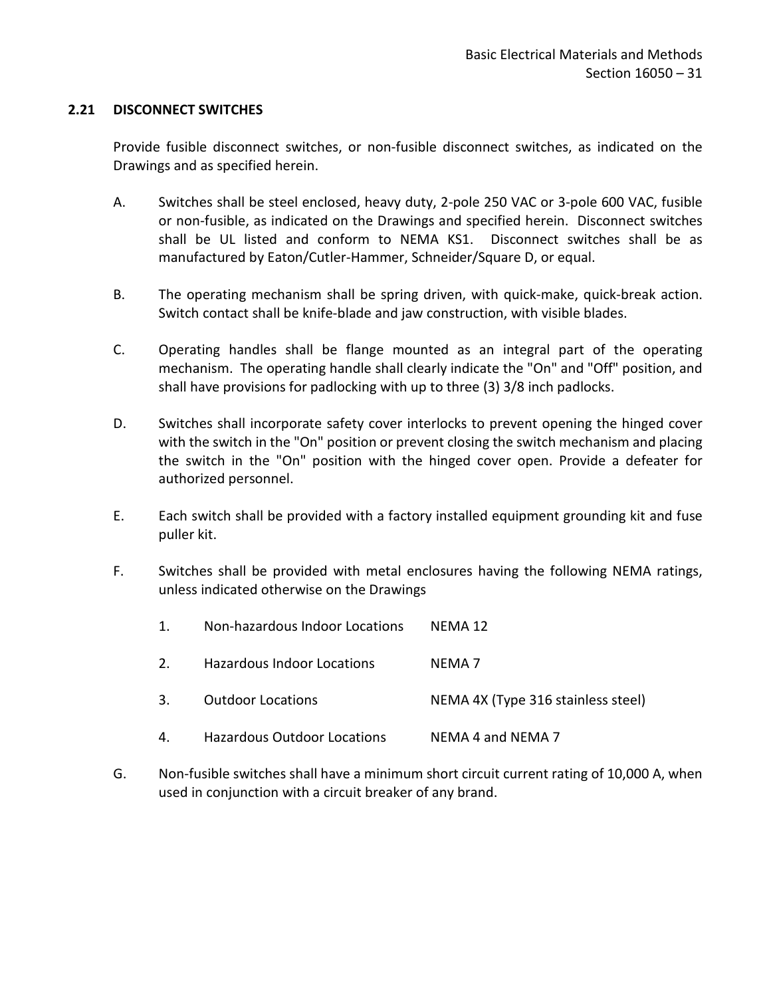### <span id="page-32-0"></span>**2.21 DISCONNECT SWITCHES**

Provide fusible disconnect switches, or non-fusible disconnect switches, as indicated on the Drawings and as specified herein.

- A. Switches shall be steel enclosed, heavy duty, 2-pole 250 VAC or 3-pole 600 VAC, fusible or non-fusible, as indicated on the Drawings and specified herein. Disconnect switches shall be UL listed and conform to NEMA KS1. Disconnect switches shall be as manufactured by Eaton/Cutler-Hammer, Schneider/Square D, or equal.
- B. The operating mechanism shall be spring driven, with quick-make, quick-break action. Switch contact shall be knife-blade and jaw construction, with visible blades.
- C. Operating handles shall be flange mounted as an integral part of the operating mechanism. The operating handle shall clearly indicate the "On" and "Off" position, and shall have provisions for padlocking with up to three (3) 3/8 inch padlocks.
- D. Switches shall incorporate safety cover interlocks to prevent opening the hinged cover with the switch in the "On" position or prevent closing the switch mechanism and placing the switch in the "On" position with the hinged cover open. Provide a defeater for authorized personnel.
- E. Each switch shall be provided with a factory installed equipment grounding kit and fuse puller kit.
- F. Switches shall be provided with metal enclosures having the following NEMA ratings, unless indicated otherwise on the Drawings
	- 1. Non-hazardous Indoor Locations NEMA 12
	- 2. Hazardous Indoor Locations NEMA 7
	- 3. Outdoor Locations NEMA 4X (Type 316 stainless steel)
	- 4. Hazardous Outdoor Locations NEMA 4 and NEMA 7
- G. Non-fusible switches shall have a minimum short circuit current rating of 10,000 A, when used in conjunction with a circuit breaker of any brand.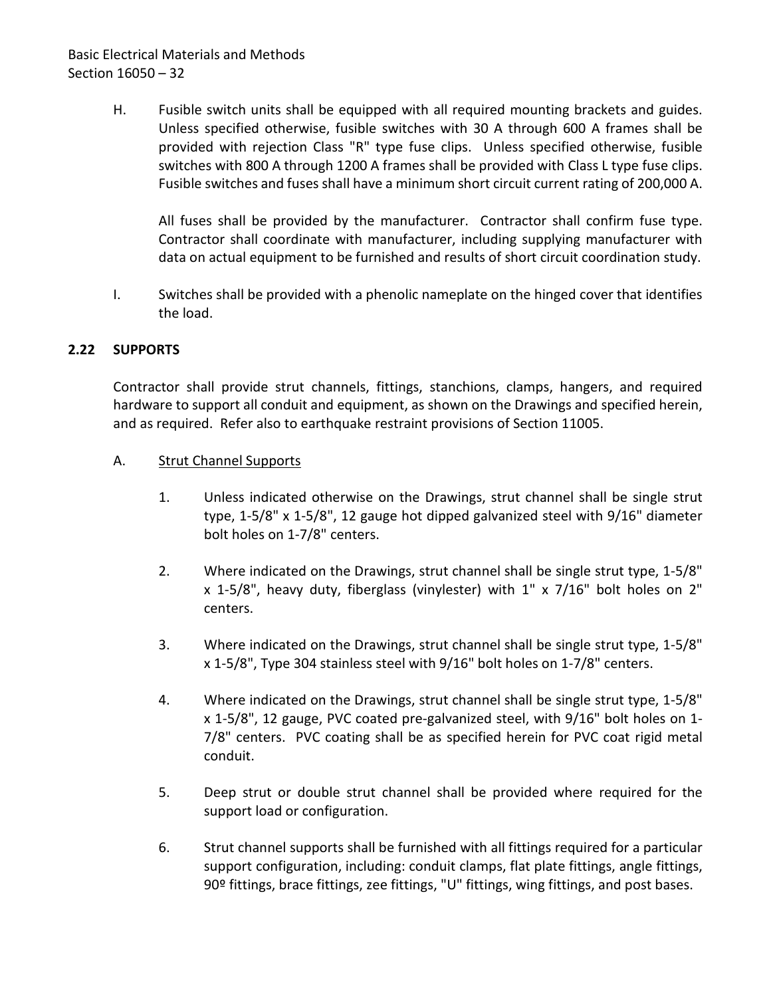# Basic Electrical Materials and Methods Section 16050 – 32

H. Fusible switch units shall be equipped with all required mounting brackets and guides. Unless specified otherwise, fusible switches with 30 A through 600 A frames shall be provided with rejection Class "R" type fuse clips. Unless specified otherwise, fusible switches with 800 A through 1200 A frames shall be provided with Class L type fuse clips. Fusible switches and fuses shall have a minimum short circuit current rating of 200,000 A.

All fuses shall be provided by the manufacturer. Contractor shall confirm fuse type. Contractor shall coordinate with manufacturer, including supplying manufacturer with data on actual equipment to be furnished and results of short circuit coordination study.

I. Switches shall be provided with a phenolic nameplate on the hinged cover that identifies the load.

## <span id="page-33-0"></span>**2.22 SUPPORTS**

Contractor shall provide strut channels, fittings, stanchions, clamps, hangers, and required hardware to support all conduit and equipment, as shown on the Drawings and specified herein, and as required. Refer also to earthquake restraint provisions of Section 11005.

## A. Strut Channel Supports

- 1. Unless indicated otherwise on the Drawings, strut channel shall be single strut type, 1-5/8" x 1-5/8", 12 gauge hot dipped galvanized steel with 9/16" diameter bolt holes on 1-7/8" centers.
- 2. Where indicated on the Drawings, strut channel shall be single strut type, 1-5/8" x 1-5/8", heavy duty, fiberglass (vinylester) with 1" x 7/16" bolt holes on 2" centers.
- 3. Where indicated on the Drawings, strut channel shall be single strut type, 1-5/8" x 1-5/8", Type 304 stainless steel with 9/16" bolt holes on 1-7/8" centers.
- 4. Where indicated on the Drawings, strut channel shall be single strut type, 1-5/8" x 1-5/8", 12 gauge, PVC coated pre-galvanized steel, with 9/16" bolt holes on 1- 7/8" centers. PVC coating shall be as specified herein for PVC coat rigid metal conduit.
- 5. Deep strut or double strut channel shall be provided where required for the support load or configuration.
- 6. Strut channel supports shall be furnished with all fittings required for a particular support configuration, including: conduit clamps, flat plate fittings, angle fittings, 90º fittings, brace fittings, zee fittings, "U" fittings, wing fittings, and post bases.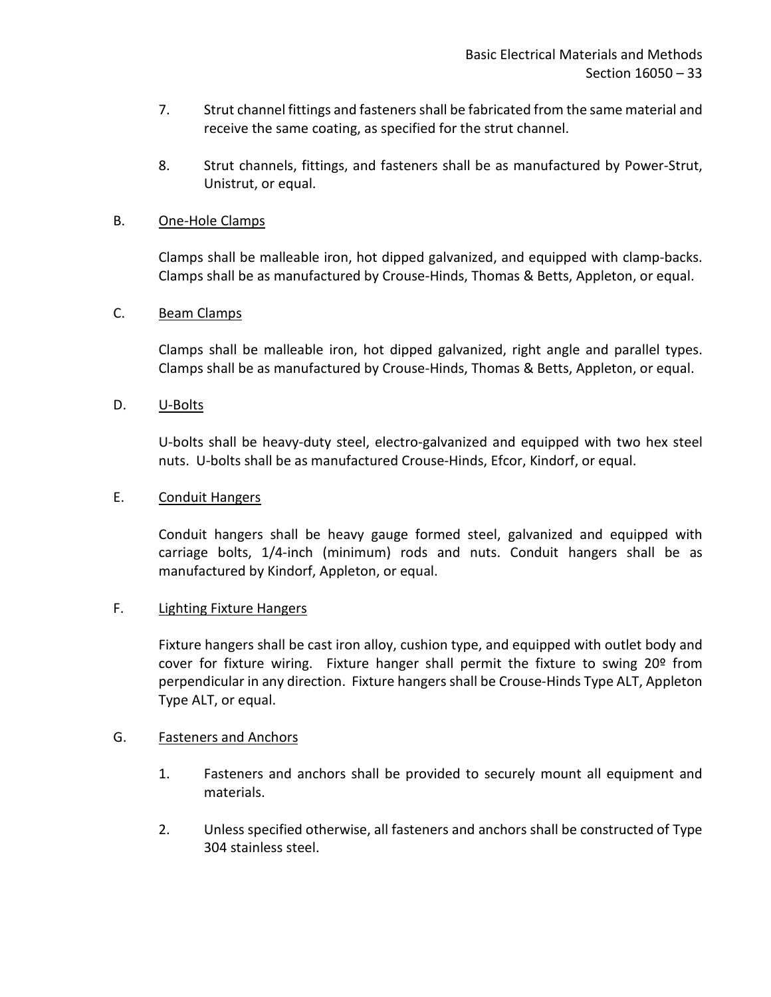- 7. Strut channel fittings and fasteners shall be fabricated from the same material and receive the same coating, as specified for the strut channel.
- 8. Strut channels, fittings, and fasteners shall be as manufactured by Power-Strut, Unistrut, or equal.

### B. One-Hole Clamps

Clamps shall be malleable iron, hot dipped galvanized, and equipped with clamp-backs. Clamps shall be as manufactured by Crouse-Hinds, Thomas & Betts, Appleton, or equal.

## C. Beam Clamps

Clamps shall be malleable iron, hot dipped galvanized, right angle and parallel types. Clamps shall be as manufactured by Crouse-Hinds, Thomas & Betts, Appleton, or equal.

## D. U-Bolts

U-bolts shall be heavy-duty steel, electro-galvanized and equipped with two hex steel nuts. U-bolts shall be as manufactured Crouse-Hinds, Efcor, Kindorf, or equal.

### E. Conduit Hangers

Conduit hangers shall be heavy gauge formed steel, galvanized and equipped with carriage bolts, 1/4-inch (minimum) rods and nuts. Conduit hangers shall be as manufactured by Kindorf, Appleton, or equal.

### F. Lighting Fixture Hangers

Fixture hangers shall be cast iron alloy, cushion type, and equipped with outlet body and cover for fixture wiring. Fixture hanger shall permit the fixture to swing  $20^{\circ}$  from perpendicular in any direction. Fixture hangers shall be Crouse-Hinds Type ALT, Appleton Type ALT, or equal.

### G. Fasteners and Anchors

- 1. Fasteners and anchors shall be provided to securely mount all equipment and materials.
- 2. Unless specified otherwise, all fasteners and anchors shall be constructed of Type 304 stainless steel.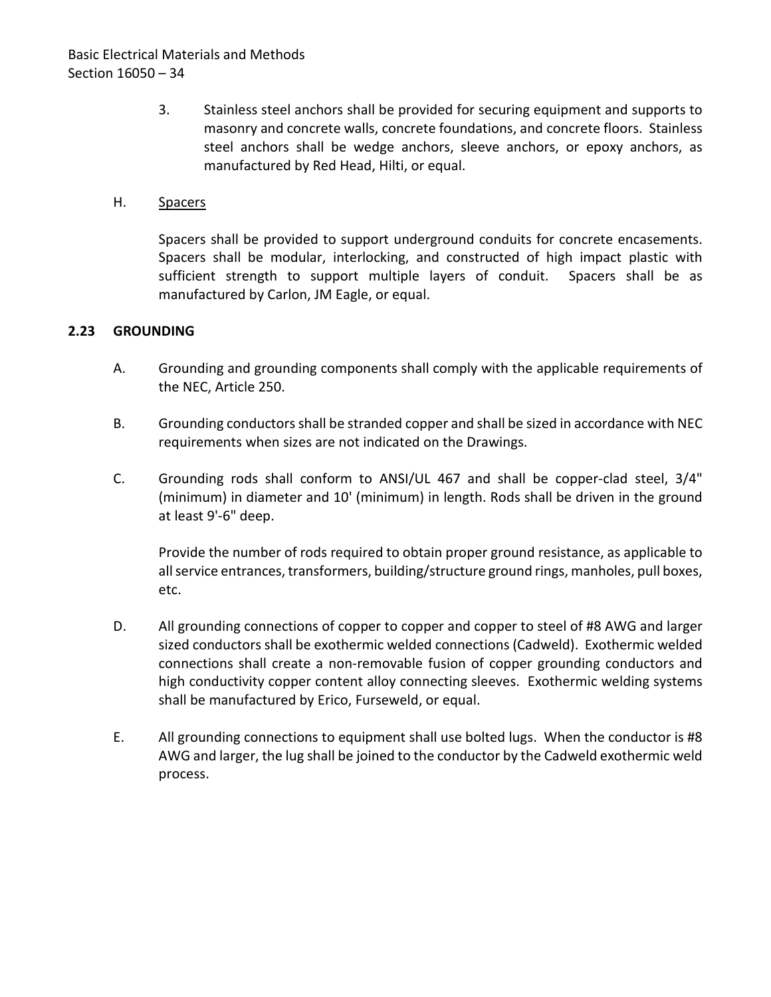3. Stainless steel anchors shall be provided for securing equipment and supports to masonry and concrete walls, concrete foundations, and concrete floors. Stainless steel anchors shall be wedge anchors, sleeve anchors, or epoxy anchors, as manufactured by Red Head, Hilti, or equal.

## H. Spacers

Spacers shall be provided to support underground conduits for concrete encasements. Spacers shall be modular, interlocking, and constructed of high impact plastic with sufficient strength to support multiple layers of conduit. Spacers shall be as manufactured by Carlon, JM Eagle, or equal.

## <span id="page-35-0"></span>**2.23 GROUNDING**

- A. Grounding and grounding components shall comply with the applicable requirements of the NEC, Article 250.
- B. Grounding conductorsshall be stranded copper and shall be sized in accordance with NEC requirements when sizes are not indicated on the Drawings.
- C. Grounding rods shall conform to ANSI/UL 467 and shall be copper-clad steel, 3/4" (minimum) in diameter and 10' (minimum) in length. Rods shall be driven in the ground at least 9'-6" deep.

Provide the number of rods required to obtain proper ground resistance, as applicable to all service entrances, transformers, building/structure ground rings, manholes, pull boxes, etc.

- D. All grounding connections of copper to copper and copper to steel of #8 AWG and larger sized conductors shall be exothermic welded connections (Cadweld). Exothermic welded connections shall create a non-removable fusion of copper grounding conductors and high conductivity copper content alloy connecting sleeves. Exothermic welding systems shall be manufactured by Erico, Furseweld, or equal.
- E. All grounding connections to equipment shall use bolted lugs. When the conductor is #8 AWG and larger, the lug shall be joined to the conductor by the Cadweld exothermic weld process.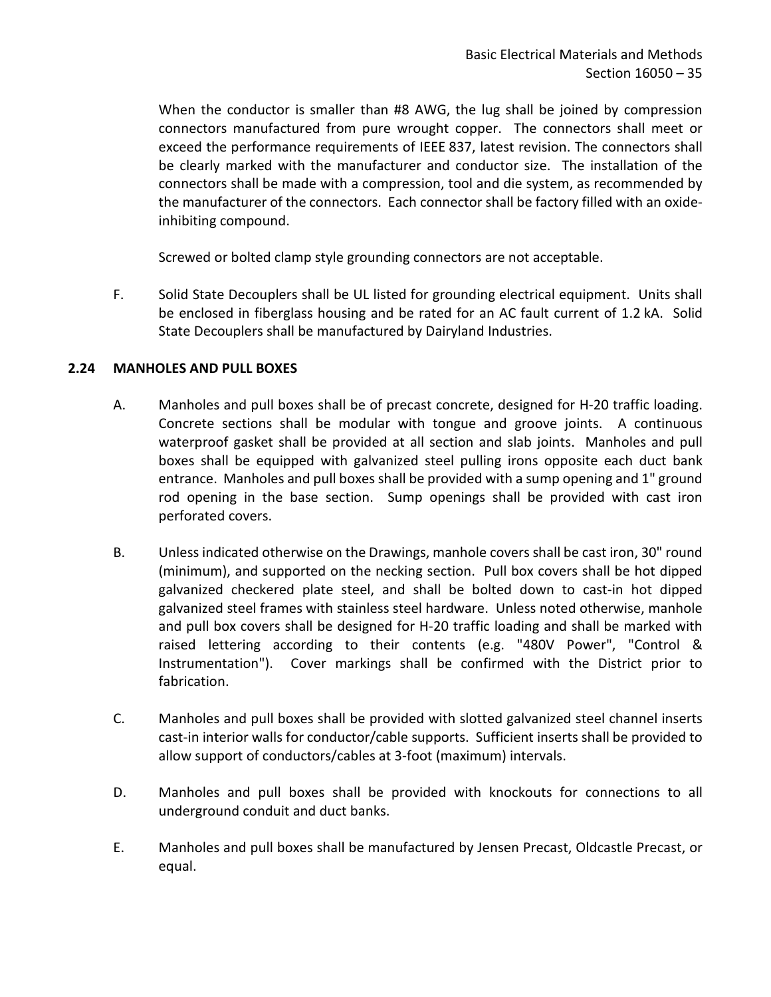When the conductor is smaller than #8 AWG, the lug shall be joined by compression connectors manufactured from pure wrought copper. The connectors shall meet or exceed the performance requirements of IEEE 837, latest revision. The connectors shall be clearly marked with the manufacturer and conductor size. The installation of the connectors shall be made with a compression, tool and die system, as recommended by the manufacturer of the connectors. Each connector shall be factory filled with an oxideinhibiting compound.

Screwed or bolted clamp style grounding connectors are not acceptable.

F. Solid State Decouplers shall be UL listed for grounding electrical equipment. Units shall be enclosed in fiberglass housing and be rated for an AC fault current of 1.2 kA. Solid State Decouplers shall be manufactured by Dairyland Industries.

## <span id="page-36-0"></span>**2.24 MANHOLES AND PULL BOXES**

- A. Manholes and pull boxes shall be of precast concrete, designed for H-20 traffic loading. Concrete sections shall be modular with tongue and groove joints. A continuous waterproof gasket shall be provided at all section and slab joints. Manholes and pull boxes shall be equipped with galvanized steel pulling irons opposite each duct bank entrance. Manholes and pull boxes shall be provided with a sump opening and 1" ground rod opening in the base section. Sump openings shall be provided with cast iron perforated covers.
- B. Unless indicated otherwise on the Drawings, manhole covers shall be cast iron, 30" round (minimum), and supported on the necking section. Pull box covers shall be hot dipped galvanized checkered plate steel, and shall be bolted down to cast-in hot dipped galvanized steel frames with stainless steel hardware. Unless noted otherwise, manhole and pull box covers shall be designed for H-20 traffic loading and shall be marked with raised lettering according to their contents (e.g. "480V Power", "Control & Instrumentation"). Cover markings shall be confirmed with the District prior to fabrication.
- C. Manholes and pull boxes shall be provided with slotted galvanized steel channel inserts cast-in interior walls for conductor/cable supports. Sufficient inserts shall be provided to allow support of conductors/cables at 3-foot (maximum) intervals.
- D. Manholes and pull boxes shall be provided with knockouts for connections to all underground conduit and duct banks.
- E. Manholes and pull boxes shall be manufactured by Jensen Precast, Oldcastle Precast, or equal.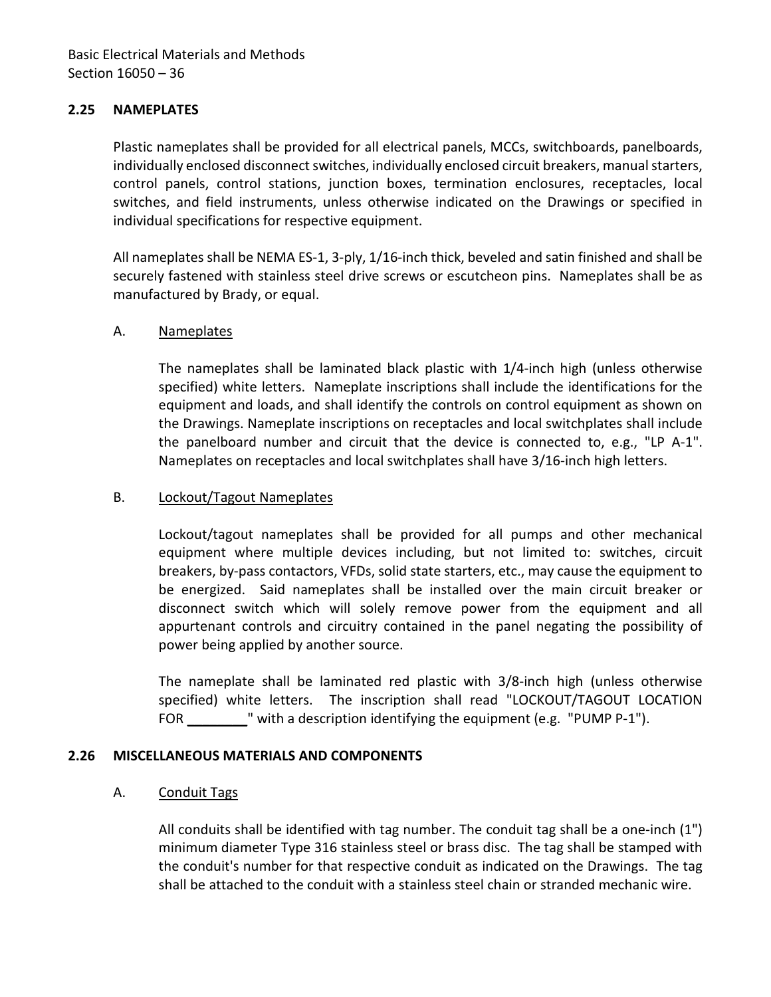## <span id="page-37-0"></span>**2.25 NAMEPLATES**

Plastic nameplates shall be provided for all electrical panels, MCCs, switchboards, panelboards, individually enclosed disconnect switches, individually enclosed circuit breakers, manual starters, control panels, control stations, junction boxes, termination enclosures, receptacles, local switches, and field instruments, unless otherwise indicated on the Drawings or specified in individual specifications for respective equipment.

All nameplates shall be NEMA ES-1, 3-ply, 1/16-inch thick, beveled and satin finished and shall be securely fastened with stainless steel drive screws or escutcheon pins. Nameplates shall be as manufactured by Brady, or equal.

### A. Nameplates

The nameplates shall be laminated black plastic with 1/4-inch high (unless otherwise specified) white letters. Nameplate inscriptions shall include the identifications for the equipment and loads, and shall identify the controls on control equipment as shown on the Drawings. Nameplate inscriptions on receptacles and local switchplates shall include the panelboard number and circuit that the device is connected to, e.g., "LP A-1". Nameplates on receptacles and local switchplates shall have 3/16-inch high letters.

## B. Lockout/Tagout Nameplates

Lockout/tagout nameplates shall be provided for all pumps and other mechanical equipment where multiple devices including, but not limited to: switches, circuit breakers, by-pass contactors, VFDs, solid state starters, etc., may cause the equipment to be energized. Said nameplates shall be installed over the main circuit breaker or disconnect switch which will solely remove power from the equipment and all appurtenant controls and circuitry contained in the panel negating the possibility of power being applied by another source.

The nameplate shall be laminated red plastic with 3/8-inch high (unless otherwise specified) white letters. The inscription shall read "LOCKOUT/TAGOUT LOCATION FOR "with a description identifying the equipment (e.g. "PUMP P-1").

### <span id="page-37-1"></span>**2.26 MISCELLANEOUS MATERIALS AND COMPONENTS**

### A. Conduit Tags

All conduits shall be identified with tag number. The conduit tag shall be a one-inch (1") minimum diameter Type 316 stainless steel or brass disc. The tag shall be stamped with the conduit's number for that respective conduit as indicated on the Drawings. The tag shall be attached to the conduit with a stainless steel chain or stranded mechanic wire.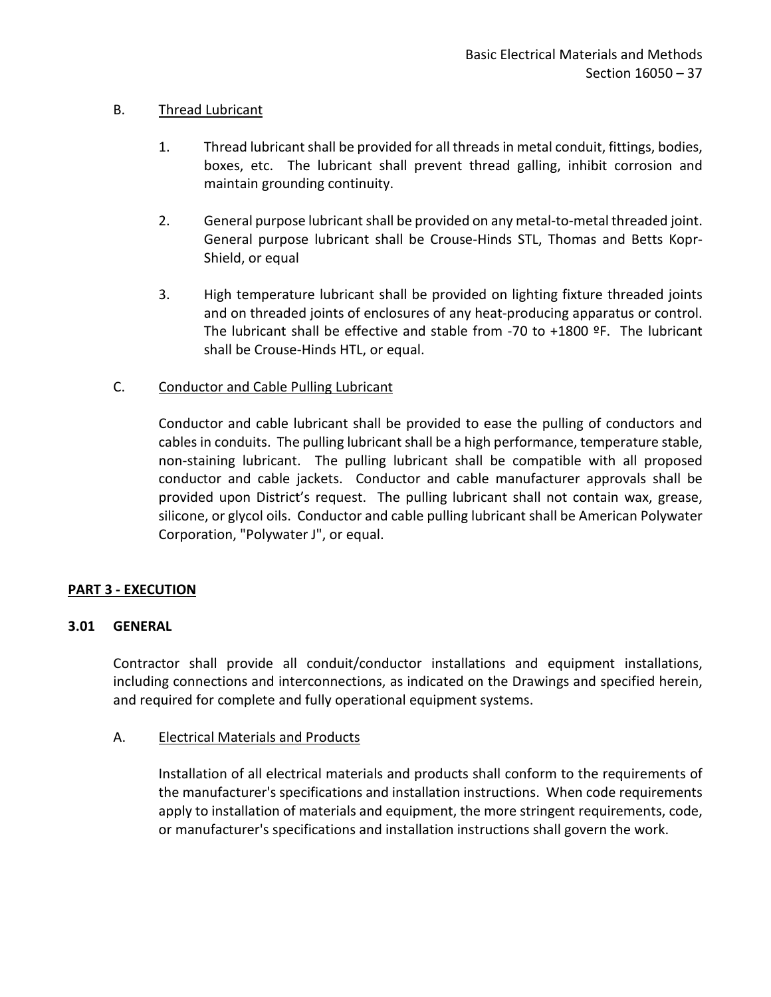## B. Thread Lubricant

- 1. Thread lubricant shall be provided for all threads in metal conduit, fittings, bodies, boxes, etc. The lubricant shall prevent thread galling, inhibit corrosion and maintain grounding continuity.
- 2. General purpose lubricant shall be provided on any metal-to-metal threaded joint. General purpose lubricant shall be Crouse-Hinds STL, Thomas and Betts Kopr-Shield, or equal
- 3. High temperature lubricant shall be provided on lighting fixture threaded joints and on threaded joints of enclosures of any heat-producing apparatus or control. The lubricant shall be effective and stable from -70 to +1800  $9F$ . The lubricant shall be Crouse-Hinds HTL, or equal.

## C. Conductor and Cable Pulling Lubricant

Conductor and cable lubricant shall be provided to ease the pulling of conductors and cables in conduits. The pulling lubricant shall be a high performance, temperature stable, non-staining lubricant. The pulling lubricant shall be compatible with all proposed conductor and cable jackets. Conductor and cable manufacturer approvals shall be provided upon District's request. The pulling lubricant shall not contain wax, grease, silicone, or glycol oils. Conductor and cable pulling lubricant shall be American Polywater Corporation, "Polywater J", or equal.

## <span id="page-38-0"></span>**PART 3 - EXECUTION**

## <span id="page-38-1"></span>**3.01 GENERAL**

Contractor shall provide all conduit/conductor installations and equipment installations, including connections and interconnections, as indicated on the Drawings and specified herein, and required for complete and fully operational equipment systems.

### A. Electrical Materials and Products

Installation of all electrical materials and products shall conform to the requirements of the manufacturer's specifications and installation instructions. When code requirements apply to installation of materials and equipment, the more stringent requirements, code, or manufacturer's specifications and installation instructions shall govern the work.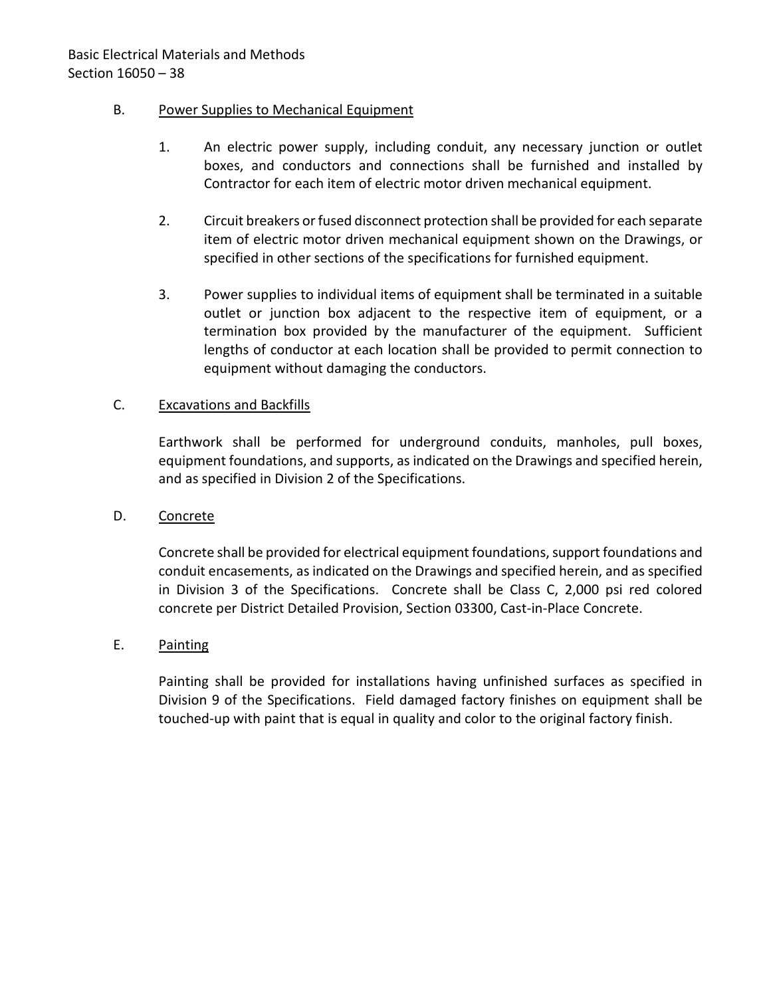## B. Power Supplies to Mechanical Equipment

- 1. An electric power supply, including conduit, any necessary junction or outlet boxes, and conductors and connections shall be furnished and installed by Contractor for each item of electric motor driven mechanical equipment.
- 2. Circuit breakers or fused disconnect protection shall be provided for each separate item of electric motor driven mechanical equipment shown on the Drawings, or specified in other sections of the specifications for furnished equipment.
- 3. Power supplies to individual items of equipment shall be terminated in a suitable outlet or junction box adjacent to the respective item of equipment, or a termination box provided by the manufacturer of the equipment. Sufficient lengths of conductor at each location shall be provided to permit connection to equipment without damaging the conductors.

## C. Excavations and Backfills

Earthwork shall be performed for underground conduits, manholes, pull boxes, equipment foundations, and supports, as indicated on the Drawings and specified herein, and as specified in Division 2 of the Specifications.

### D. Concrete

Concrete shall be provided for electrical equipment foundations, support foundations and conduit encasements, as indicated on the Drawings and specified herein, and as specified in Division 3 of the Specifications. Concrete shall be Class C, 2,000 psi red colored concrete per District Detailed Provision, Section 03300, Cast-in-Place Concrete.

## E. Painting

Painting shall be provided for installations having unfinished surfaces as specified in Division 9 of the Specifications. Field damaged factory finishes on equipment shall be touched-up with paint that is equal in quality and color to the original factory finish.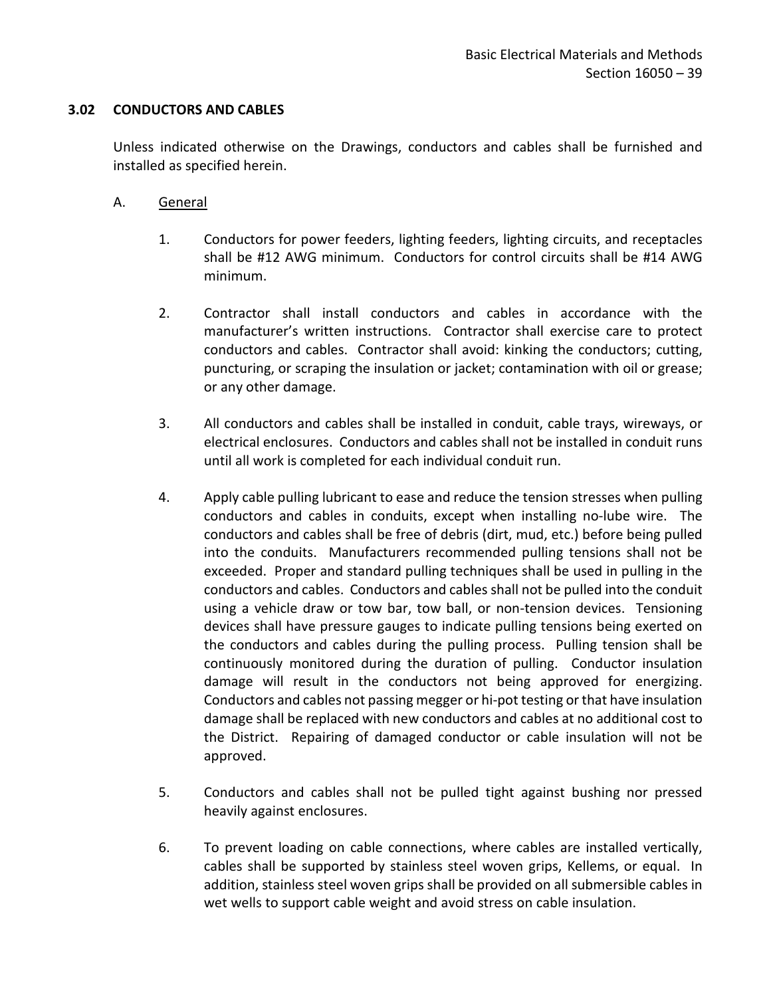### <span id="page-40-0"></span>**3.02 CONDUCTORS AND CABLES**

Unless indicated otherwise on the Drawings, conductors and cables shall be furnished and installed as specified herein.

- A. General
	- 1. Conductors for power feeders, lighting feeders, lighting circuits, and receptacles shall be #12 AWG minimum. Conductors for control circuits shall be #14 AWG minimum.
	- 2. Contractor shall install conductors and cables in accordance with the manufacturer's written instructions. Contractor shall exercise care to protect conductors and cables. Contractor shall avoid: kinking the conductors; cutting, puncturing, or scraping the insulation or jacket; contamination with oil or grease; or any other damage.
	- 3. All conductors and cables shall be installed in conduit, cable trays, wireways, or electrical enclosures. Conductors and cables shall not be installed in conduit runs until all work is completed for each individual conduit run.
	- 4. Apply cable pulling lubricant to ease and reduce the tension stresses when pulling conductors and cables in conduits, except when installing no-lube wire. The conductors and cables shall be free of debris (dirt, mud, etc.) before being pulled into the conduits. Manufacturers recommended pulling tensions shall not be exceeded. Proper and standard pulling techniques shall be used in pulling in the conductors and cables. Conductors and cables shall not be pulled into the conduit using a vehicle draw or tow bar, tow ball, or non-tension devices. Tensioning devices shall have pressure gauges to indicate pulling tensions being exerted on the conductors and cables during the pulling process. Pulling tension shall be continuously monitored during the duration of pulling. Conductor insulation damage will result in the conductors not being approved for energizing. Conductors and cables not passing megger or hi-pot testing or that have insulation damage shall be replaced with new conductors and cables at no additional cost to the District. Repairing of damaged conductor or cable insulation will not be approved.
	- 5. Conductors and cables shall not be pulled tight against bushing nor pressed heavily against enclosures.
	- 6. To prevent loading on cable connections, where cables are installed vertically, cables shall be supported by stainless steel woven grips, Kellems, or equal. In addition, stainless steel woven grips shall be provided on all submersible cables in wet wells to support cable weight and avoid stress on cable insulation.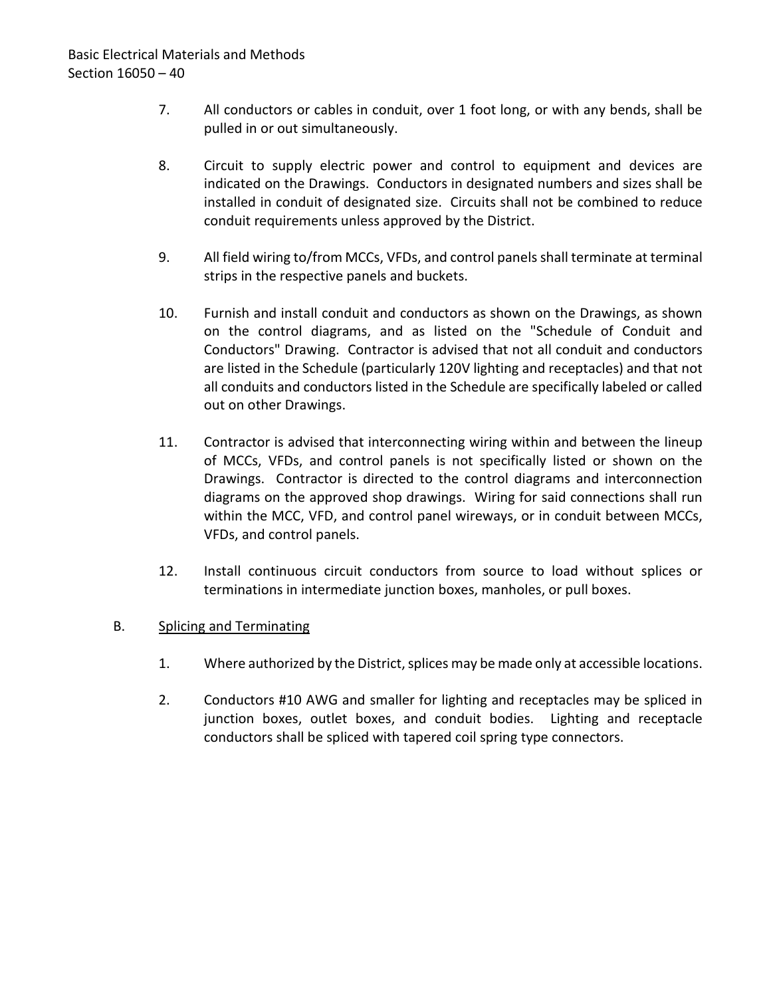- 7. All conductors or cables in conduit, over 1 foot long, or with any bends, shall be pulled in or out simultaneously.
- 8. Circuit to supply electric power and control to equipment and devices are indicated on the Drawings. Conductors in designated numbers and sizes shall be installed in conduit of designated size. Circuits shall not be combined to reduce conduit requirements unless approved by the District.
- 9. All field wiring to/from MCCs, VFDs, and control panels shall terminate at terminal strips in the respective panels and buckets.
- 10. Furnish and install conduit and conductors as shown on the Drawings, as shown on the control diagrams, and as listed on the "Schedule of Conduit and Conductors" Drawing. Contractor is advised that not all conduit and conductors are listed in the Schedule (particularly 120V lighting and receptacles) and that not all conduits and conductors listed in the Schedule are specifically labeled or called out on other Drawings.
- 11. Contractor is advised that interconnecting wiring within and between the lineup of MCCs, VFDs, and control panels is not specifically listed or shown on the Drawings. Contractor is directed to the control diagrams and interconnection diagrams on the approved shop drawings. Wiring for said connections shall run within the MCC, VFD, and control panel wireways, or in conduit between MCCs, VFDs, and control panels.
- 12. Install continuous circuit conductors from source to load without splices or terminations in intermediate junction boxes, manholes, or pull boxes.

## B. Splicing and Terminating

- 1. Where authorized by the District, splices may be made only at accessible locations.
- 2. Conductors #10 AWG and smaller for lighting and receptacles may be spliced in junction boxes, outlet boxes, and conduit bodies. Lighting and receptacle conductors shall be spliced with tapered coil spring type connectors.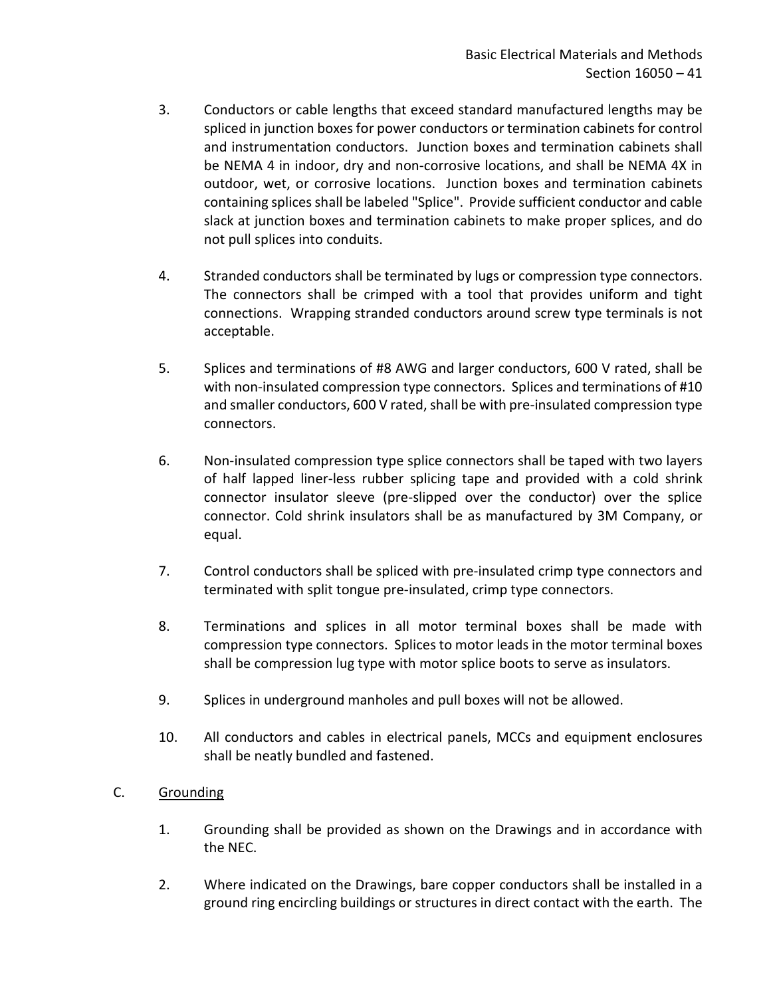- 3. Conductors or cable lengths that exceed standard manufactured lengths may be spliced in junction boxes for power conductors or termination cabinets for control and instrumentation conductors. Junction boxes and termination cabinets shall be NEMA 4 in indoor, dry and non-corrosive locations, and shall be NEMA 4X in outdoor, wet, or corrosive locations. Junction boxes and termination cabinets containing splices shall be labeled "Splice". Provide sufficient conductor and cable slack at junction boxes and termination cabinets to make proper splices, and do not pull splices into conduits.
- 4. Stranded conductors shall be terminated by lugs or compression type connectors. The connectors shall be crimped with a tool that provides uniform and tight connections. Wrapping stranded conductors around screw type terminals is not acceptable.
- 5. Splices and terminations of #8 AWG and larger conductors, 600 V rated, shall be with non-insulated compression type connectors. Splices and terminations of #10 and smaller conductors, 600 V rated, shall be with pre-insulated compression type connectors.
- 6. Non-insulated compression type splice connectors shall be taped with two layers of half lapped liner-less rubber splicing tape and provided with a cold shrink connector insulator sleeve (pre-slipped over the conductor) over the splice connector. Cold shrink insulators shall be as manufactured by 3M Company, or equal.
- 7. Control conductors shall be spliced with pre-insulated crimp type connectors and terminated with split tongue pre-insulated, crimp type connectors.
- 8. Terminations and splices in all motor terminal boxes shall be made with compression type connectors. Splices to motor leads in the motor terminal boxes shall be compression lug type with motor splice boots to serve as insulators.
- 9. Splices in underground manholes and pull boxes will not be allowed.
- 10. All conductors and cables in electrical panels, MCCs and equipment enclosures shall be neatly bundled and fastened.
- C. Grounding
	- 1. Grounding shall be provided as shown on the Drawings and in accordance with the NEC.
	- 2. Where indicated on the Drawings, bare copper conductors shall be installed in a ground ring encircling buildings or structures in direct contact with the earth. The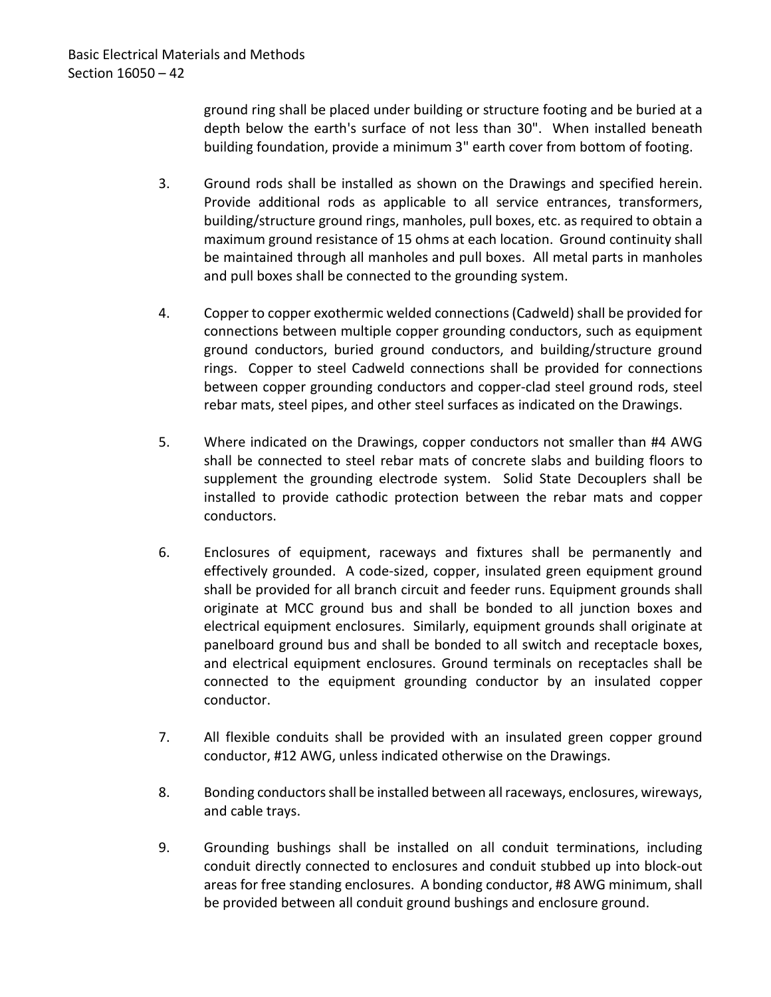ground ring shall be placed under building or structure footing and be buried at a depth below the earth's surface of not less than 30". When installed beneath building foundation, provide a minimum 3" earth cover from bottom of footing.

- 3. Ground rods shall be installed as shown on the Drawings and specified herein. Provide additional rods as applicable to all service entrances, transformers, building/structure ground rings, manholes, pull boxes, etc. as required to obtain a maximum ground resistance of 15 ohms at each location. Ground continuity shall be maintained through all manholes and pull boxes. All metal parts in manholes and pull boxes shall be connected to the grounding system.
- 4. Copper to copper exothermic welded connections (Cadweld) shall be provided for connections between multiple copper grounding conductors, such as equipment ground conductors, buried ground conductors, and building/structure ground rings. Copper to steel Cadweld connections shall be provided for connections between copper grounding conductors and copper-clad steel ground rods, steel rebar mats, steel pipes, and other steel surfaces as indicated on the Drawings.
- 5. Where indicated on the Drawings, copper conductors not smaller than #4 AWG shall be connected to steel rebar mats of concrete slabs and building floors to supplement the grounding electrode system. Solid State Decouplers shall be installed to provide cathodic protection between the rebar mats and copper conductors.
- 6. Enclosures of equipment, raceways and fixtures shall be permanently and effectively grounded. A code-sized, copper, insulated green equipment ground shall be provided for all branch circuit and feeder runs. Equipment grounds shall originate at MCC ground bus and shall be bonded to all junction boxes and electrical equipment enclosures. Similarly, equipment grounds shall originate at panelboard ground bus and shall be bonded to all switch and receptacle boxes, and electrical equipment enclosures. Ground terminals on receptacles shall be connected to the equipment grounding conductor by an insulated copper conductor.
- 7. All flexible conduits shall be provided with an insulated green copper ground conductor, #12 AWG, unless indicated otherwise on the Drawings.
- 8. Bonding conductors shall be installed between all raceways, enclosures, wireways, and cable trays.
- 9. Grounding bushings shall be installed on all conduit terminations, including conduit directly connected to enclosures and conduit stubbed up into block-out areas for free standing enclosures. A bonding conductor, #8 AWG minimum, shall be provided between all conduit ground bushings and enclosure ground.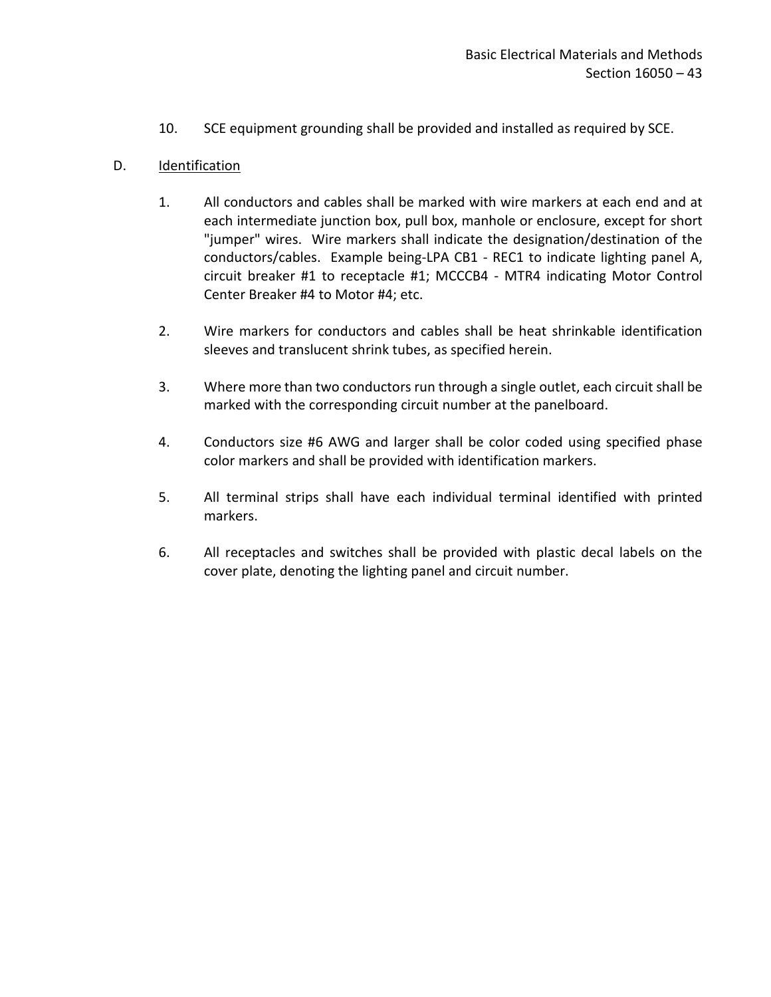10. SCE equipment grounding shall be provided and installed as required by SCE.

## D. Identification

- 1. All conductors and cables shall be marked with wire markers at each end and at each intermediate junction box, pull box, manhole or enclosure, except for short "jumper" wires. Wire markers shall indicate the designation/destination of the conductors/cables. Example being-LPA CB1 - REC1 to indicate lighting panel A, circuit breaker #1 to receptacle #1; MCCCB4 - MTR4 indicating Motor Control Center Breaker #4 to Motor #4; etc.
- 2. Wire markers for conductors and cables shall be heat shrinkable identification sleeves and translucent shrink tubes, as specified herein.
- 3. Where more than two conductors run through a single outlet, each circuit shall be marked with the corresponding circuit number at the panelboard.
- 4. Conductors size #6 AWG and larger shall be color coded using specified phase color markers and shall be provided with identification markers.
- 5. All terminal strips shall have each individual terminal identified with printed markers.
- 6. All receptacles and switches shall be provided with plastic decal labels on the cover plate, denoting the lighting panel and circuit number.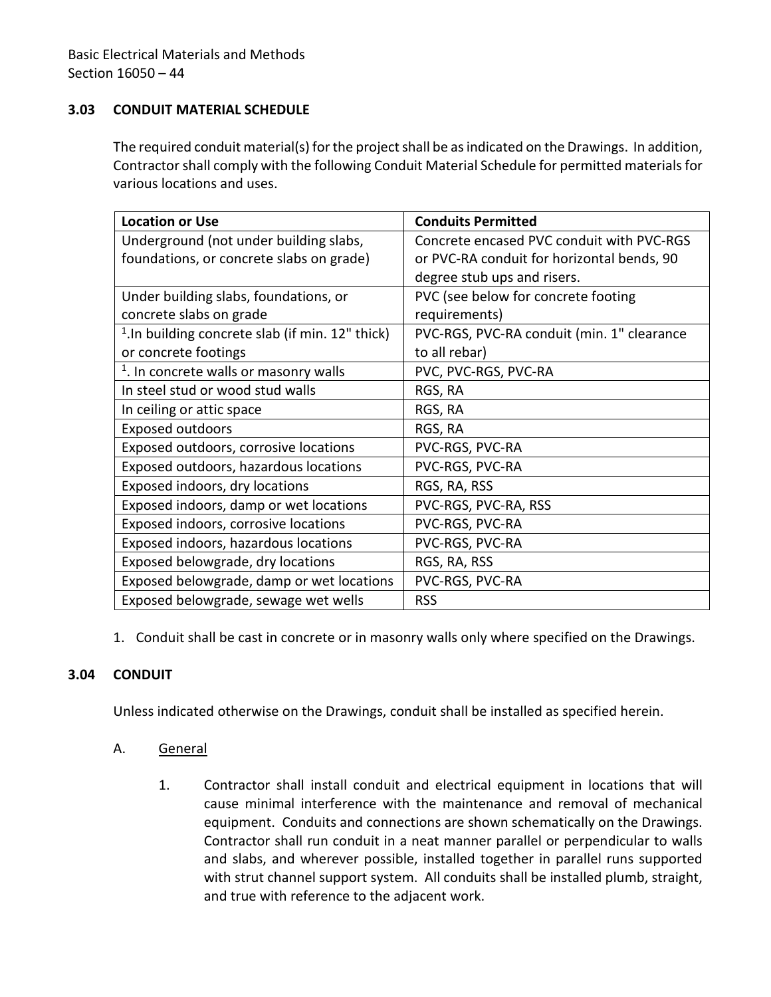## <span id="page-45-0"></span>**3.03 CONDUIT MATERIAL SCHEDULE**

The required conduit material(s) for the project shall be as indicated on the Drawings. In addition, Contractor shall comply with the following Conduit Material Schedule for permitted materials for various locations and uses.

| <b>Location or Use</b>                                       | <b>Conduits Permitted</b>                  |  |
|--------------------------------------------------------------|--------------------------------------------|--|
| Underground (not under building slabs,                       | Concrete encased PVC conduit with PVC-RGS  |  |
| foundations, or concrete slabs on grade)                     | or PVC-RA conduit for horizontal bends, 90 |  |
|                                                              | degree stub ups and risers.                |  |
| Under building slabs, foundations, or                        | PVC (see below for concrete footing        |  |
| concrete slabs on grade                                      | requirements)                              |  |
| <sup>1</sup> . In building concrete slab (if min. 12" thick) | PVC-RGS, PVC-RA conduit (min. 1" clearance |  |
| or concrete footings                                         | to all rebar)                              |  |
| <sup>1</sup> . In concrete walls or masonry walls            | PVC, PVC-RGS, PVC-RA                       |  |
| In steel stud or wood stud walls                             | RGS, RA                                    |  |
| In ceiling or attic space                                    | RGS, RA                                    |  |
| <b>Exposed outdoors</b>                                      | RGS, RA                                    |  |
| Exposed outdoors, corrosive locations                        | PVC-RGS, PVC-RA                            |  |
| Exposed outdoors, hazardous locations                        | PVC-RGS, PVC-RA                            |  |
| Exposed indoors, dry locations                               | RGS, RA, RSS                               |  |
| Exposed indoors, damp or wet locations                       | PVC-RGS, PVC-RA, RSS                       |  |
| Exposed indoors, corrosive locations                         | PVC-RGS, PVC-RA                            |  |
| Exposed indoors, hazardous locations                         | PVC-RGS, PVC-RA                            |  |
| Exposed belowgrade, dry locations                            | RGS, RA, RSS                               |  |
| Exposed belowgrade, damp or wet locations                    | PVC-RGS, PVC-RA                            |  |
| Exposed belowgrade, sewage wet wells                         | <b>RSS</b>                                 |  |

1. Conduit shall be cast in concrete or in masonry walls only where specified on the Drawings.

### <span id="page-45-1"></span>**3.04 CONDUIT**

Unless indicated otherwise on the Drawings, conduit shall be installed as specified herein.

- A. General
	- 1. Contractor shall install conduit and electrical equipment in locations that will cause minimal interference with the maintenance and removal of mechanical equipment. Conduits and connections are shown schematically on the Drawings. Contractor shall run conduit in a neat manner parallel or perpendicular to walls and slabs, and wherever possible, installed together in parallel runs supported with strut channel support system. All conduits shall be installed plumb, straight, and true with reference to the adjacent work.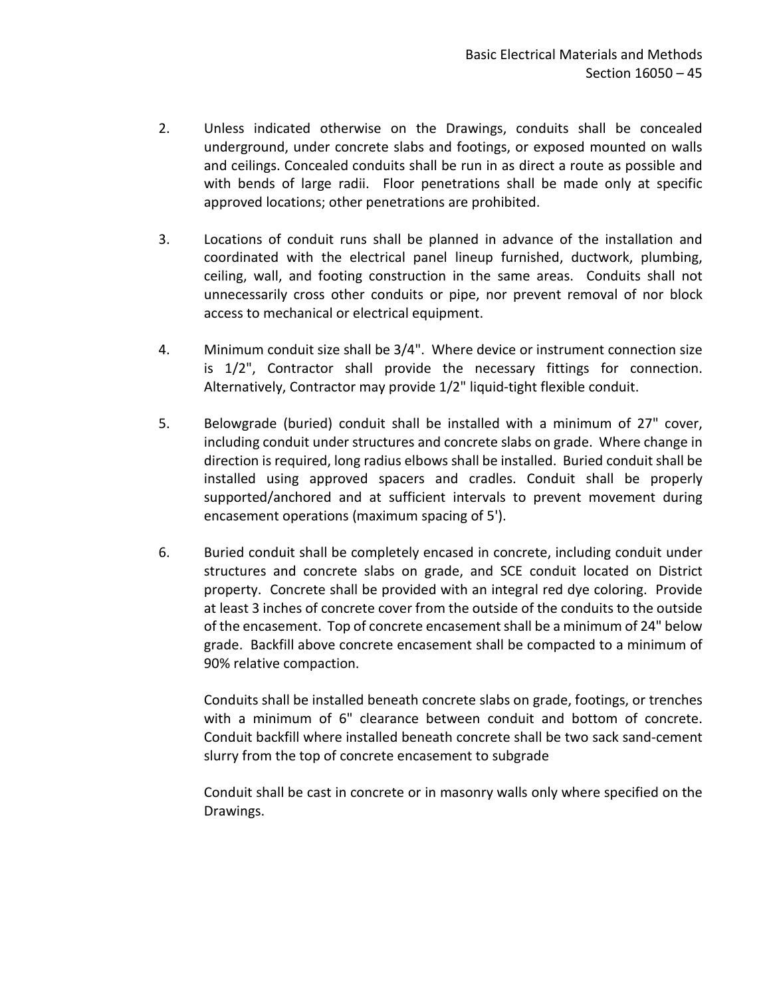- 2. Unless indicated otherwise on the Drawings, conduits shall be concealed underground, under concrete slabs and footings, or exposed mounted on walls and ceilings. Concealed conduits shall be run in as direct a route as possible and with bends of large radii. Floor penetrations shall be made only at specific approved locations; other penetrations are prohibited.
- 3. Locations of conduit runs shall be planned in advance of the installation and coordinated with the electrical panel lineup furnished, ductwork, plumbing, ceiling, wall, and footing construction in the same areas. Conduits shall not unnecessarily cross other conduits or pipe, nor prevent removal of nor block access to mechanical or electrical equipment.
- 4. Minimum conduit size shall be 3/4". Where device or instrument connection size is 1/2", Contractor shall provide the necessary fittings for connection. Alternatively, Contractor may provide 1/2" liquid-tight flexible conduit.
- 5. Belowgrade (buried) conduit shall be installed with a minimum of 27" cover, including conduit under structures and concrete slabs on grade. Where change in direction is required, long radius elbows shall be installed. Buried conduit shall be installed using approved spacers and cradles. Conduit shall be properly supported/anchored and at sufficient intervals to prevent movement during encasement operations (maximum spacing of 5').
- 6. Buried conduit shall be completely encased in concrete, including conduit under structures and concrete slabs on grade, and SCE conduit located on District property. Concrete shall be provided with an integral red dye coloring. Provide at least 3 inches of concrete cover from the outside of the conduits to the outside of the encasement. Top of concrete encasement shall be a minimum of 24" below grade. Backfill above concrete encasement shall be compacted to a minimum of 90% relative compaction.

Conduits shall be installed beneath concrete slabs on grade, footings, or trenches with a minimum of 6" clearance between conduit and bottom of concrete. Conduit backfill where installed beneath concrete shall be two sack sand-cement slurry from the top of concrete encasement to subgrade

Conduit shall be cast in concrete or in masonry walls only where specified on the Drawings.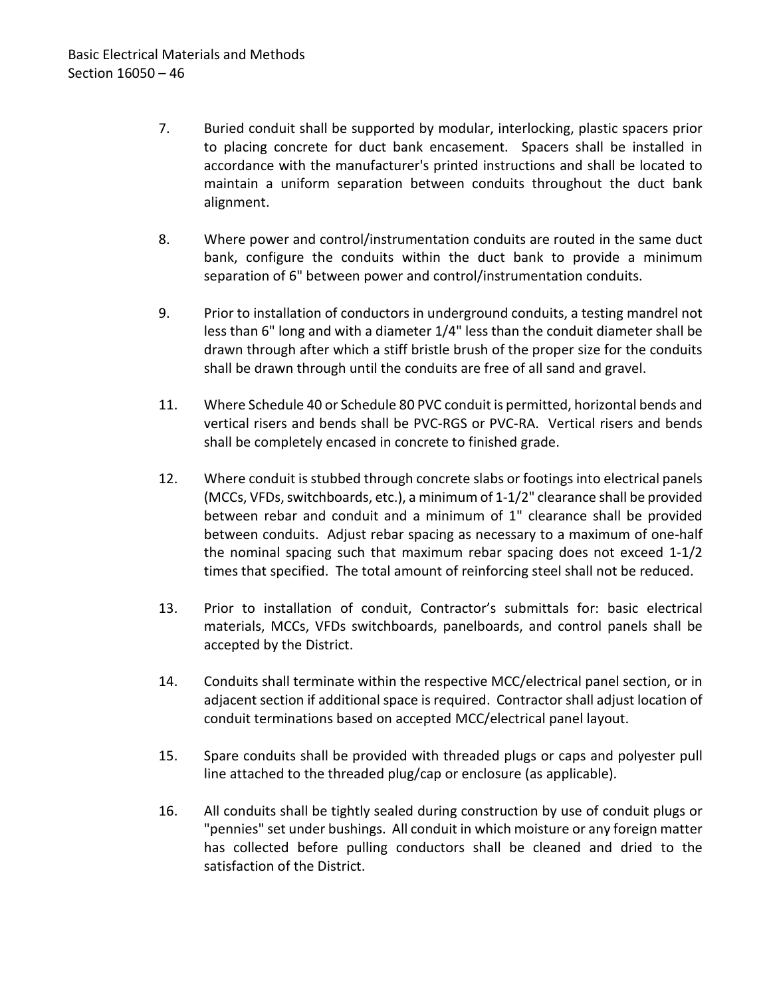- 7. Buried conduit shall be supported by modular, interlocking, plastic spacers prior to placing concrete for duct bank encasement. Spacers shall be installed in accordance with the manufacturer's printed instructions and shall be located to maintain a uniform separation between conduits throughout the duct bank alignment.
- 8. Where power and control/instrumentation conduits are routed in the same duct bank, configure the conduits within the duct bank to provide a minimum separation of 6" between power and control/instrumentation conduits.
- 9. Prior to installation of conductors in underground conduits, a testing mandrel not less than 6" long and with a diameter 1/4" less than the conduit diameter shall be drawn through after which a stiff bristle brush of the proper size for the conduits shall be drawn through until the conduits are free of all sand and gravel.
- 11. Where Schedule 40 or Schedule 80 PVC conduit is permitted, horizontal bends and vertical risers and bends shall be PVC-RGS or PVC-RA. Vertical risers and bends shall be completely encased in concrete to finished grade.
- 12. Where conduit is stubbed through concrete slabs or footings into electrical panels (MCCs, VFDs, switchboards, etc.), a minimum of 1-1/2" clearance shall be provided between rebar and conduit and a minimum of 1" clearance shall be provided between conduits. Adjust rebar spacing as necessary to a maximum of one-half the nominal spacing such that maximum rebar spacing does not exceed 1-1/2 times that specified. The total amount of reinforcing steel shall not be reduced.
- 13. Prior to installation of conduit, Contractor's submittals for: basic electrical materials, MCCs, VFDs switchboards, panelboards, and control panels shall be accepted by the District.
- 14. Conduits shall terminate within the respective MCC/electrical panel section, or in adjacent section if additional space is required. Contractor shall adjust location of conduit terminations based on accepted MCC/electrical panel layout.
- 15. Spare conduits shall be provided with threaded plugs or caps and polyester pull line attached to the threaded plug/cap or enclosure (as applicable).
- 16. All conduits shall be tightly sealed during construction by use of conduit plugs or "pennies" set under bushings. All conduit in which moisture or any foreign matter has collected before pulling conductors shall be cleaned and dried to the satisfaction of the District.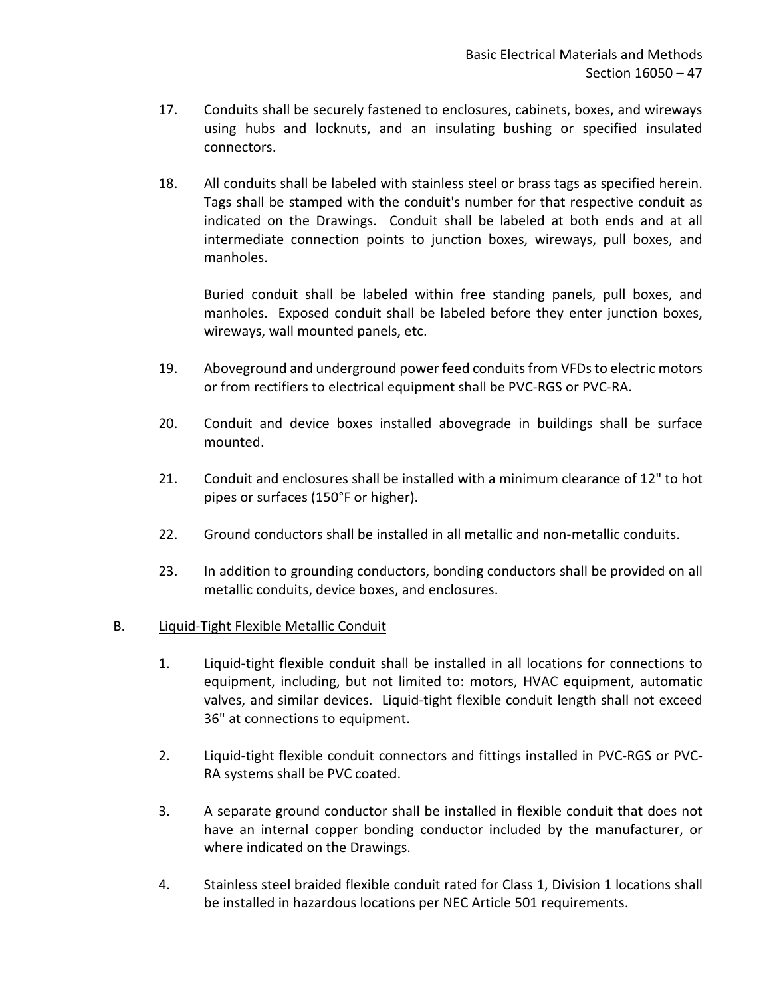- 17. Conduits shall be securely fastened to enclosures, cabinets, boxes, and wireways using hubs and locknuts, and an insulating bushing or specified insulated connectors.
- 18. All conduits shall be labeled with stainless steel or brass tags as specified herein. Tags shall be stamped with the conduit's number for that respective conduit as indicated on the Drawings. Conduit shall be labeled at both ends and at all intermediate connection points to junction boxes, wireways, pull boxes, and manholes.

Buried conduit shall be labeled within free standing panels, pull boxes, and manholes. Exposed conduit shall be labeled before they enter junction boxes, wireways, wall mounted panels, etc.

- 19. Aboveground and underground power feed conduits from VFDs to electric motors or from rectifiers to electrical equipment shall be PVC-RGS or PVC-RA.
- 20. Conduit and device boxes installed abovegrade in buildings shall be surface mounted.
- 21. Conduit and enclosures shall be installed with a minimum clearance of 12" to hot pipes or surfaces (150°F or higher).
- 22. Ground conductors shall be installed in all metallic and non-metallic conduits.
- 23. In addition to grounding conductors, bonding conductors shall be provided on all metallic conduits, device boxes, and enclosures.

## B. Liquid-Tight Flexible Metallic Conduit

- 1. Liquid-tight flexible conduit shall be installed in all locations for connections to equipment, including, but not limited to: motors, HVAC equipment, automatic valves, and similar devices. Liquid-tight flexible conduit length shall not exceed 36" at connections to equipment.
- 2. Liquid-tight flexible conduit connectors and fittings installed in PVC-RGS or PVC-RA systems shall be PVC coated.
- 3. A separate ground conductor shall be installed in flexible conduit that does not have an internal copper bonding conductor included by the manufacturer, or where indicated on the Drawings.
- 4. Stainless steel braided flexible conduit rated for Class 1, Division 1 locations shall be installed in hazardous locations per NEC Article 501 requirements.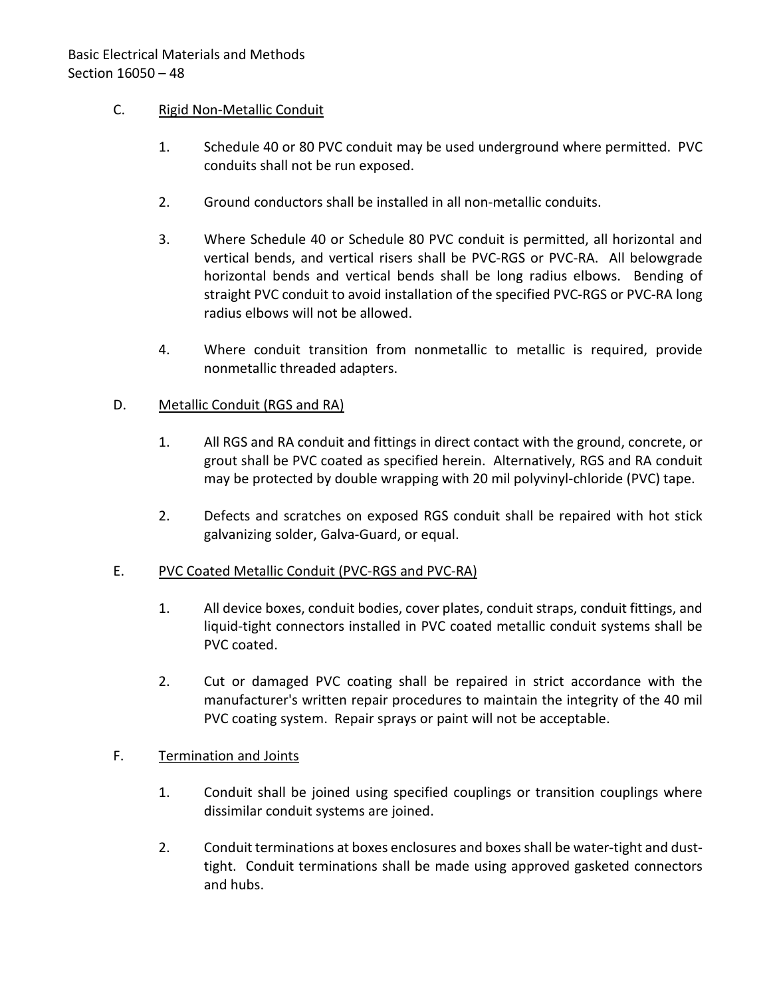## C. Rigid Non-Metallic Conduit

- 1. Schedule 40 or 80 PVC conduit may be used underground where permitted. PVC conduits shall not be run exposed.
- 2. Ground conductors shall be installed in all non-metallic conduits.
- 3. Where Schedule 40 or Schedule 80 PVC conduit is permitted, all horizontal and vertical bends, and vertical risers shall be PVC-RGS or PVC-RA. All belowgrade horizontal bends and vertical bends shall be long radius elbows. Bending of straight PVC conduit to avoid installation of the specified PVC-RGS or PVC-RA long radius elbows will not be allowed.
- 4. Where conduit transition from nonmetallic to metallic is required, provide nonmetallic threaded adapters.

### D. Metallic Conduit (RGS and RA)

- 1. All RGS and RA conduit and fittings in direct contact with the ground, concrete, or grout shall be PVC coated as specified herein. Alternatively, RGS and RA conduit may be protected by double wrapping with 20 mil polyvinyl-chloride (PVC) tape.
- 2. Defects and scratches on exposed RGS conduit shall be repaired with hot stick galvanizing solder, Galva-Guard, or equal.

### E. PVC Coated Metallic Conduit (PVC-RGS and PVC-RA)

- 1. All device boxes, conduit bodies, cover plates, conduit straps, conduit fittings, and liquid-tight connectors installed in PVC coated metallic conduit systems shall be PVC coated.
- 2. Cut or damaged PVC coating shall be repaired in strict accordance with the manufacturer's written repair procedures to maintain the integrity of the 40 mil PVC coating system. Repair sprays or paint will not be acceptable.

### F. Termination and Joints

- 1. Conduit shall be joined using specified couplings or transition couplings where dissimilar conduit systems are joined.
- 2. Conduit terminations at boxes enclosures and boxes shall be water-tight and dusttight. Conduit terminations shall be made using approved gasketed connectors and hubs.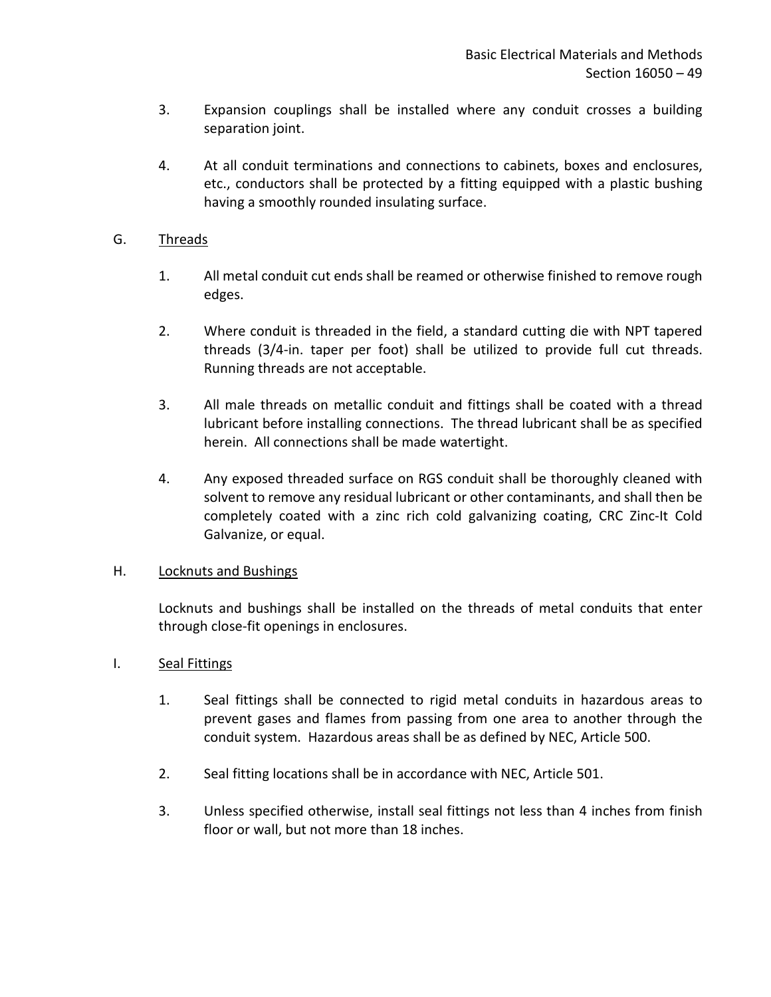- 3. Expansion couplings shall be installed where any conduit crosses a building separation joint.
- 4. At all conduit terminations and connections to cabinets, boxes and enclosures, etc., conductors shall be protected by a fitting equipped with a plastic bushing having a smoothly rounded insulating surface.

## G. Threads

- 1. All metal conduit cut ends shall be reamed or otherwise finished to remove rough edges.
- 2. Where conduit is threaded in the field, a standard cutting die with NPT tapered threads (3/4-in. taper per foot) shall be utilized to provide full cut threads. Running threads are not acceptable.
- 3. All male threads on metallic conduit and fittings shall be coated with a thread lubricant before installing connections. The thread lubricant shall be as specified herein. All connections shall be made watertight.
- 4. Any exposed threaded surface on RGS conduit shall be thoroughly cleaned with solvent to remove any residual lubricant or other contaminants, and shall then be completely coated with a zinc rich cold galvanizing coating, CRC Zinc-It Cold Galvanize, or equal.

### H. Locknuts and Bushings

Locknuts and bushings shall be installed on the threads of metal conduits that enter through close-fit openings in enclosures.

## I. Seal Fittings

- 1. Seal fittings shall be connected to rigid metal conduits in hazardous areas to prevent gases and flames from passing from one area to another through the conduit system. Hazardous areas shall be as defined by NEC, Article 500.
- 2. Seal fitting locations shall be in accordance with NEC, Article 501.
- 3. Unless specified otherwise, install seal fittings not less than 4 inches from finish floor or wall, but not more than 18 inches.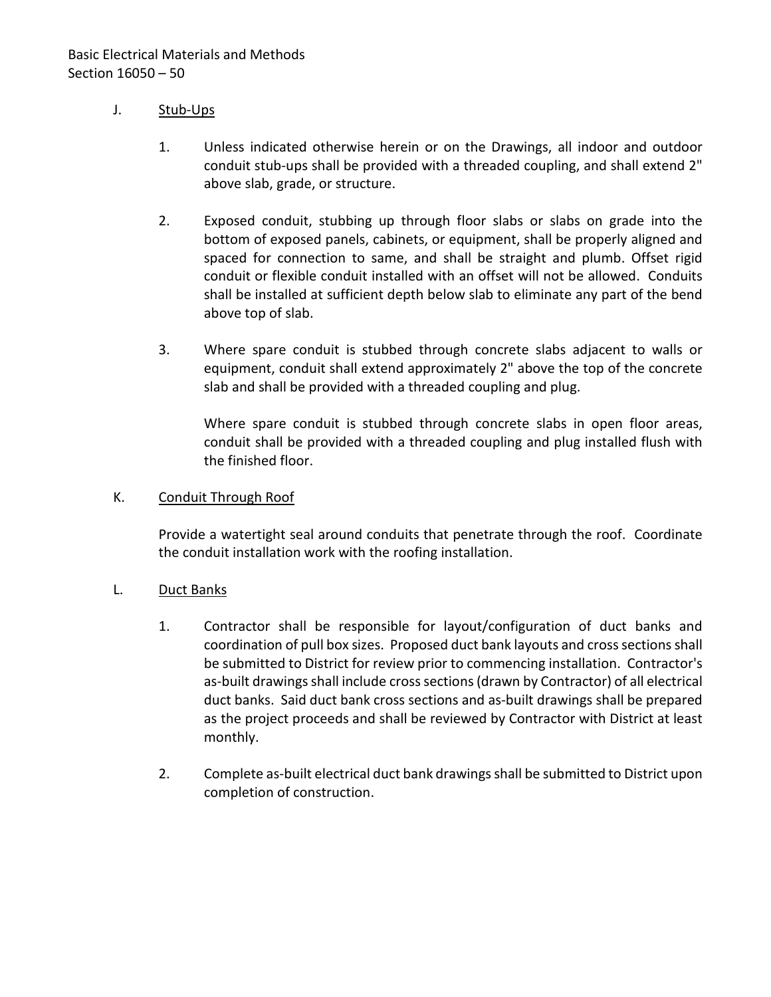## J. Stub-Ups

- 1. Unless indicated otherwise herein or on the Drawings, all indoor and outdoor conduit stub-ups shall be provided with a threaded coupling, and shall extend 2" above slab, grade, or structure.
- 2. Exposed conduit, stubbing up through floor slabs or slabs on grade into the bottom of exposed panels, cabinets, or equipment, shall be properly aligned and spaced for connection to same, and shall be straight and plumb. Offset rigid conduit or flexible conduit installed with an offset will not be allowed. Conduits shall be installed at sufficient depth below slab to eliminate any part of the bend above top of slab.
- 3. Where spare conduit is stubbed through concrete slabs adjacent to walls or equipment, conduit shall extend approximately 2" above the top of the concrete slab and shall be provided with a threaded coupling and plug.

Where spare conduit is stubbed through concrete slabs in open floor areas, conduit shall be provided with a threaded coupling and plug installed flush with the finished floor.

### K. Conduit Through Roof

Provide a watertight seal around conduits that penetrate through the roof. Coordinate the conduit installation work with the roofing installation.

### L. Duct Banks

- 1. Contractor shall be responsible for layout/configuration of duct banks and coordination of pull box sizes. Proposed duct bank layouts and cross sectionsshall be submitted to District for review prior to commencing installation. Contractor's as-built drawings shall include cross sections (drawn by Contractor) of all electrical duct banks. Said duct bank cross sections and as-built drawings shall be prepared as the project proceeds and shall be reviewed by Contractor with District at least monthly.
- 2. Complete as-built electrical duct bank drawings shall be submitted to District upon completion of construction.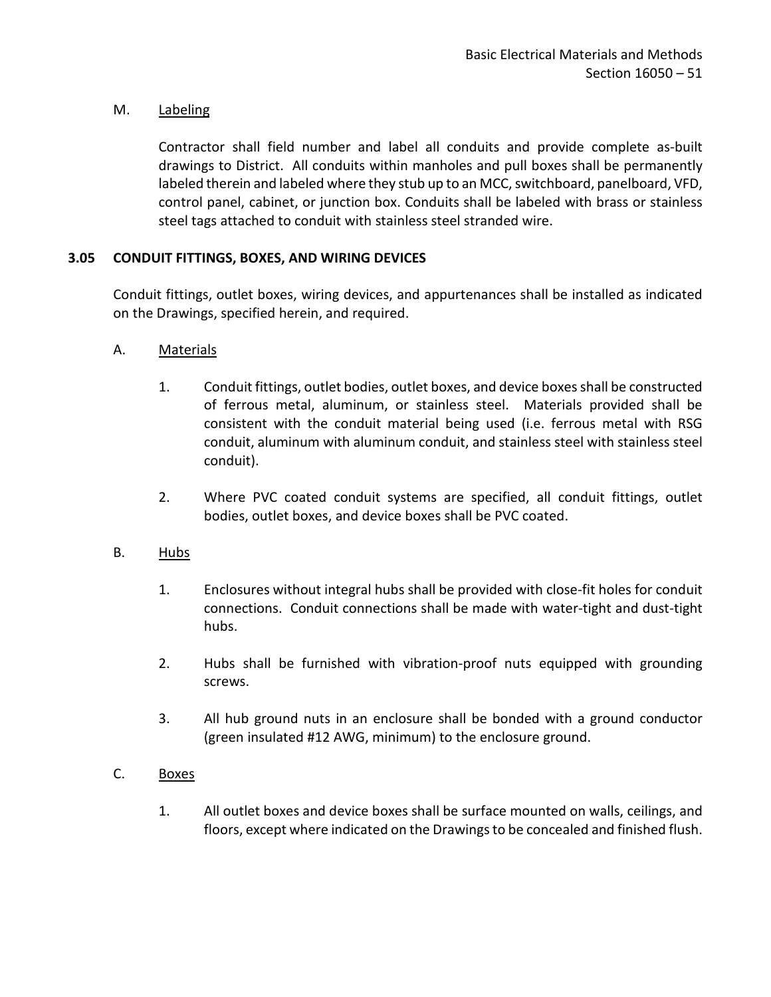## M. Labeling

Contractor shall field number and label all conduits and provide complete as-built drawings to District. All conduits within manholes and pull boxes shall be permanently labeled therein and labeled where they stub up to an MCC, switchboard, panelboard, VFD, control panel, cabinet, or junction box. Conduits shall be labeled with brass or stainless steel tags attached to conduit with stainless steel stranded wire.

## <span id="page-52-0"></span>**3.05 CONDUIT FITTINGS, BOXES, AND WIRING DEVICES**

Conduit fittings, outlet boxes, wiring devices, and appurtenances shall be installed as indicated on the Drawings, specified herein, and required.

- A. Materials
	- 1. Conduit fittings, outlet bodies, outlet boxes, and device boxes shall be constructed of ferrous metal, aluminum, or stainless steel. Materials provided shall be consistent with the conduit material being used (i.e. ferrous metal with RSG conduit, aluminum with aluminum conduit, and stainless steel with stainless steel conduit).
	- 2. Where PVC coated conduit systems are specified, all conduit fittings, outlet bodies, outlet boxes, and device boxes shall be PVC coated.
- B. Hubs
	- 1. Enclosures without integral hubs shall be provided with close-fit holes for conduit connections. Conduit connections shall be made with water-tight and dust-tight hubs.
	- 2. Hubs shall be furnished with vibration-proof nuts equipped with grounding screws.
	- 3. All hub ground nuts in an enclosure shall be bonded with a ground conductor (green insulated #12 AWG, minimum) to the enclosure ground.
- C. Boxes
	- 1. All outlet boxes and device boxes shall be surface mounted on walls, ceilings, and floors, except where indicated on the Drawings to be concealed and finished flush.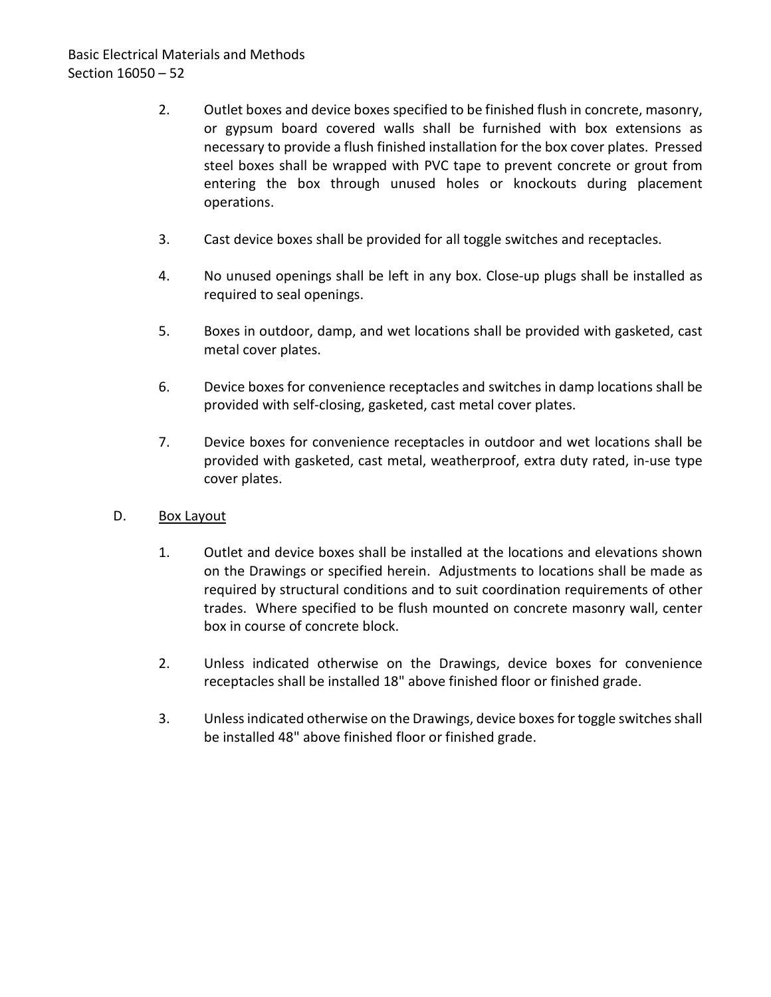- 2. Outlet boxes and device boxes specified to be finished flush in concrete, masonry, or gypsum board covered walls shall be furnished with box extensions as necessary to provide a flush finished installation for the box cover plates. Pressed steel boxes shall be wrapped with PVC tape to prevent concrete or grout from entering the box through unused holes or knockouts during placement operations.
- 3. Cast device boxes shall be provided for all toggle switches and receptacles.
- 4. No unused openings shall be left in any box. Close-up plugs shall be installed as required to seal openings.
- 5. Boxes in outdoor, damp, and wet locations shall be provided with gasketed, cast metal cover plates.
- 6. Device boxes for convenience receptacles and switches in damp locations shall be provided with self-closing, gasketed, cast metal cover plates.
- 7. Device boxes for convenience receptacles in outdoor and wet locations shall be provided with gasketed, cast metal, weatherproof, extra duty rated, in-use type cover plates.
- D. Box Layout
	- 1. Outlet and device boxes shall be installed at the locations and elevations shown on the Drawings or specified herein. Adjustments to locations shall be made as required by structural conditions and to suit coordination requirements of other trades. Where specified to be flush mounted on concrete masonry wall, center box in course of concrete block.
	- 2. Unless indicated otherwise on the Drawings, device boxes for convenience receptacles shall be installed 18" above finished floor or finished grade.
	- 3. Unless indicated otherwise on the Drawings, device boxes for toggle switches shall be installed 48" above finished floor or finished grade.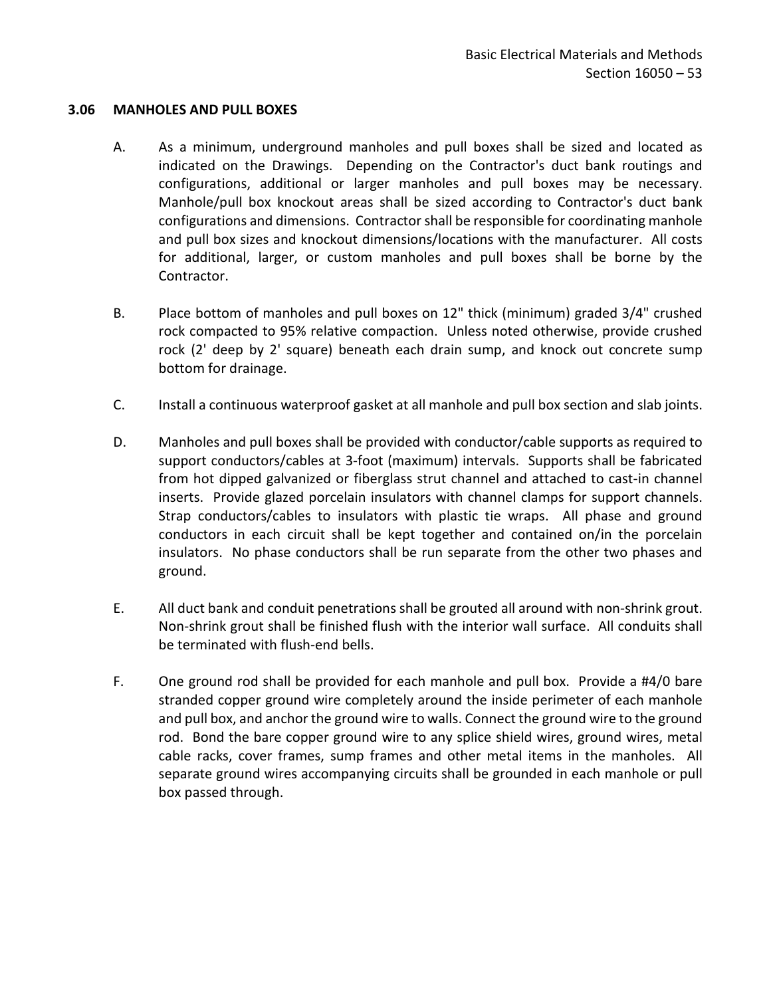#### <span id="page-54-0"></span>**3.06 MANHOLES AND PULL BOXES**

- A. As a minimum, underground manholes and pull boxes shall be sized and located as indicated on the Drawings. Depending on the Contractor's duct bank routings and configurations, additional or larger manholes and pull boxes may be necessary. Manhole/pull box knockout areas shall be sized according to Contractor's duct bank configurations and dimensions. Contractor shall be responsible for coordinating manhole and pull box sizes and knockout dimensions/locations with the manufacturer. All costs for additional, larger, or custom manholes and pull boxes shall be borne by the Contractor.
- B. Place bottom of manholes and pull boxes on 12" thick (minimum) graded 3/4" crushed rock compacted to 95% relative compaction. Unless noted otherwise, provide crushed rock (2' deep by 2' square) beneath each drain sump, and knock out concrete sump bottom for drainage.
- C. Install a continuous waterproof gasket at all manhole and pull box section and slab joints.
- D. Manholes and pull boxes shall be provided with conductor/cable supports as required to support conductors/cables at 3-foot (maximum) intervals. Supports shall be fabricated from hot dipped galvanized or fiberglass strut channel and attached to cast-in channel inserts. Provide glazed porcelain insulators with channel clamps for support channels. Strap conductors/cables to insulators with plastic tie wraps. All phase and ground conductors in each circuit shall be kept together and contained on/in the porcelain insulators. No phase conductors shall be run separate from the other two phases and ground.
- E. All duct bank and conduit penetrations shall be grouted all around with non-shrink grout. Non-shrink grout shall be finished flush with the interior wall surface. All conduits shall be terminated with flush-end bells.
- F. One ground rod shall be provided for each manhole and pull box. Provide a #4/0 bare stranded copper ground wire completely around the inside perimeter of each manhole and pull box, and anchor the ground wire to walls. Connect the ground wire to the ground rod. Bond the bare copper ground wire to any splice shield wires, ground wires, metal cable racks, cover frames, sump frames and other metal items in the manholes. All separate ground wires accompanying circuits shall be grounded in each manhole or pull box passed through.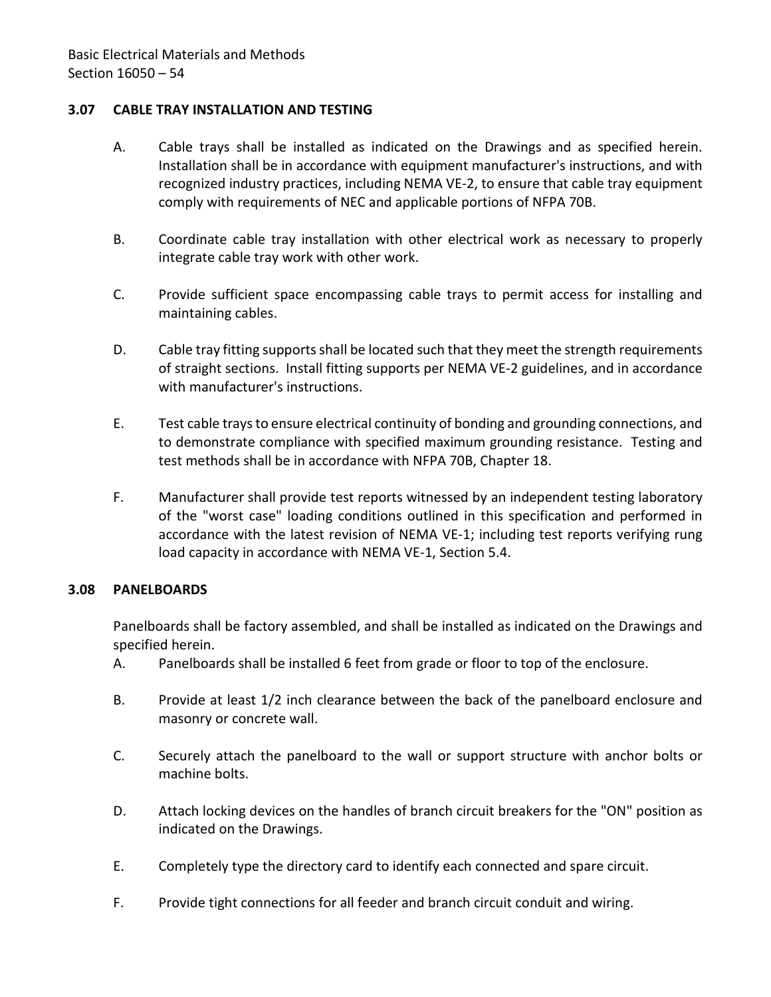### <span id="page-55-0"></span>**3.07 CABLE TRAY INSTALLATION AND TESTING**

- A. Cable trays shall be installed as indicated on the Drawings and as specified herein. Installation shall be in accordance with equipment manufacturer's instructions, and with recognized industry practices, including NEMA VE-2, to ensure that cable tray equipment comply with requirements of NEC and applicable portions of NFPA 70B.
- B. Coordinate cable tray installation with other electrical work as necessary to properly integrate cable tray work with other work.
- C. Provide sufficient space encompassing cable trays to permit access for installing and maintaining cables.
- D. Cable tray fitting supports shall be located such that they meet the strength requirements of straight sections. Install fitting supports per NEMA VE-2 guidelines, and in accordance with manufacturer's instructions.
- E. Test cable trays to ensure electrical continuity of bonding and grounding connections, and to demonstrate compliance with specified maximum grounding resistance. Testing and test methods shall be in accordance with NFPA 70B, Chapter 18.
- F. Manufacturer shall provide test reports witnessed by an independent testing laboratory of the "worst case" loading conditions outlined in this specification and performed in accordance with the latest revision of NEMA VE-1; including test reports verifying rung load capacity in accordance with NEMA VE-1, Section 5.4.

### <span id="page-55-1"></span>**3.08 PANELBOARDS**

Panelboards shall be factory assembled, and shall be installed as indicated on the Drawings and specified herein.

- A. Panelboards shall be installed 6 feet from grade or floor to top of the enclosure.
- B. Provide at least 1/2 inch clearance between the back of the panelboard enclosure and masonry or concrete wall.
- C. Securely attach the panelboard to the wall or support structure with anchor bolts or machine bolts.
- D. Attach locking devices on the handles of branch circuit breakers for the "ON" position as indicated on the Drawings.
- E. Completely type the directory card to identify each connected and spare circuit.
- F. Provide tight connections for all feeder and branch circuit conduit and wiring.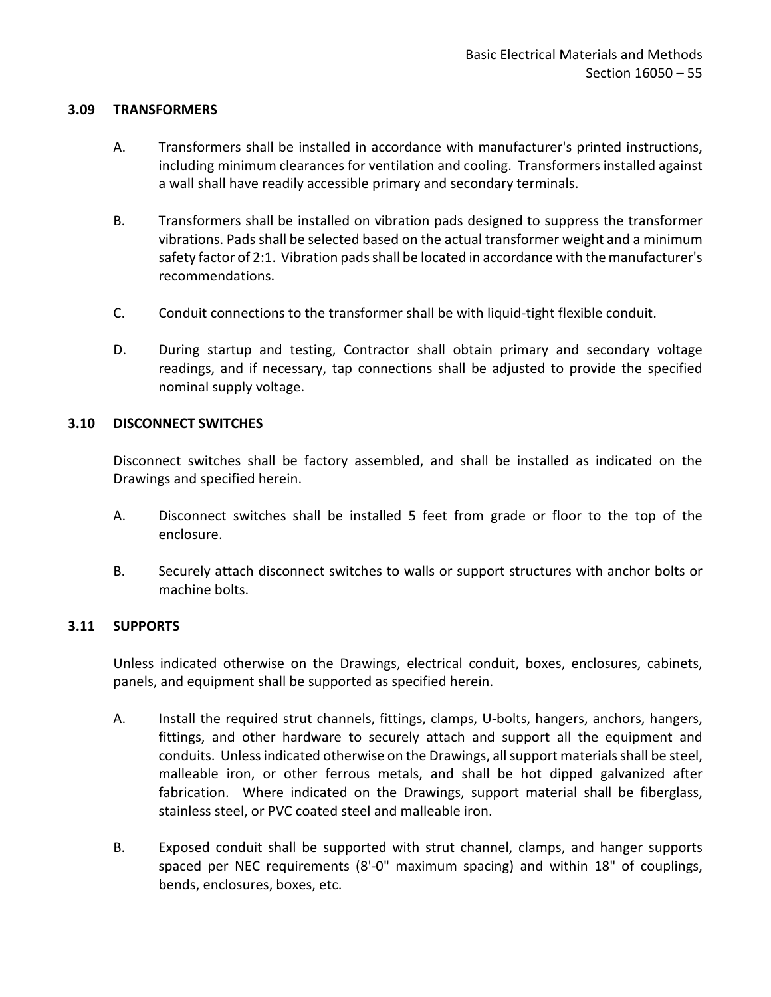### <span id="page-56-0"></span>**3.09 TRANSFORMERS**

- A. Transformers shall be installed in accordance with manufacturer's printed instructions, including minimum clearances for ventilation and cooling. Transformers installed against a wall shall have readily accessible primary and secondary terminals.
- B. Transformers shall be installed on vibration pads designed to suppress the transformer vibrations. Pads shall be selected based on the actual transformer weight and a minimum safety factor of 2:1. Vibration pads shall be located in accordance with the manufacturer's recommendations.
- C. Conduit connections to the transformer shall be with liquid-tight flexible conduit.
- D. During startup and testing, Contractor shall obtain primary and secondary voltage readings, and if necessary, tap connections shall be adjusted to provide the specified nominal supply voltage.

#### <span id="page-56-1"></span>**3.10 DISCONNECT SWITCHES**

Disconnect switches shall be factory assembled, and shall be installed as indicated on the Drawings and specified herein.

- A. Disconnect switches shall be installed 5 feet from grade or floor to the top of the enclosure.
- B. Securely attach disconnect switches to walls or support structures with anchor bolts or machine bolts.

### <span id="page-56-2"></span>**3.11 SUPPORTS**

Unless indicated otherwise on the Drawings, electrical conduit, boxes, enclosures, cabinets, panels, and equipment shall be supported as specified herein.

- A. Install the required strut channels, fittings, clamps, U-bolts, hangers, anchors, hangers, fittings, and other hardware to securely attach and support all the equipment and conduits. Unless indicated otherwise on the Drawings, all support materials shall be steel, malleable iron, or other ferrous metals, and shall be hot dipped galvanized after fabrication. Where indicated on the Drawings, support material shall be fiberglass, stainless steel, or PVC coated steel and malleable iron.
- B. Exposed conduit shall be supported with strut channel, clamps, and hanger supports spaced per NEC requirements (8'-0" maximum spacing) and within 18" of couplings, bends, enclosures, boxes, etc.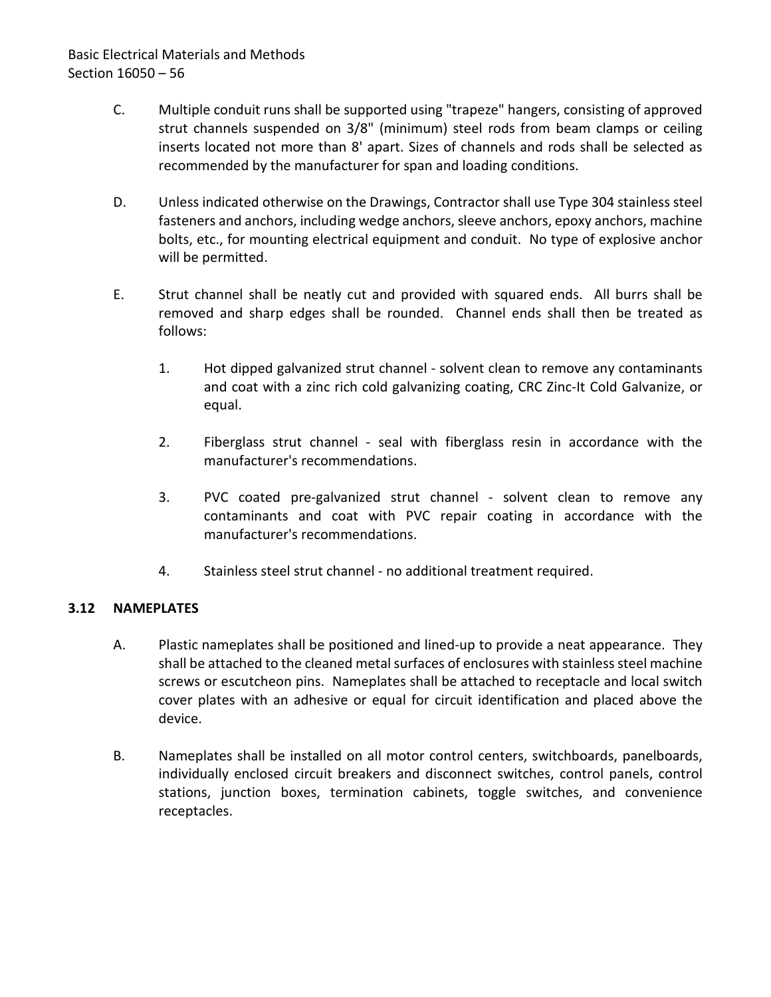# Basic Electrical Materials and Methods Section 16050 – 56

- C. Multiple conduit runs shall be supported using "trapeze" hangers, consisting of approved strut channels suspended on 3/8" (minimum) steel rods from beam clamps or ceiling inserts located not more than 8' apart. Sizes of channels and rods shall be selected as recommended by the manufacturer for span and loading conditions.
- D. Unless indicated otherwise on the Drawings, Contractor shall use Type 304 stainless steel fasteners and anchors, including wedge anchors, sleeve anchors, epoxy anchors, machine bolts, etc., for mounting electrical equipment and conduit. No type of explosive anchor will be permitted.
- E. Strut channel shall be neatly cut and provided with squared ends. All burrs shall be removed and sharp edges shall be rounded. Channel ends shall then be treated as follows:
	- 1. Hot dipped galvanized strut channel solvent clean to remove any contaminants and coat with a zinc rich cold galvanizing coating, CRC Zinc-It Cold Galvanize, or equal.
	- 2. Fiberglass strut channel seal with fiberglass resin in accordance with the manufacturer's recommendations.
	- 3. PVC coated pre-galvanized strut channel solvent clean to remove any contaminants and coat with PVC repair coating in accordance with the manufacturer's recommendations.
	- 4. Stainless steel strut channel no additional treatment required.

## <span id="page-57-0"></span>**3.12 NAMEPLATES**

- A. Plastic nameplates shall be positioned and lined-up to provide a neat appearance. They shall be attached to the cleaned metal surfaces of enclosures with stainless steel machine screws or escutcheon pins. Nameplates shall be attached to receptacle and local switch cover plates with an adhesive or equal for circuit identification and placed above the device.
- B. Nameplates shall be installed on all motor control centers, switchboards, panelboards, individually enclosed circuit breakers and disconnect switches, control panels, control stations, junction boxes, termination cabinets, toggle switches, and convenience receptacles.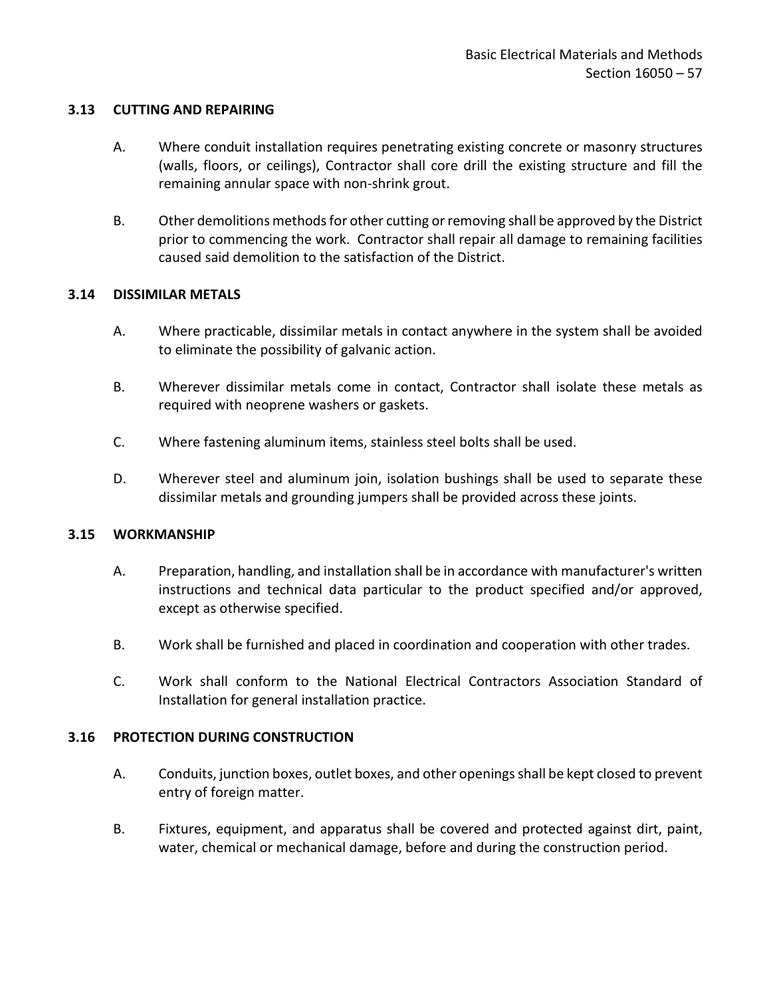#### <span id="page-58-0"></span>**3.13 CUTTING AND REPAIRING**

- A. Where conduit installation requires penetrating existing concrete or masonry structures (walls, floors, or ceilings), Contractor shall core drill the existing structure and fill the remaining annular space with non-shrink grout.
- B. Other demolitions methods for other cutting or removing shall be approved by the District prior to commencing the work. Contractor shall repair all damage to remaining facilities caused said demolition to the satisfaction of the District.

#### <span id="page-58-1"></span>**3.14 DISSIMILAR METALS**

- A. Where practicable, dissimilar metals in contact anywhere in the system shall be avoided to eliminate the possibility of galvanic action.
- B. Wherever dissimilar metals come in contact, Contractor shall isolate these metals as required with neoprene washers or gaskets.
- C. Where fastening aluminum items, stainless steel bolts shall be used.
- D. Wherever steel and aluminum join, isolation bushings shall be used to separate these dissimilar metals and grounding jumpers shall be provided across these joints.

#### <span id="page-58-2"></span>**3.15 WORKMANSHIP**

- A. Preparation, handling, and installation shall be in accordance with manufacturer's written instructions and technical data particular to the product specified and/or approved, except as otherwise specified.
- B. Work shall be furnished and placed in coordination and cooperation with other trades.
- C. Work shall conform to the National Electrical Contractors Association Standard of Installation for general installation practice.

### <span id="page-58-3"></span>**3.16 PROTECTION DURING CONSTRUCTION**

- A. Conduits, junction boxes, outlet boxes, and other openings shall be kept closed to prevent entry of foreign matter.
- B. Fixtures, equipment, and apparatus shall be covered and protected against dirt, paint, water, chemical or mechanical damage, before and during the construction period.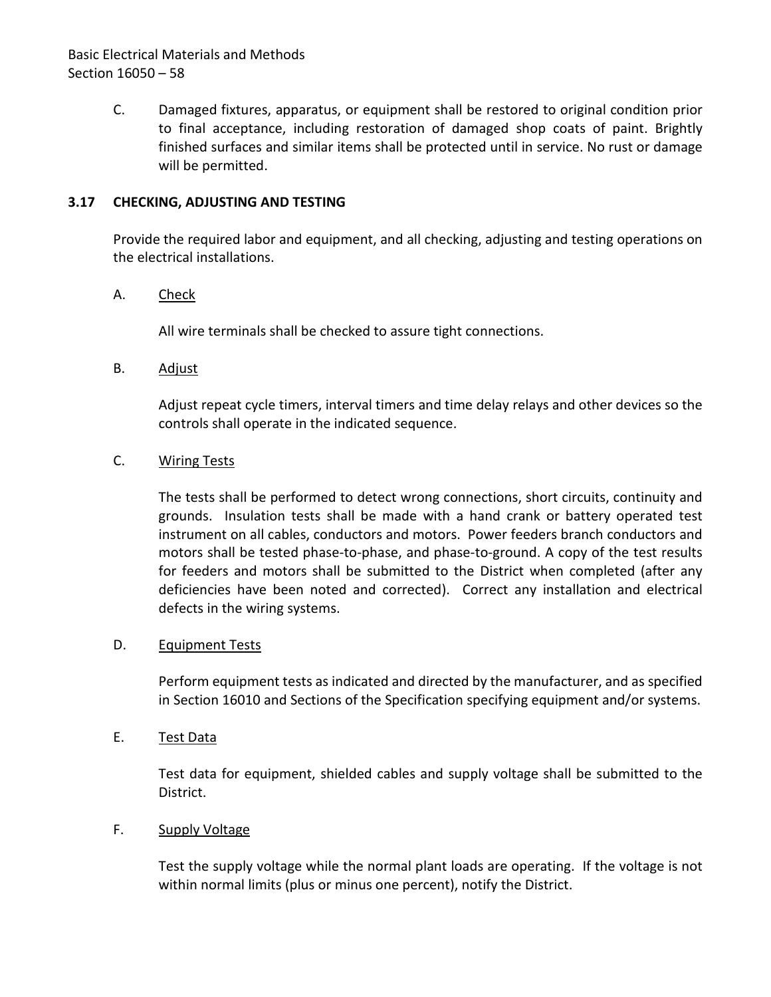# Basic Electrical Materials and Methods Section 16050 – 58

C. Damaged fixtures, apparatus, or equipment shall be restored to original condition prior to final acceptance, including restoration of damaged shop coats of paint. Brightly finished surfaces and similar items shall be protected until in service. No rust or damage will be permitted.

### <span id="page-59-0"></span>**3.17 CHECKING, ADJUSTING AND TESTING**

Provide the required labor and equipment, and all checking, adjusting and testing operations on the electrical installations.

## A. Check

All wire terminals shall be checked to assure tight connections.

B. Adjust

Adjust repeat cycle timers, interval timers and time delay relays and other devices so the controls shall operate in the indicated sequence.

## C. Wiring Tests

The tests shall be performed to detect wrong connections, short circuits, continuity and grounds. Insulation tests shall be made with a hand crank or battery operated test instrument on all cables, conductors and motors. Power feeders branch conductors and motors shall be tested phase-to-phase, and phase-to-ground. A copy of the test results for feeders and motors shall be submitted to the District when completed (after any deficiencies have been noted and corrected). Correct any installation and electrical defects in the wiring systems.

### D. Equipment Tests

Perform equipment tests as indicated and directed by the manufacturer, and as specified in Section 16010 and Sections of the Specification specifying equipment and/or systems.

E. Test Data

Test data for equipment, shielded cables and supply voltage shall be submitted to the District.

### F. Supply Voltage

Test the supply voltage while the normal plant loads are operating. If the voltage is not within normal limits (plus or minus one percent), notify the District.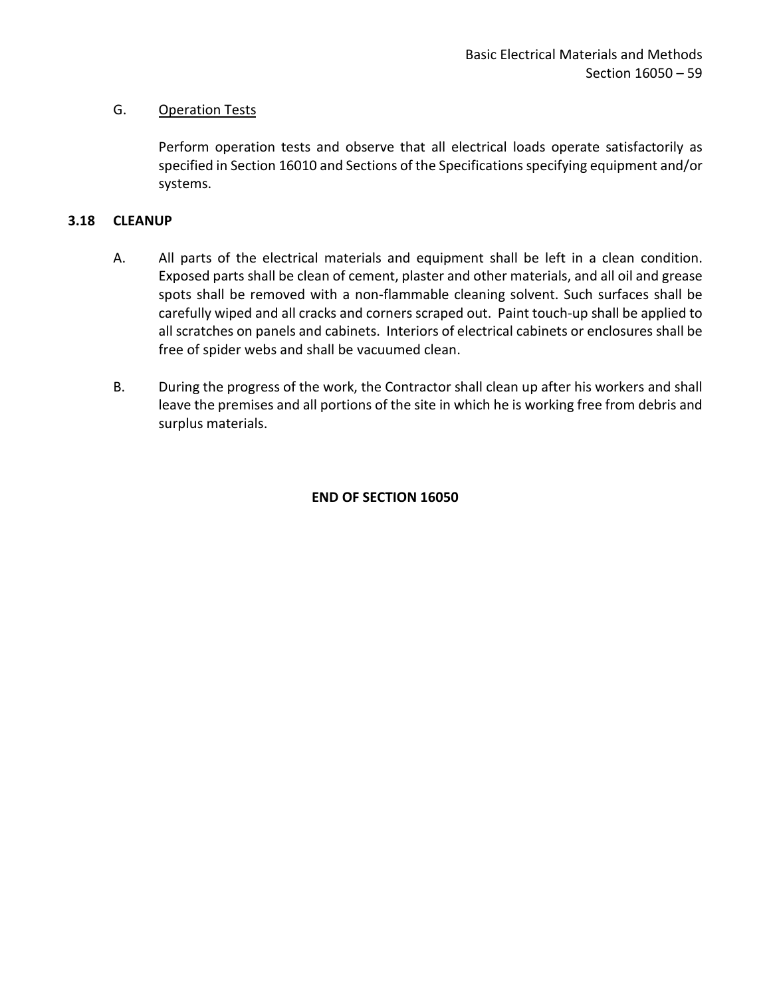## G. Operation Tests

Perform operation tests and observe that all electrical loads operate satisfactorily as specified in Section 16010 and Sections of the Specifications specifying equipment and/or systems.

## <span id="page-60-0"></span>**3.18 CLEANUP**

- A. All parts of the electrical materials and equipment shall be left in a clean condition. Exposed parts shall be clean of cement, plaster and other materials, and all oil and grease spots shall be removed with a non-flammable cleaning solvent. Such surfaces shall be carefully wiped and all cracks and corners scraped out. Paint touch-up shall be applied to all scratches on panels and cabinets. Interiors of electrical cabinets or enclosures shall be free of spider webs and shall be vacuumed clean.
- B. During the progress of the work, the Contractor shall clean up after his workers and shall leave the premises and all portions of the site in which he is working free from debris and surplus materials.

## **END OF SECTION 16050**